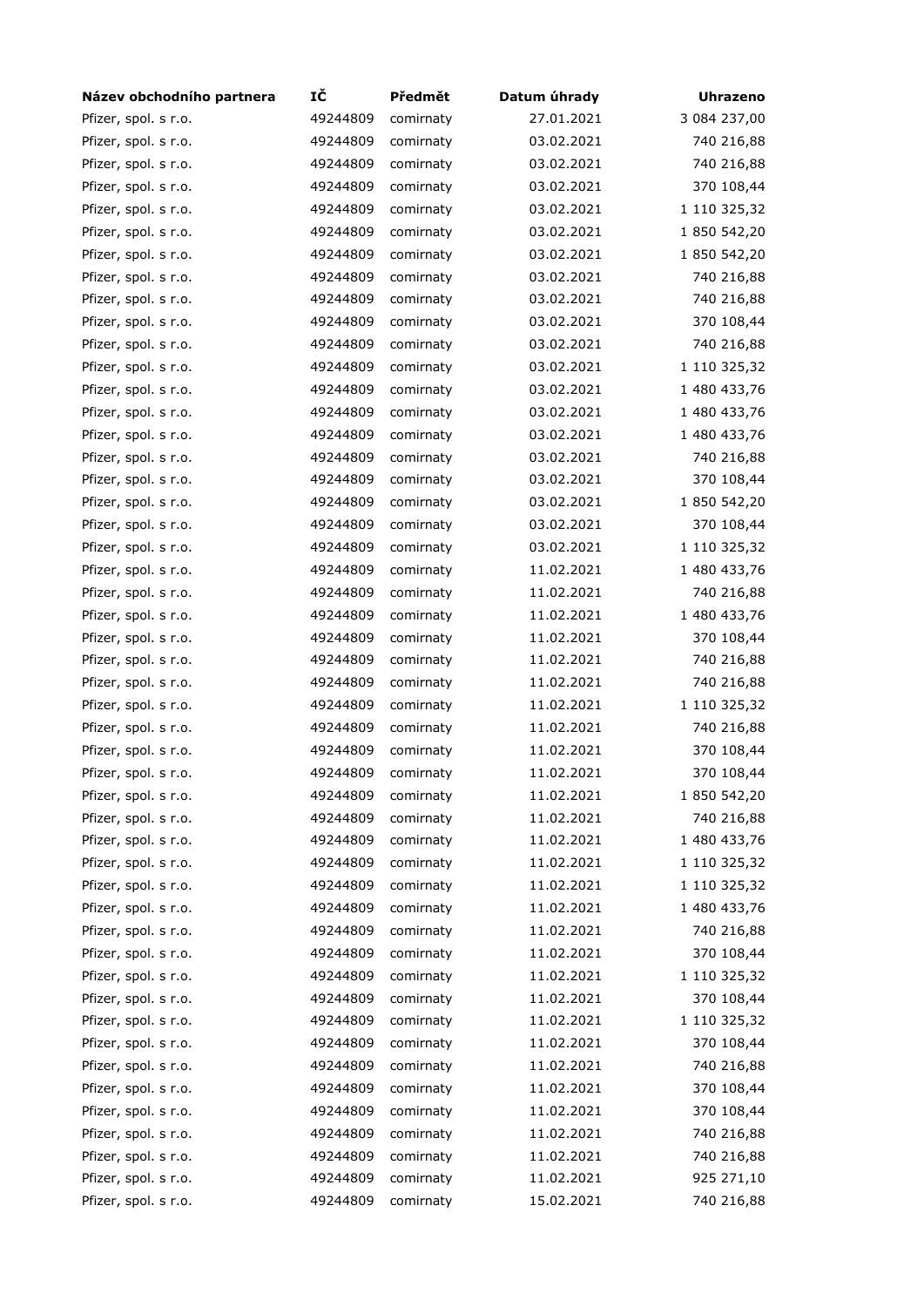| Název obchodního partnera                    | IČ       | Předmět   | Datum úhrady | <b>Uhrazeno</b>          |
|----------------------------------------------|----------|-----------|--------------|--------------------------|
| Pfizer, spol. s r.o.                         | 49244809 | comirnaty | 27.01.2021   | 3 084 237,00             |
| Pfizer, spol. s r.o.                         | 49244809 | comirnaty | 03.02.2021   | 740 216,88               |
| Pfizer, spol. s r.o.                         | 49244809 | comirnaty | 03.02.2021   | 740 216,88               |
| Pfizer, spol. s r.o.                         | 49244809 | comirnaty | 03.02.2021   | 370 108,44               |
| Pfizer, spol. s r.o.                         | 49244809 | comirnaty | 03.02.2021   | 1 110 325,32             |
| Pfizer, spol. s r.o.                         | 49244809 | comirnaty | 03.02.2021   | 1 850 542,20             |
| Pfizer, spol. s r.o.                         | 49244809 | comirnaty | 03.02.2021   | 1 850 542,20             |
| Pfizer, spol. s r.o.                         | 49244809 | comirnaty | 03.02.2021   | 740 216,88               |
| Pfizer, spol. s r.o.                         | 49244809 | comirnaty | 03.02.2021   | 740 216,88               |
| Pfizer, spol. s r.o.                         | 49244809 | comirnaty | 03.02.2021   | 370 108,44               |
| Pfizer, spol. s r.o.                         | 49244809 | comirnaty | 03.02.2021   | 740 216,88               |
| Pfizer, spol. s r.o.                         | 49244809 | comirnaty | 03.02.2021   | 1 110 325,32             |
| Pfizer, spol. s r.o.                         | 49244809 | comirnaty | 03.02.2021   | 1 480 433,76             |
| Pfizer, spol. s r.o.                         | 49244809 | comirnaty | 03.02.2021   | 1 480 433,76             |
| Pfizer, spol. s r.o.                         | 49244809 | comirnaty | 03.02.2021   | 1 480 433,76             |
| Pfizer, spol. s r.o.                         | 49244809 | comirnaty | 03.02.2021   | 740 216,88               |
| Pfizer, spol. s r.o.                         | 49244809 | comirnaty | 03.02.2021   | 370 108,44               |
| Pfizer, spol. s r.o.                         | 49244809 | comirnaty | 03.02.2021   | 1 850 542,20             |
| Pfizer, spol. s r.o.                         | 49244809 | comirnaty | 03.02.2021   | 370 108,44               |
| Pfizer, spol. s r.o.                         | 49244809 | comirnaty | 03.02.2021   | 1 110 325,32             |
| Pfizer, spol. s r.o.                         | 49244809 | comirnaty | 11.02.2021   | 1 480 433,76             |
| Pfizer, spol. s r.o.                         | 49244809 | comirnaty | 11.02.2021   | 740 216,88               |
| Pfizer, spol. s r.o.                         | 49244809 | comirnaty | 11.02.2021   | 1 480 433,76             |
| Pfizer, spol. s r.o.                         | 49244809 | comirnaty | 11.02.2021   | 370 108,44               |
| Pfizer, spol. s r.o.                         | 49244809 | comirnaty | 11.02.2021   | 740 216,88               |
| Pfizer, spol. s r.o.                         | 49244809 | comirnaty | 11.02.2021   | 740 216,88               |
| Pfizer, spol. s r.o.                         | 49244809 | comirnaty | 11.02.2021   | 1 110 325,32             |
|                                              | 49244809 |           | 11.02.2021   |                          |
| Pfizer, spol. s r.o.<br>Pfizer, spol. s r.o. | 49244809 | comirnaty |              | 740 216,88<br>370 108,44 |
|                                              |          | comirnaty | 11.02.2021   |                          |
| Pfizer, spol. s r.o.                         | 49244809 | comirnaty | 11.02.2021   | 370 108,44               |
| Pfizer, spol. s r.o.                         | 49244809 | comirnaty | 11.02.2021   | 1 850 542,20             |
| Pfizer, spol. s r.o.                         | 49244809 | comirnaty | 11.02.2021   | 740 216,88               |
| Pfizer, spol. s r.o.                         | 49244809 | comirnaty | 11.02.2021   | 1 480 433,76             |
| Pfizer, spol. s r.o.                         | 49244809 | comirnaty | 11.02.2021   | 1 110 325,32             |
| Pfizer, spol. s r.o.                         | 49244809 | comirnaty | 11.02.2021   | 1 110 325,32             |
| Pfizer, spol. s r.o.                         | 49244809 | comirnaty | 11.02.2021   | 1 480 433,76             |
| Pfizer, spol. s r.o.                         | 49244809 | comirnaty | 11.02.2021   | 740 216,88               |
| Pfizer, spol. s r.o.                         | 49244809 | comirnaty | 11.02.2021   | 370 108,44               |
| Pfizer, spol. s r.o.                         | 49244809 | comirnaty | 11.02.2021   | 1 110 325,32             |
| Pfizer, spol. s r.o.                         | 49244809 | comirnaty | 11.02.2021   | 370 108,44               |
| Pfizer, spol. s r.o.                         | 49244809 | comirnaty | 11.02.2021   | 1 110 325,32             |
| Pfizer, spol. s r.o.                         | 49244809 | comirnaty | 11.02.2021   | 370 108,44               |
| Pfizer, spol. s r.o.                         | 49244809 | comirnaty | 11.02.2021   | 740 216,88               |
| Pfizer, spol. s r.o.                         | 49244809 | comirnaty | 11.02.2021   | 370 108,44               |
| Pfizer, spol. s r.o.                         | 49244809 | comirnaty | 11.02.2021   | 370 108,44               |
| Pfizer, spol. s r.o.                         | 49244809 | comirnaty | 11.02.2021   | 740 216,88               |
| Pfizer, spol. s r.o.                         | 49244809 | comirnaty | 11.02.2021   | 740 216,88               |
| Pfizer, spol. s r.o.                         | 49244809 | comirnaty | 11.02.2021   | 925 271,10               |
| Pfizer, spol. s r.o.                         | 49244809 | comirnaty | 15.02.2021   | 740 216,88               |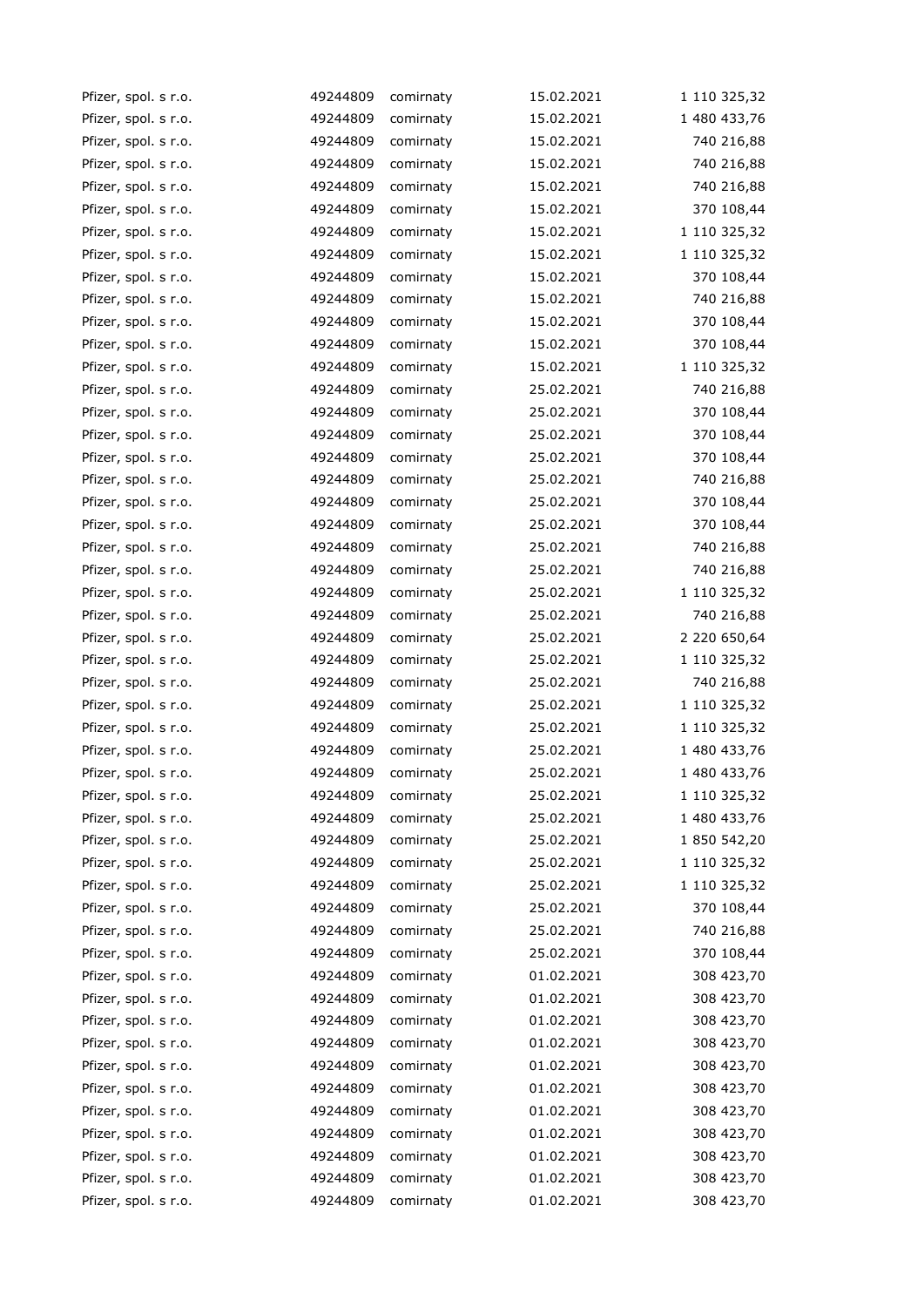| Pfizer, spol. s r.o. | 49244809 | comirnaty | 15.02.2021 | 1 110 325,32 |
|----------------------|----------|-----------|------------|--------------|
| Pfizer, spol. s r.o. | 49244809 | comirnaty | 15.02.2021 | 1 480 433,76 |
| Pfizer, spol. s r.o. | 49244809 | comirnaty | 15.02.2021 | 740 216,88   |
| Pfizer, spol. s r.o. | 49244809 | comirnaty | 15.02.2021 | 740 216,88   |
| Pfizer, spol. s r.o. | 49244809 | comirnaty | 15.02.2021 | 740 216,88   |
| Pfizer, spol. s r.o. | 49244809 | comirnaty | 15.02.2021 | 370 108,44   |
| Pfizer, spol. s r.o. | 49244809 | comirnaty | 15.02.2021 | 1 110 325,32 |
| Pfizer, spol. s r.o. | 49244809 | comirnaty | 15.02.2021 | 1 110 325,32 |
| Pfizer, spol. s r.o. | 49244809 | comirnaty | 15.02.2021 | 370 108,44   |
| Pfizer, spol. s r.o. | 49244809 | comirnaty | 15.02.2021 | 740 216,88   |
| Pfizer, spol. s r.o. | 49244809 | comirnaty | 15.02.2021 | 370 108,44   |
| Pfizer, spol. s r.o. | 49244809 | comirnaty | 15.02.2021 | 370 108,44   |
| Pfizer, spol. s r.o. | 49244809 | comirnaty | 15.02.2021 | 1 110 325,32 |
| Pfizer, spol. s r.o. | 49244809 | comirnaty | 25.02.2021 | 740 216,88   |
| Pfizer, spol. s r.o. | 49244809 | comirnaty | 25.02.2021 | 370 108,44   |
| Pfizer, spol. s r.o. | 49244809 | comirnaty | 25.02.2021 | 370 108,44   |
| Pfizer, spol. s r.o. | 49244809 | comirnaty | 25.02.2021 | 370 108,44   |
| Pfizer, spol. s r.o. | 49244809 | comirnaty | 25.02.2021 | 740 216,88   |
| Pfizer, spol. s r.o. | 49244809 | comirnaty | 25.02.2021 | 370 108,44   |
| Pfizer, spol. s r.o. | 49244809 | comirnaty | 25.02.2021 | 370 108,44   |
| Pfizer, spol. s r.o. | 49244809 | comirnaty | 25.02.2021 | 740 216,88   |
| Pfizer, spol. s r.o. | 49244809 | comirnaty | 25.02.2021 | 740 216,88   |
| Pfizer, spol. s r.o. | 49244809 | comirnaty | 25.02.2021 | 1 110 325,32 |
| Pfizer, spol. s r.o. | 49244809 | comirnaty | 25.02.2021 | 740 216,88   |
| Pfizer, spol. s r.o. | 49244809 | comirnaty | 25.02.2021 | 2 220 650,64 |
| Pfizer, spol. s r.o. | 49244809 | comirnaty | 25.02.2021 | 1 110 325,32 |
| Pfizer, spol. s r.o. | 49244809 | comirnaty | 25.02.2021 | 740 216,88   |
| Pfizer, spol. s r.o. | 49244809 | comirnaty | 25.02.2021 | 1 110 325,32 |
| Pfizer, spol. s r.o. | 49244809 | comirnaty | 25.02.2021 | 1 110 325,32 |
| Pfizer, spol. s r.o. | 49244809 | comirnaty | 25.02.2021 | 1 480 433,76 |
| Pfizer, spol. s r.o. | 49244809 | comirnaty | 25.02.2021 | 1 480 433,76 |
| Pfizer, spol. s r.o. | 49244809 | comirnaty | 25.02.2021 | 1 110 325,32 |
| Pfizer, spol. s r.o. | 49244809 | comirnaty | 25.02.2021 | 1 480 433,76 |
| Pfizer, spol. s r.o. | 49244809 | comirnaty | 25.02.2021 | 1 850 542,20 |
| Pfizer, spol. s r.o. | 49244809 | comirnaty | 25.02.2021 | 1 110 325,32 |
| Pfizer, spol. s r.o. | 49244809 | comirnaty | 25.02.2021 | 1 110 325,32 |
| Pfizer, spol. s r.o. | 49244809 | comirnaty | 25.02.2021 | 370 108,44   |
| Pfizer, spol. s r.o. | 49244809 | comirnaty | 25.02.2021 | 740 216,88   |
| Pfizer, spol. s r.o. | 49244809 | comirnaty | 25.02.2021 | 370 108,44   |
| Pfizer, spol. s r.o. | 49244809 | comirnaty | 01.02.2021 | 308 423,70   |
| Pfizer, spol. s r.o. | 49244809 | comirnaty | 01.02.2021 | 308 423,70   |
| Pfizer, spol. s r.o. | 49244809 | comirnaty | 01.02.2021 | 308 423,70   |
| Pfizer, spol. s r.o. | 49244809 | comirnaty | 01.02.2021 | 308 423,70   |
| Pfizer, spol. s r.o. | 49244809 | comirnaty | 01.02.2021 | 308 423,70   |
| Pfizer, spol. s r.o. | 49244809 | comirnaty | 01.02.2021 | 308 423,70   |
| Pfizer, spol. s r.o. | 49244809 | comirnaty | 01.02.2021 | 308 423,70   |
| Pfizer, spol. s r.o. | 49244809 | comirnaty | 01.02.2021 | 308 423,70   |
| Pfizer, spol. s r.o. | 49244809 | comirnaty | 01.02.2021 | 308 423,70   |
| Pfizer, spol. s r.o. | 49244809 | comirnaty | 01.02.2021 | 308 423,70   |
| Pfizer, spol. s r.o. | 49244809 | comirnaty | 01.02.2021 | 308 423,70   |
|                      |          |           |            |              |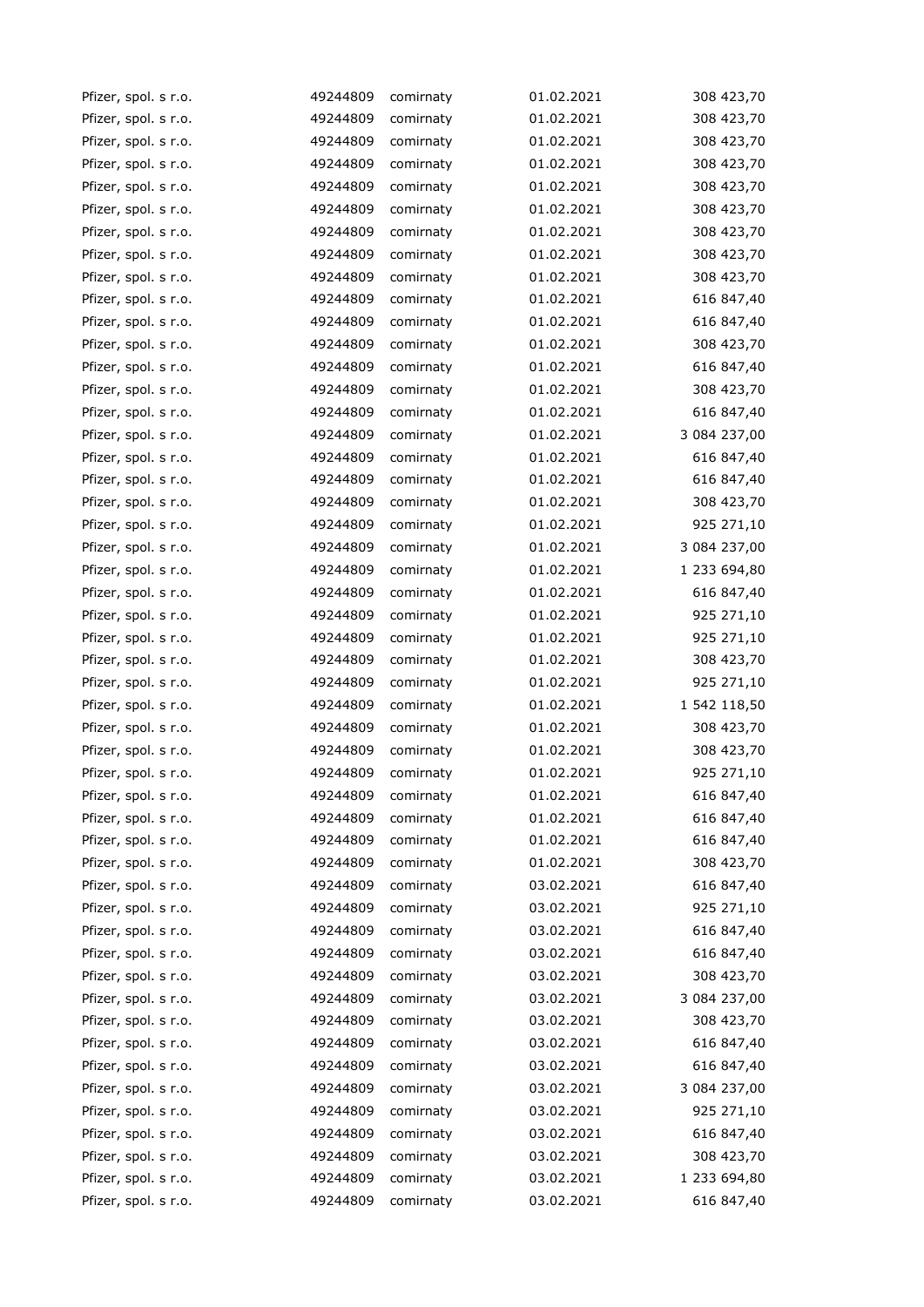| Pfizer, spol. s r.o. | 49244809 | comirnaty | 01.02.2021 | 308 423,70   |
|----------------------|----------|-----------|------------|--------------|
| Pfizer, spol. s r.o. | 49244809 | comirnaty | 01.02.2021 | 308 423,70   |
| Pfizer, spol. s r.o. | 49244809 | comirnaty | 01.02.2021 | 308 423,70   |
| Pfizer, spol. s r.o. | 49244809 | comirnaty | 01.02.2021 | 308 423,70   |
| Pfizer, spol. s r.o. | 49244809 | comirnaty | 01.02.2021 | 308 423,70   |
| Pfizer, spol. s r.o. | 49244809 | comirnaty | 01.02.2021 | 308 423,70   |
| Pfizer, spol. s r.o. | 49244809 | comirnaty | 01.02.2021 | 308 423,70   |
| Pfizer, spol. s r.o. | 49244809 | comirnaty | 01.02.2021 | 308 423,70   |
| Pfizer, spol. s r.o. | 49244809 | comirnaty | 01.02.2021 | 308 423,70   |
| Pfizer, spol. s r.o. | 49244809 | comirnaty | 01.02.2021 | 616 847,40   |
| Pfizer, spol. s r.o. | 49244809 | comirnaty | 01.02.2021 | 616 847,40   |
| Pfizer, spol. s r.o. | 49244809 | comirnaty | 01.02.2021 | 308 423,70   |
| Pfizer, spol. s r.o. | 49244809 | comirnaty | 01.02.2021 | 616 847,40   |
| Pfizer, spol. s r.o. | 49244809 | comirnaty | 01.02.2021 | 308 423,70   |
| Pfizer, spol. s r.o. | 49244809 | comirnaty | 01.02.2021 | 616 847,40   |
| Pfizer, spol. s r.o. | 49244809 | comirnaty | 01.02.2021 | 3 084 237,00 |
| Pfizer, spol. s r.o. | 49244809 | comirnaty | 01.02.2021 | 616 847,40   |
| Pfizer, spol. s r.o. | 49244809 | comirnaty | 01.02.2021 | 616 847,40   |
| Pfizer, spol. s r.o. | 49244809 | comirnaty | 01.02.2021 | 308 423,70   |
| Pfizer, spol. s r.o. | 49244809 | comirnaty | 01.02.2021 | 925 271,10   |
| Pfizer, spol. s r.o. | 49244809 | comirnaty | 01.02.2021 | 3 084 237,00 |
| Pfizer, spol. s r.o. | 49244809 | comirnaty | 01.02.2021 | 1 233 694,80 |
| Pfizer, spol. s r.o. | 49244809 | comirnaty | 01.02.2021 | 616 847,40   |
| Pfizer, spol. s r.o. | 49244809 | comirnaty | 01.02.2021 | 925 271,10   |
| Pfizer, spol. s r.o. | 49244809 | comirnaty | 01.02.2021 | 925 271,10   |
| Pfizer, spol. s r.o. | 49244809 | comirnaty | 01.02.2021 | 308 423,70   |
| Pfizer, spol. s r.o. | 49244809 | comirnaty | 01.02.2021 | 925 271,10   |
| Pfizer, spol. s r.o. | 49244809 | comirnaty | 01.02.2021 | 1 542 118,50 |
| Pfizer, spol. s r.o. | 49244809 | comirnaty | 01.02.2021 | 308 423,70   |
| Pfizer, spol. s r.o. | 49244809 | comirnaty | 01.02.2021 | 308 423,70   |
| Pfizer, spol. s r.o. | 49244809 | comirnaty | 01.02.2021 | 925 271,10   |
| Pfizer, spol. s r.o. | 49244809 | comirnaty | 01.02.2021 | 616 847,40   |
| Pfizer, spol. s r.o. | 49244809 | comirnaty | 01.02.2021 | 616 847,40   |
| Pfizer, spol. s r.o. | 49244809 | comirnaty | 01.02.2021 | 616 847,40   |
| Pfizer, spol. s r.o. | 49244809 | comirnaty | 01.02.2021 | 308 423,70   |
| Pfizer, spol. s r.o. | 49244809 | comirnaty | 03.02.2021 | 616 847,40   |
| Pfizer, spol. s r.o. | 49244809 | comirnaty | 03.02.2021 | 925 271,10   |
| Pfizer, spol. s r.o. | 49244809 | comirnaty | 03.02.2021 | 616 847,40   |
| Pfizer, spol. s r.o. | 49244809 | comirnaty | 03.02.2021 | 616 847,40   |
| Pfizer, spol. s r.o. | 49244809 | comirnaty | 03.02.2021 | 308 423,70   |
| Pfizer, spol. s r.o. | 49244809 | comirnaty | 03.02.2021 | 3 084 237,00 |
| Pfizer, spol. s r.o. | 49244809 | comirnaty | 03.02.2021 | 308 423,70   |
| Pfizer, spol. s r.o. | 49244809 | comirnaty | 03.02.2021 | 616 847,40   |
| Pfizer, spol. s r.o. | 49244809 | comirnaty | 03.02.2021 | 616 847,40   |
| Pfizer, spol. s r.o. | 49244809 | comirnaty | 03.02.2021 | 3 084 237,00 |
| Pfizer, spol. s r.o. | 49244809 | comirnaty | 03.02.2021 | 925 271,10   |
| Pfizer, spol. s r.o. | 49244809 | comirnaty | 03.02.2021 | 616 847,40   |
| Pfizer, spol. s r.o. | 49244809 | comirnaty | 03.02.2021 | 308 423,70   |
| Pfizer, spol. s r.o. | 49244809 | comirnaty | 03.02.2021 | 1 233 694,80 |
| Pfizer, spol. s r.o. | 49244809 | comirnaty | 03.02.2021 | 616 847,40   |
|                      |          |           |            |              |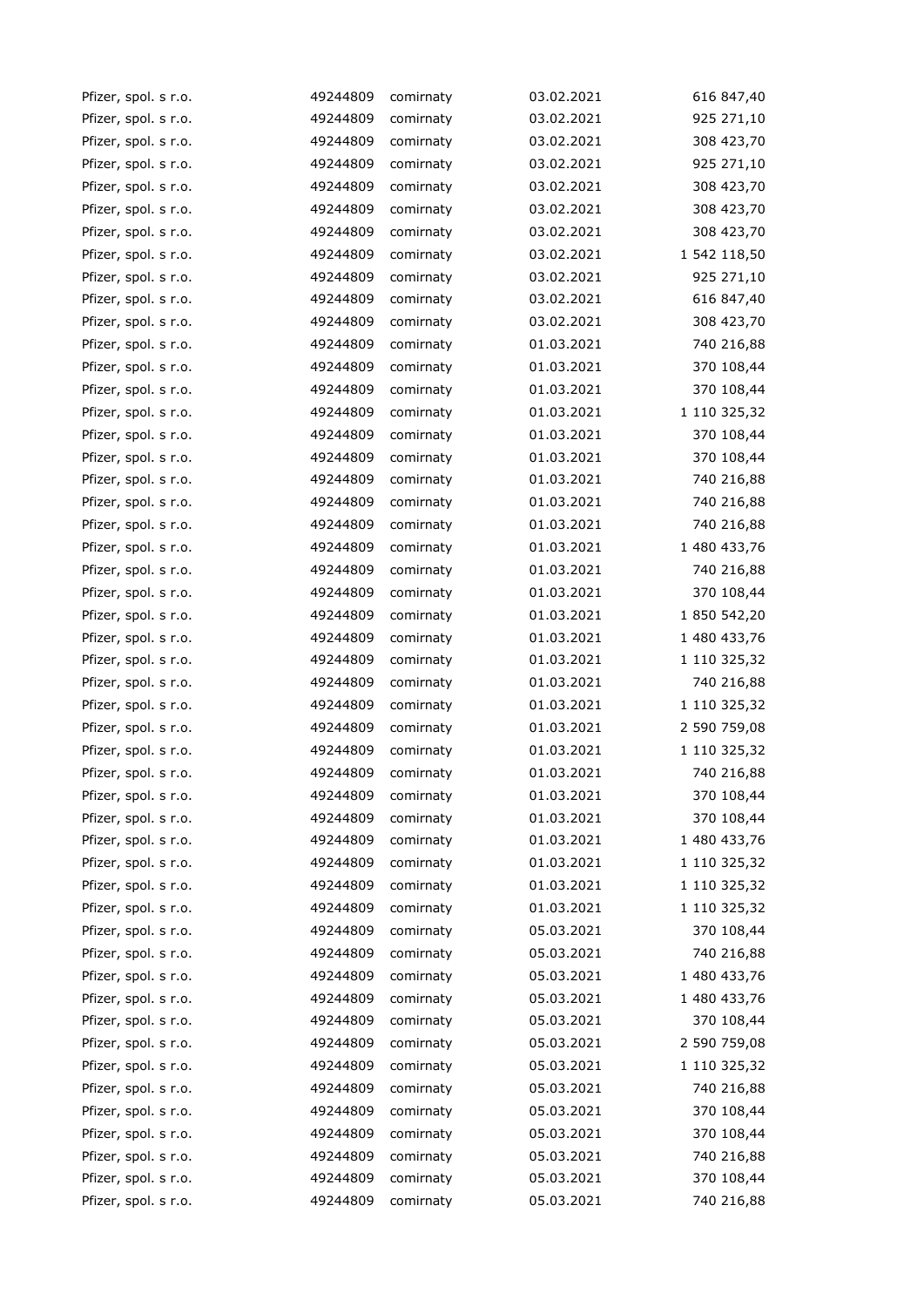| Pfizer, spol. s r.o. | 49244809 | comirnaty | 03.02.2021 | 616 847,40   |
|----------------------|----------|-----------|------------|--------------|
| Pfizer, spol. s r.o. | 49244809 | comirnaty | 03.02.2021 | 925 271,10   |
| Pfizer, spol. s r.o. | 49244809 | comirnaty | 03.02.2021 | 308 423,70   |
| Pfizer, spol. s r.o. | 49244809 | comirnaty | 03.02.2021 | 925 271,10   |
| Pfizer, spol. s r.o. | 49244809 | comirnaty | 03.02.2021 | 308 423,70   |
| Pfizer, spol. s r.o. | 49244809 | comirnaty | 03.02.2021 | 308 423,70   |
| Pfizer, spol. s r.o. | 49244809 | comirnaty | 03.02.2021 | 308 423,70   |
| Pfizer, spol. s r.o. | 49244809 | comirnaty | 03.02.2021 | 1 542 118,50 |
| Pfizer, spol. s r.o. | 49244809 | comirnaty | 03.02.2021 | 925 271,10   |
| Pfizer, spol. s r.o. | 49244809 | comirnaty | 03.02.2021 | 616 847,40   |
| Pfizer, spol. s r.o. | 49244809 | comirnaty | 03.02.2021 | 308 423,70   |
| Pfizer, spol. s r.o. | 49244809 | comirnaty | 01.03.2021 | 740 216,88   |
| Pfizer, spol. s r.o. | 49244809 | comirnaty | 01.03.2021 | 370 108,44   |
| Pfizer, spol. s r.o. | 49244809 | comirnaty | 01.03.2021 | 370 108,44   |
| Pfizer, spol. s r.o. | 49244809 | comirnaty | 01.03.2021 | 1 110 325,32 |
| Pfizer, spol. s r.o. | 49244809 | comirnaty | 01.03.2021 | 370 108,44   |
| Pfizer, spol. s r.o. | 49244809 | comirnaty | 01.03.2021 | 370 108,44   |
| Pfizer, spol. s r.o. | 49244809 | comirnaty | 01.03.2021 | 740 216,88   |
| Pfizer, spol. s r.o. | 49244809 | comirnaty | 01.03.2021 | 740 216,88   |
| Pfizer, spol. s r.o. | 49244809 | comirnaty | 01.03.2021 | 740 216,88   |
| Pfizer, spol. s r.o. | 49244809 | comirnaty | 01.03.2021 | 1 480 433,76 |
| Pfizer, spol. s r.o. | 49244809 | comirnaty | 01.03.2021 | 740 216,88   |
| Pfizer, spol. s r.o. | 49244809 | comirnaty | 01.03.2021 | 370 108,44   |
| Pfizer, spol. s r.o. | 49244809 | comirnaty | 01.03.2021 | 1 850 542,20 |
| Pfizer, spol. s r.o. | 49244809 | comirnaty | 01.03.2021 | 1 480 433,76 |
| Pfizer, spol. s r.o. | 49244809 | comirnaty | 01.03.2021 | 1 110 325,32 |
| Pfizer, spol. s r.o. | 49244809 | comirnaty | 01.03.2021 | 740 216,88   |
| Pfizer, spol. s r.o. | 49244809 | comirnaty | 01.03.2021 | 1 110 325,32 |
| Pfizer, spol. s r.o. | 49244809 | comirnaty | 01.03.2021 | 2 590 759,08 |
| Pfizer, spol. s r.o. | 49244809 | comirnaty | 01.03.2021 | 1 110 325,32 |
| Pfizer, spol. s r.o. | 49244809 | comirnaty | 01.03.2021 | 740 216,88   |
| Pfizer, spol. s r.o. | 49244809 | comirnaty | 01.03.2021 | 370 108,44   |
| Pfizer, spol. s r.o. | 49244809 | comirnaty | 01.03.2021 | 370 108,44   |
| Pfizer, spol. s r.o. | 49244809 | comirnaty | 01.03.2021 | 1 480 433,76 |
| Pfizer, spol. s r.o. | 49244809 | comirnaty | 01.03.2021 | 1 110 325,32 |
| Pfizer, spol. s r.o. | 49244809 | comirnaty | 01.03.2021 | 1 110 325,32 |
| Pfizer, spol. s r.o. | 49244809 | comirnaty | 01.03.2021 | 1 110 325,32 |
| Pfizer, spol. s r.o. | 49244809 | comirnaty | 05.03.2021 | 370 108,44   |
| Pfizer, spol. s r.o. | 49244809 | comirnaty | 05.03.2021 | 740 216,88   |
| Pfizer, spol. s r.o. | 49244809 | comirnaty | 05.03.2021 | 1 480 433,76 |
| Pfizer, spol. s r.o. | 49244809 | comirnaty | 05.03.2021 | 1 480 433,76 |
| Pfizer, spol. s r.o. | 49244809 | comirnaty | 05.03.2021 | 370 108,44   |
| Pfizer, spol. s r.o. | 49244809 | comirnaty | 05.03.2021 | 2 590 759,08 |
| Pfizer, spol. s r.o. | 49244809 | comirnaty | 05.03.2021 | 1 110 325,32 |
| Pfizer, spol. s r.o. | 49244809 | comirnaty | 05.03.2021 | 740 216,88   |
| Pfizer, spol. s r.o. | 49244809 | comirnaty | 05.03.2021 | 370 108,44   |
| Pfizer, spol. s r.o. | 49244809 | comirnaty | 05.03.2021 | 370 108,44   |
| Pfizer, spol. s r.o. | 49244809 | comirnaty | 05.03.2021 | 740 216,88   |
| Pfizer, spol. s r.o. | 49244809 | comirnaty | 05.03.2021 | 370 108,44   |
| Pfizer, spol. s r.o. | 49244809 | comirnaty | 05.03.2021 | 740 216,88   |
|                      |          |           |            |              |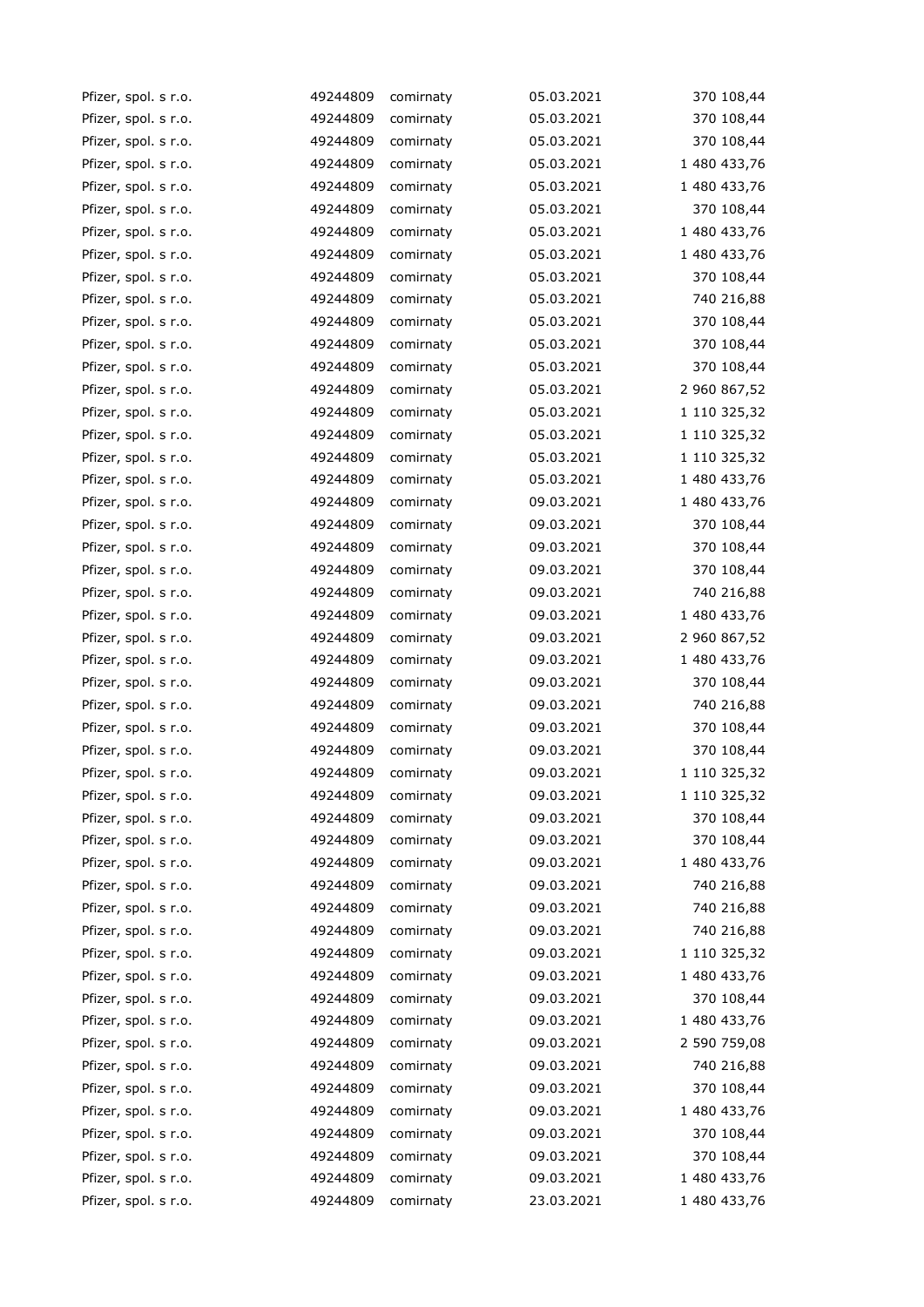| Pfizer, spol. s r.o. | 49244809 | comirnaty | 05.03.2021 | 370 108,44   |
|----------------------|----------|-----------|------------|--------------|
| Pfizer, spol. s r.o. | 49244809 | comirnaty | 05.03.2021 | 370 108,44   |
| Pfizer, spol. s r.o. | 49244809 | comirnaty | 05.03.2021 | 370 108,44   |
| Pfizer, spol. s r.o. | 49244809 | comirnaty | 05.03.2021 | 1 480 433,76 |
| Pfizer, spol. s r.o. | 49244809 | comirnaty | 05.03.2021 | 1 480 433,76 |
| Pfizer, spol. s r.o. | 49244809 | comirnaty | 05.03.2021 | 370 108,44   |
| Pfizer, spol. s r.o. | 49244809 | comirnaty | 05.03.2021 | 1 480 433,76 |
| Pfizer, spol. s r.o. | 49244809 | comirnaty | 05.03.2021 | 1 480 433,76 |
| Pfizer, spol. s r.o. | 49244809 | comirnaty | 05.03.2021 | 370 108,44   |
| Pfizer, spol. s r.o. | 49244809 | comirnaty | 05.03.2021 | 740 216,88   |
| Pfizer, spol. s r.o. | 49244809 | comirnaty | 05.03.2021 | 370 108,44   |
| Pfizer, spol. s r.o. | 49244809 | comirnaty | 05.03.2021 | 370 108,44   |
| Pfizer, spol. s r.o. | 49244809 | comirnaty | 05.03.2021 | 370 108,44   |
| Pfizer, spol. s r.o. | 49244809 | comirnaty | 05.03.2021 | 2 960 867,52 |
| Pfizer, spol. s r.o. | 49244809 | comirnaty | 05.03.2021 | 1 110 325,32 |
| Pfizer, spol. s r.o. | 49244809 | comirnaty | 05.03.2021 | 1 110 325,32 |
| Pfizer, spol. s r.o. | 49244809 | comirnaty | 05.03.2021 | 1 110 325,32 |
| Pfizer, spol. s r.o. | 49244809 | comirnaty | 05.03.2021 | 1 480 433,76 |
| Pfizer, spol. s r.o. | 49244809 | comirnaty | 09.03.2021 | 1 480 433,76 |
| Pfizer, spol. s r.o. | 49244809 | comirnaty | 09.03.2021 | 370 108,44   |
| Pfizer, spol. s r.o. | 49244809 | comirnaty | 09.03.2021 | 370 108,44   |
| Pfizer, spol. s r.o. | 49244809 | comirnaty | 09.03.2021 | 370 108,44   |
| Pfizer, spol. s r.o. | 49244809 | comirnaty | 09.03.2021 | 740 216,88   |
| Pfizer, spol. s r.o. | 49244809 | comirnaty | 09.03.2021 | 1 480 433,76 |
| Pfizer, spol. s r.o. | 49244809 | comirnaty | 09.03.2021 | 2 960 867,52 |
| Pfizer, spol. s r.o. | 49244809 | comirnaty | 09.03.2021 | 1 480 433,76 |
| Pfizer, spol. s r.o. | 49244809 | comirnaty | 09.03.2021 | 370 108,44   |
| Pfizer, spol. s r.o. | 49244809 | comirnaty | 09.03.2021 | 740 216,88   |
| Pfizer, spol. s r.o. | 49244809 | comirnaty | 09.03.2021 | 370 108,44   |
| Pfizer, spol. s r.o. | 49244809 | comirnaty | 09.03.2021 | 370 108,44   |
| Pfizer, spol. s r.o. | 49244809 | comirnaty | 09.03.2021 | 1 110 325,32 |
| Pfizer, spol. s r.o. | 49244809 | comirnaty | 09.03.2021 | 1 110 325,32 |
| Pfizer, spol. s r.o. | 49244809 | comirnaty | 09.03.2021 | 370 108,44   |
| Pfizer, spol. s r.o. | 49244809 | comirnaty | 09.03.2021 | 370 108,44   |
| Pfizer, spol. s r.o. | 49244809 | comirnaty | 09.03.2021 | 1 480 433,76 |
| Pfizer, spol. s r.o. | 49244809 | comirnaty | 09.03.2021 | 740 216,88   |
| Pfizer, spol. s r.o. | 49244809 | comirnaty | 09.03.2021 | 740 216,88   |
| Pfizer, spol. s r.o. | 49244809 | comirnaty | 09.03.2021 | 740 216,88   |
| Pfizer, spol. s r.o. | 49244809 | comirnaty | 09.03.2021 | 1 110 325,32 |
| Pfizer, spol. s r.o. | 49244809 | comirnaty | 09.03.2021 | 1 480 433,76 |
| Pfizer, spol. s r.o. | 49244809 | comirnaty | 09.03.2021 | 370 108,44   |
| Pfizer, spol. s r.o. | 49244809 | comirnaty | 09.03.2021 | 1 480 433,76 |
| Pfizer, spol. s r.o. | 49244809 | comirnaty | 09.03.2021 | 2 590 759,08 |
| Pfizer, spol. s r.o. | 49244809 | comirnaty | 09.03.2021 | 740 216,88   |
| Pfizer, spol. s r.o. | 49244809 | comirnaty | 09.03.2021 | 370 108,44   |
| Pfizer, spol. s r.o. | 49244809 | comirnaty | 09.03.2021 | 1 480 433,76 |
| Pfizer, spol. s r.o. | 49244809 | comirnaty | 09.03.2021 | 370 108,44   |
| Pfizer, spol. s r.o. | 49244809 | comirnaty | 09.03.2021 | 370 108,44   |
| Pfizer, spol. s r.o. | 49244809 | comirnaty | 09.03.2021 | 1 480 433,76 |
| Pfizer, spol. s r.o. | 49244809 | comirnaty | 23.03.2021 | 1 480 433,76 |
|                      |          |           |            |              |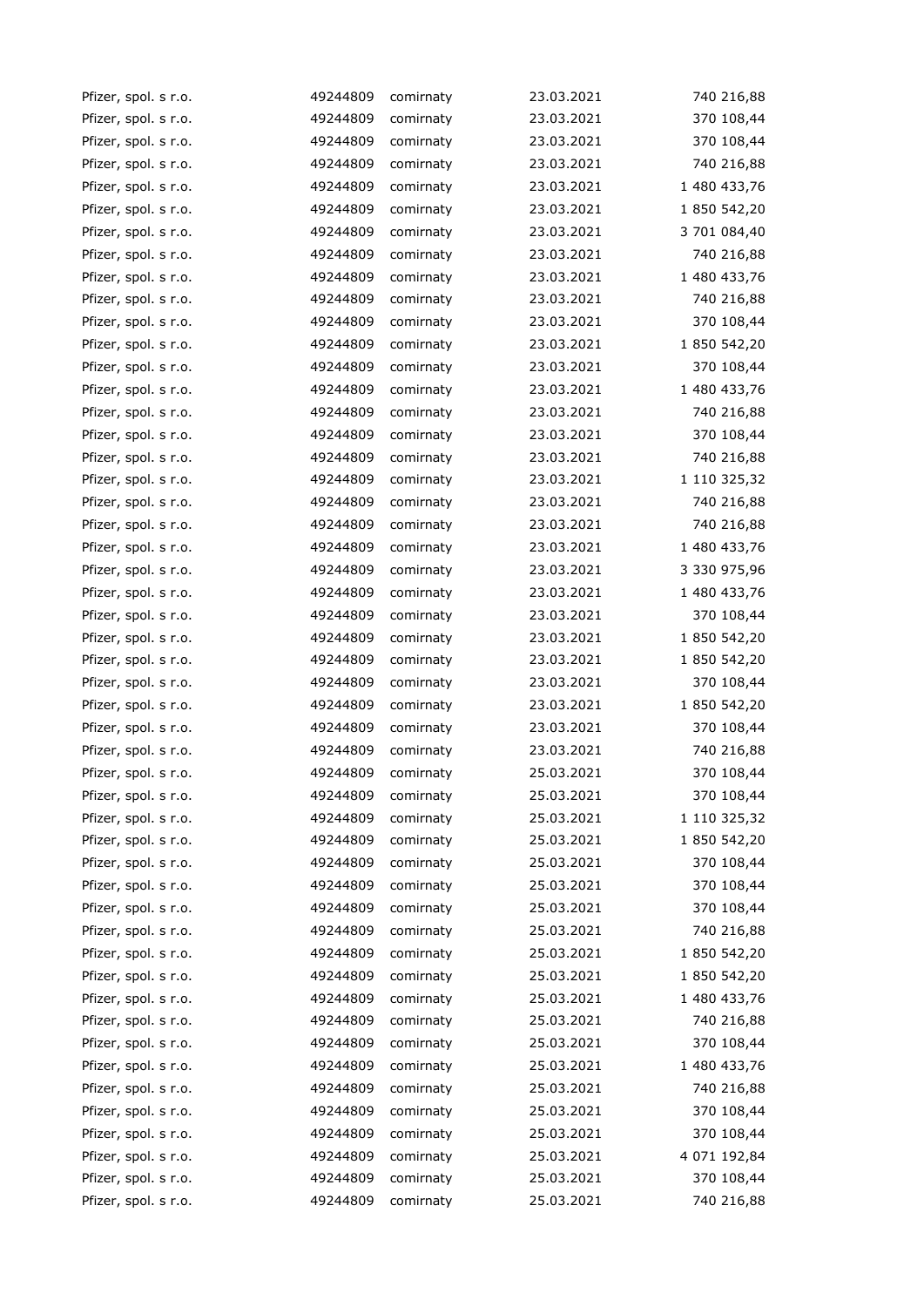| Pfizer, spol. s r.o. | 49244809 | comirnaty | 23.03.2021 | 740 216,88   |
|----------------------|----------|-----------|------------|--------------|
| Pfizer, spol. s r.o. | 49244809 | comirnaty | 23.03.2021 | 370 108,44   |
| Pfizer, spol. s r.o. | 49244809 | comirnaty | 23.03.2021 | 370 108,44   |
| Pfizer, spol. s r.o. | 49244809 | comirnaty | 23.03.2021 | 740 216,88   |
| Pfizer, spol. s r.o. | 49244809 | comirnaty | 23.03.2021 | 1 480 433,76 |
| Pfizer, spol. s r.o. | 49244809 | comirnaty | 23.03.2021 | 1 850 542,20 |
| Pfizer, spol. s r.o. | 49244809 | comirnaty | 23.03.2021 | 3 701 084,40 |
| Pfizer, spol. s r.o. | 49244809 | comirnaty | 23.03.2021 | 740 216,88   |
| Pfizer, spol. s r.o. | 49244809 | comirnaty | 23.03.2021 | 1 480 433,76 |
| Pfizer, spol. s r.o. | 49244809 | comirnaty | 23.03.2021 | 740 216,88   |
| Pfizer, spol. s r.o. | 49244809 | comirnaty | 23.03.2021 | 370 108,44   |
| Pfizer, spol. s r.o. | 49244809 | comirnaty | 23.03.2021 | 1 850 542,20 |
| Pfizer, spol. s r.o. | 49244809 | comirnaty | 23.03.2021 | 370 108,44   |
| Pfizer, spol. s r.o. | 49244809 | comirnaty | 23.03.2021 | 1 480 433,76 |
| Pfizer, spol. s r.o. | 49244809 | comirnaty | 23.03.2021 | 740 216,88   |
| Pfizer, spol. s r.o. | 49244809 | comirnaty | 23.03.2021 | 370 108,44   |
| Pfizer, spol. s r.o. | 49244809 | comirnaty | 23.03.2021 | 740 216,88   |
| Pfizer, spol. s r.o. | 49244809 | comirnaty | 23.03.2021 | 1 110 325,32 |
| Pfizer, spol. s r.o. | 49244809 | comirnaty | 23.03.2021 | 740 216,88   |
| Pfizer, spol. s r.o. | 49244809 | comirnaty | 23.03.2021 | 740 216,88   |
| Pfizer, spol. s r.o. | 49244809 | comirnaty | 23.03.2021 | 1 480 433,76 |
| Pfizer, spol. s r.o. | 49244809 | comirnaty | 23.03.2021 | 3 330 975,96 |
| Pfizer, spol. s r.o. | 49244809 | comirnaty | 23.03.2021 | 1 480 433,76 |
| Pfizer, spol. s r.o. | 49244809 | comirnaty | 23.03.2021 | 370 108,44   |
| Pfizer, spol. s r.o. | 49244809 | comirnaty | 23.03.2021 | 1 850 542,20 |
| Pfizer, spol. s r.o. | 49244809 | comirnaty | 23.03.2021 | 1 850 542,20 |
| Pfizer, spol. s r.o. | 49244809 | comirnaty | 23.03.2021 | 370 108,44   |
| Pfizer, spol. s r.o. | 49244809 | comirnaty | 23.03.2021 | 1 850 542,20 |
| Pfizer, spol. s r.o. | 49244809 | comirnaty | 23.03.2021 | 370 108,44   |
| Pfizer, spol. s r.o. | 49244809 | comirnaty | 23.03.2021 | 740 216,88   |
| Pfizer, spol. s r.o. | 49244809 | comirnaty | 25.03.2021 | 370 108,44   |
| Pfizer, spol. s r.o. | 49244809 | comirnaty | 25.03.2021 | 370 108,44   |
| Pfizer, spol. s r.o. | 49244809 | comirnaty | 25.03.2021 | 1 110 325,32 |
| Pfizer, spol. s r.o. | 49244809 | comirnaty | 25.03.2021 | 1 850 542,20 |
| Pfizer, spol. s r.o. | 49244809 | comirnaty | 25.03.2021 | 370 108,44   |
| Pfizer, spol. s r.o. | 49244809 | comirnaty | 25.03.2021 | 370 108,44   |
| Pfizer, spol. s r.o. | 49244809 | comirnaty | 25.03.2021 | 370 108,44   |
| Pfizer, spol. s r.o. | 49244809 | comirnaty | 25.03.2021 | 740 216,88   |
| Pfizer, spol. s r.o. | 49244809 | comirnaty | 25.03.2021 | 1 850 542,20 |
| Pfizer, spol. s r.o. | 49244809 | comirnaty | 25.03.2021 | 1 850 542,20 |
| Pfizer, spol. s r.o. | 49244809 | comirnaty | 25.03.2021 | 1 480 433,76 |
| Pfizer, spol. s r.o. | 49244809 | comirnaty | 25.03.2021 | 740 216,88   |
| Pfizer, spol. s r.o. | 49244809 | comirnaty | 25.03.2021 | 370 108,44   |
| Pfizer, spol. s r.o. | 49244809 | comirnaty | 25.03.2021 | 1 480 433,76 |
| Pfizer, spol. s r.o. | 49244809 | comirnaty | 25.03.2021 | 740 216,88   |
| Pfizer, spol. s r.o. | 49244809 | comirnaty | 25.03.2021 | 370 108,44   |
| Pfizer, spol. s r.o. | 49244809 | comirnaty | 25.03.2021 | 370 108,44   |
| Pfizer, spol. s r.o. | 49244809 | comirnaty | 25.03.2021 | 4 071 192,84 |
| Pfizer, spol. s r.o. | 49244809 | comirnaty | 25.03.2021 | 370 108,44   |
| Pfizer, spol. s r.o. | 49244809 | comirnaty | 25.03.2021 | 740 216,88   |
|                      |          |           |            |              |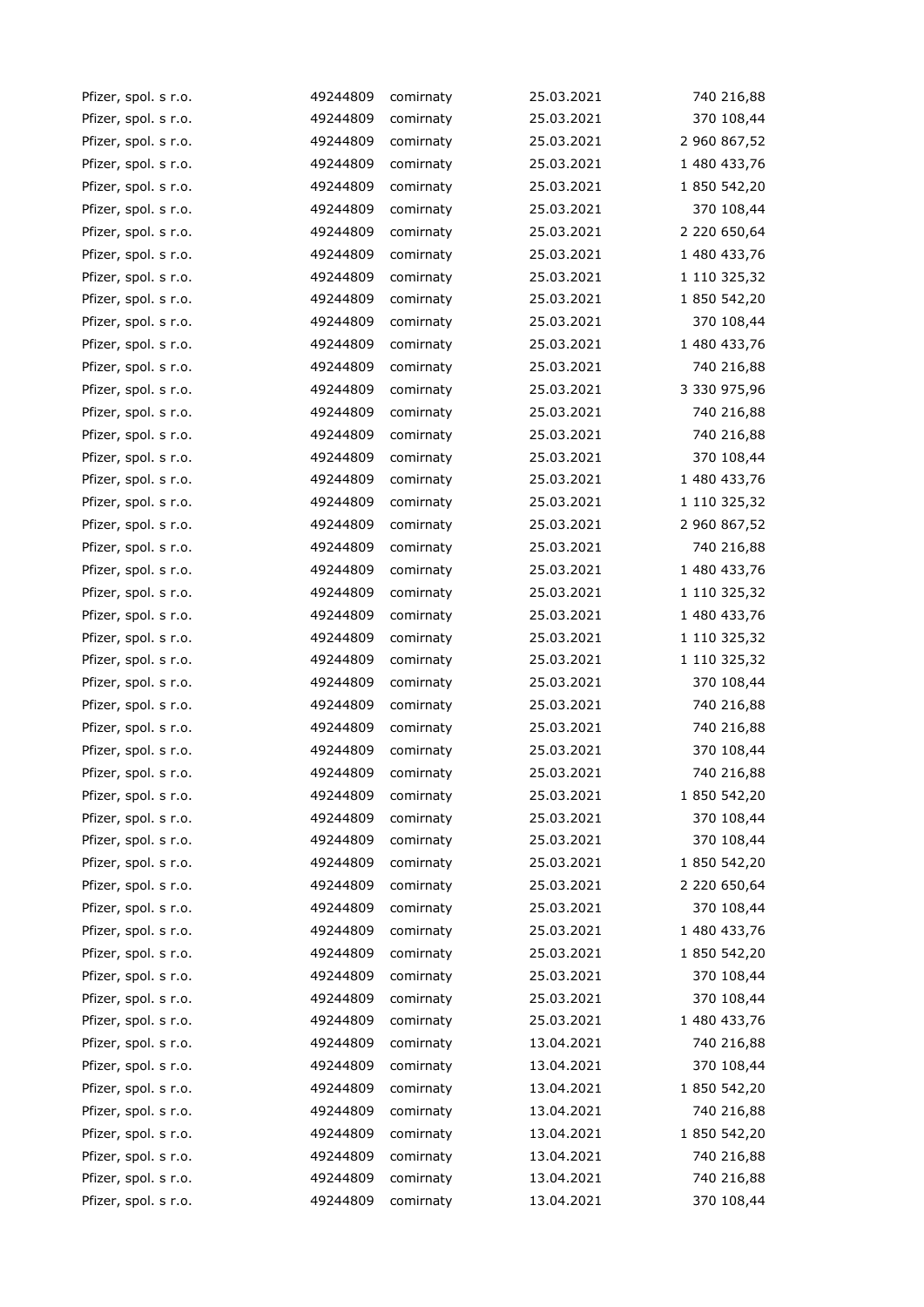| Pfizer, spol. s r.o. | 49244809 | comirnaty | 25.03.2021 | 740 216,88   |
|----------------------|----------|-----------|------------|--------------|
| Pfizer, spol. s r.o. | 49244809 | comirnaty | 25.03.2021 | 370 108,44   |
| Pfizer, spol. s r.o. | 49244809 | comirnaty | 25.03.2021 | 2 960 867,52 |
| Pfizer, spol. s r.o. | 49244809 | comirnaty | 25.03.2021 | 1 480 433,76 |
| Pfizer, spol. s r.o. | 49244809 | comirnaty | 25.03.2021 | 1 850 542,20 |
| Pfizer, spol. s r.o. | 49244809 | comirnaty | 25.03.2021 | 370 108,44   |
| Pfizer, spol. s r.o. | 49244809 | comirnaty | 25.03.2021 | 2 220 650,64 |
| Pfizer, spol. s r.o. | 49244809 | comirnaty | 25.03.2021 | 1 480 433,76 |
| Pfizer, spol. s r.o. | 49244809 | comirnaty | 25.03.2021 | 1 110 325,32 |
| Pfizer, spol. s r.o. | 49244809 | comirnaty | 25.03.2021 | 1 850 542,20 |
| Pfizer, spol. s r.o. | 49244809 | comirnaty | 25.03.2021 | 370 108,44   |
| Pfizer, spol. s r.o. | 49244809 | comirnaty | 25.03.2021 | 1 480 433,76 |
| Pfizer, spol. s r.o. | 49244809 | comirnaty | 25.03.2021 | 740 216,88   |
| Pfizer, spol. s r.o. | 49244809 | comirnaty | 25.03.2021 | 3 330 975,96 |
| Pfizer, spol. s r.o. | 49244809 | comirnaty | 25.03.2021 | 740 216,88   |
| Pfizer, spol. s r.o. | 49244809 | comirnaty | 25.03.2021 | 740 216,88   |
| Pfizer, spol. s r.o. | 49244809 | comirnaty | 25.03.2021 | 370 108,44   |
| Pfizer, spol. s r.o. | 49244809 | comirnaty | 25.03.2021 | 1 480 433,76 |
| Pfizer, spol. s r.o. | 49244809 | comirnaty | 25.03.2021 | 1 110 325,32 |
| Pfizer, spol. s r.o. | 49244809 | comirnaty | 25.03.2021 | 2 960 867,52 |
| Pfizer, spol. s r.o. | 49244809 | comirnaty | 25.03.2021 | 740 216,88   |
| Pfizer, spol. s r.o. | 49244809 | comirnaty | 25.03.2021 | 1 480 433,76 |
| Pfizer, spol. s r.o. | 49244809 | comirnaty | 25.03.2021 | 1 110 325,32 |
| Pfizer, spol. s r.o. | 49244809 | comirnaty | 25.03.2021 | 1 480 433,76 |
| Pfizer, spol. s r.o. | 49244809 | comirnaty | 25.03.2021 | 1 110 325,32 |
| Pfizer, spol. s r.o. | 49244809 | comirnaty | 25.03.2021 | 1 110 325,32 |
| Pfizer, spol. s r.o. | 49244809 | comirnaty | 25.03.2021 | 370 108,44   |
| Pfizer, spol. s r.o. | 49244809 | comirnaty | 25.03.2021 | 740 216,88   |
| Pfizer, spol. s r.o. | 49244809 | comirnaty | 25.03.2021 | 740 216,88   |
| Pfizer, spol. s r.o. | 49244809 | comirnaty | 25.03.2021 | 370 108,44   |
| Pfizer, spol. s r.o. | 49244809 | comirnaty | 25.03.2021 | 740 216,88   |
| Pfizer, spol. s r.o. | 49244809 | comirnaty | 25.03.2021 | 1 850 542,20 |
| Pfizer, spol. s r.o. | 49244809 | comirnaty | 25.03.2021 | 370 108,44   |
| Pfizer, spol. s r.o. | 49244809 | comirnaty | 25.03.2021 | 370 108,44   |
| Pfizer, spol. s r.o. | 49244809 | comirnaty | 25.03.2021 | 1 850 542,20 |
| Pfizer, spol. s r.o. | 49244809 | comirnaty | 25.03.2021 | 2 220 650,64 |
| Pfizer, spol. s r.o. | 49244809 | comirnaty | 25.03.2021 | 370 108,44   |
| Pfizer, spol. s r.o. | 49244809 | comirnaty | 25.03.2021 | 1 480 433,76 |
| Pfizer, spol. s r.o. | 49244809 | comirnaty | 25.03.2021 | 1 850 542,20 |
| Pfizer, spol. s r.o. | 49244809 | comirnaty | 25.03.2021 | 370 108,44   |
| Pfizer, spol. s r.o. | 49244809 | comirnaty | 25.03.2021 | 370 108,44   |
| Pfizer, spol. s r.o. | 49244809 | comirnaty | 25.03.2021 | 1 480 433,76 |
| Pfizer, spol. s r.o. | 49244809 | comirnaty | 13.04.2021 | 740 216,88   |
| Pfizer, spol. s r.o. | 49244809 | comirnaty | 13.04.2021 | 370 108,44   |
| Pfizer, spol. s r.o. | 49244809 | comirnaty | 13.04.2021 | 1 850 542,20 |
| Pfizer, spol. s r.o. | 49244809 | comirnaty | 13.04.2021 | 740 216,88   |
| Pfizer, spol. s r.o. | 49244809 | comirnaty | 13.04.2021 | 1 850 542,20 |
| Pfizer, spol. s r.o. | 49244809 | comirnaty | 13.04.2021 | 740 216,88   |
| Pfizer, spol. s r.o. | 49244809 | comirnaty | 13.04.2021 | 740 216,88   |
| Pfizer, spol. s r.o. | 49244809 | comirnaty | 13.04.2021 | 370 108,44   |
|                      |          |           |            |              |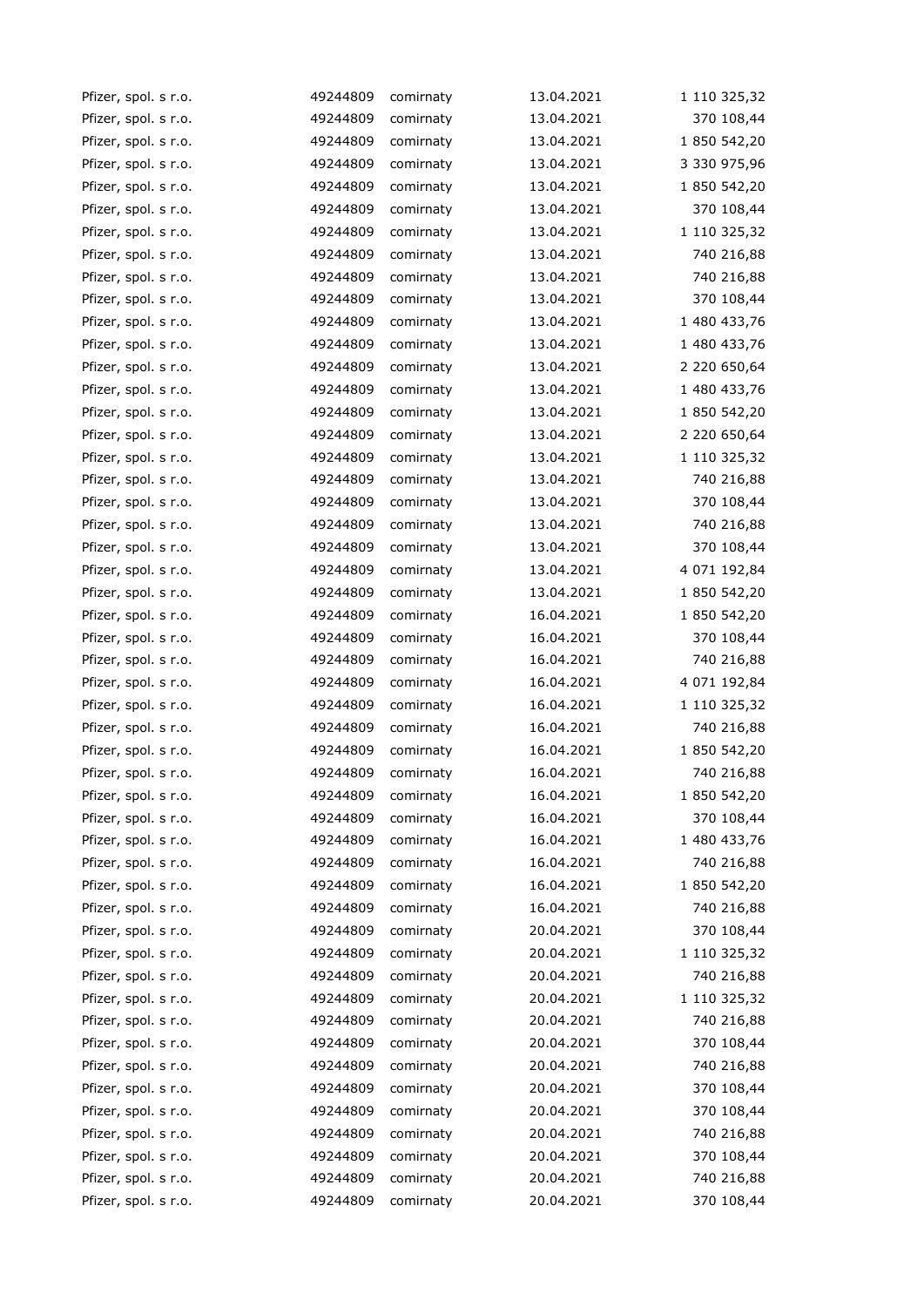| Pfizer, spol. s r.o. | 49244809 | comirnaty | 13.04.2021 | 1 110 325,32 |
|----------------------|----------|-----------|------------|--------------|
| Pfizer, spol. s r.o. | 49244809 | comirnaty | 13.04.2021 | 370 108,44   |
| Pfizer, spol. s r.o. | 49244809 | comirnaty | 13.04.2021 | 1 850 542,20 |
| Pfizer, spol. s r.o. | 49244809 | comirnaty | 13.04.2021 | 3 330 975,96 |
| Pfizer, spol. s r.o. | 49244809 | comirnaty | 13.04.2021 | 1 850 542,20 |
| Pfizer, spol. s r.o. | 49244809 | comirnaty | 13.04.2021 | 370 108,44   |
| Pfizer, spol. s r.o. | 49244809 | comirnaty | 13.04.2021 | 1 110 325,32 |
| Pfizer, spol. s r.o. | 49244809 | comirnaty | 13.04.2021 | 740 216,88   |
| Pfizer, spol. s r.o. | 49244809 | comirnaty | 13.04.2021 | 740 216,88   |
| Pfizer, spol. s r.o. | 49244809 | comirnaty | 13.04.2021 | 370 108,44   |
| Pfizer, spol. s r.o. | 49244809 | comirnaty | 13.04.2021 | 1 480 433,76 |
| Pfizer, spol. s r.o. | 49244809 | comirnaty | 13.04.2021 | 1 480 433,76 |
| Pfizer, spol. s r.o. | 49244809 | comirnaty | 13.04.2021 | 2 220 650,64 |
| Pfizer, spol. s r.o. | 49244809 | comirnaty | 13.04.2021 | 1 480 433,76 |
| Pfizer, spol. s r.o. | 49244809 | comirnaty | 13.04.2021 | 1 850 542,20 |
| Pfizer, spol. s r.o. | 49244809 | comirnaty | 13.04.2021 | 2 220 650,64 |
| Pfizer, spol. s r.o. | 49244809 | comirnaty | 13.04.2021 | 1 110 325,32 |
| Pfizer, spol. s r.o. | 49244809 | comirnaty | 13.04.2021 | 740 216,88   |
| Pfizer, spol. s r.o. | 49244809 | comirnaty | 13.04.2021 | 370 108,44   |
| Pfizer, spol. s r.o. | 49244809 | comirnaty | 13.04.2021 | 740 216,88   |
| Pfizer, spol. s r.o. | 49244809 | comirnaty | 13.04.2021 | 370 108,44   |
| Pfizer, spol. s r.o. | 49244809 | comirnaty | 13.04.2021 | 4 071 192,84 |
| Pfizer, spol. s r.o. | 49244809 | comirnaty | 13.04.2021 | 1 850 542,20 |
| Pfizer, spol. s r.o. | 49244809 | comirnaty | 16.04.2021 | 1 850 542,20 |
| Pfizer, spol. s r.o. | 49244809 | comirnaty | 16.04.2021 | 370 108,44   |
| Pfizer, spol. s r.o. | 49244809 | comirnaty | 16.04.2021 | 740 216,88   |
| Pfizer, spol. s r.o. | 49244809 | comirnaty | 16.04.2021 | 4 071 192,84 |
| Pfizer, spol. s r.o. | 49244809 | comirnaty | 16.04.2021 | 1 110 325,32 |
| Pfizer, spol. s r.o. | 49244809 | comirnaty | 16.04.2021 | 740 216,88   |
| Pfizer, spol. s r.o. | 49244809 | comirnaty | 16.04.2021 | 1 850 542,20 |
| Pfizer, spol. s r.o. | 49244809 | comirnaty | 16.04.2021 | 740 216,88   |
| Pfizer, spol. s r.o. | 49244809 | comirnaty | 16.04.2021 | 1 850 542,20 |
| Pfizer, spol. s r.o. | 49244809 | comirnaty | 16.04.2021 | 370 108,44   |
| Pfizer, spol. s r.o. | 49244809 | comirnaty | 16.04.2021 | 1 480 433,76 |
| Pfizer, spol. s r.o. | 49244809 | comirnaty | 16.04.2021 | 740 216,88   |
| Pfizer, spol. s r.o. | 49244809 | comirnaty | 16.04.2021 | 1 850 542,20 |
| Pfizer, spol. s r.o. | 49244809 | comirnaty | 16.04.2021 | 740 216,88   |
| Pfizer, spol. s r.o. | 49244809 | comirnaty | 20.04.2021 | 370 108,44   |
| Pfizer, spol. s r.o. | 49244809 | comirnaty | 20.04.2021 | 1 110 325,32 |
| Pfizer, spol. s r.o. | 49244809 | comirnaty | 20.04.2021 | 740 216,88   |
| Pfizer, spol. s r.o. | 49244809 | comirnaty | 20.04.2021 | 1 110 325,32 |
| Pfizer, spol. s r.o. | 49244809 | comirnaty | 20.04.2021 | 740 216,88   |
| Pfizer, spol. s r.o. | 49244809 | comirnaty | 20.04.2021 | 370 108,44   |
| Pfizer, spol. s r.o. | 49244809 | comirnaty | 20.04.2021 | 740 216,88   |
| Pfizer, spol. s r.o. | 49244809 | comirnaty | 20.04.2021 | 370 108,44   |
| Pfizer, spol. s r.o. | 49244809 | comirnaty | 20.04.2021 | 370 108,44   |
| Pfizer, spol. s r.o. | 49244809 | comirnaty | 20.04.2021 | 740 216,88   |
| Pfizer, spol. s r.o. | 49244809 | comirnaty | 20.04.2021 | 370 108,44   |
| Pfizer, spol. s r.o. | 49244809 | comirnaty | 20.04.2021 | 740 216,88   |
| Pfizer, spol. s r.o. | 49244809 | comirnaty | 20.04.2021 | 370 108,44   |
|                      |          |           |            |              |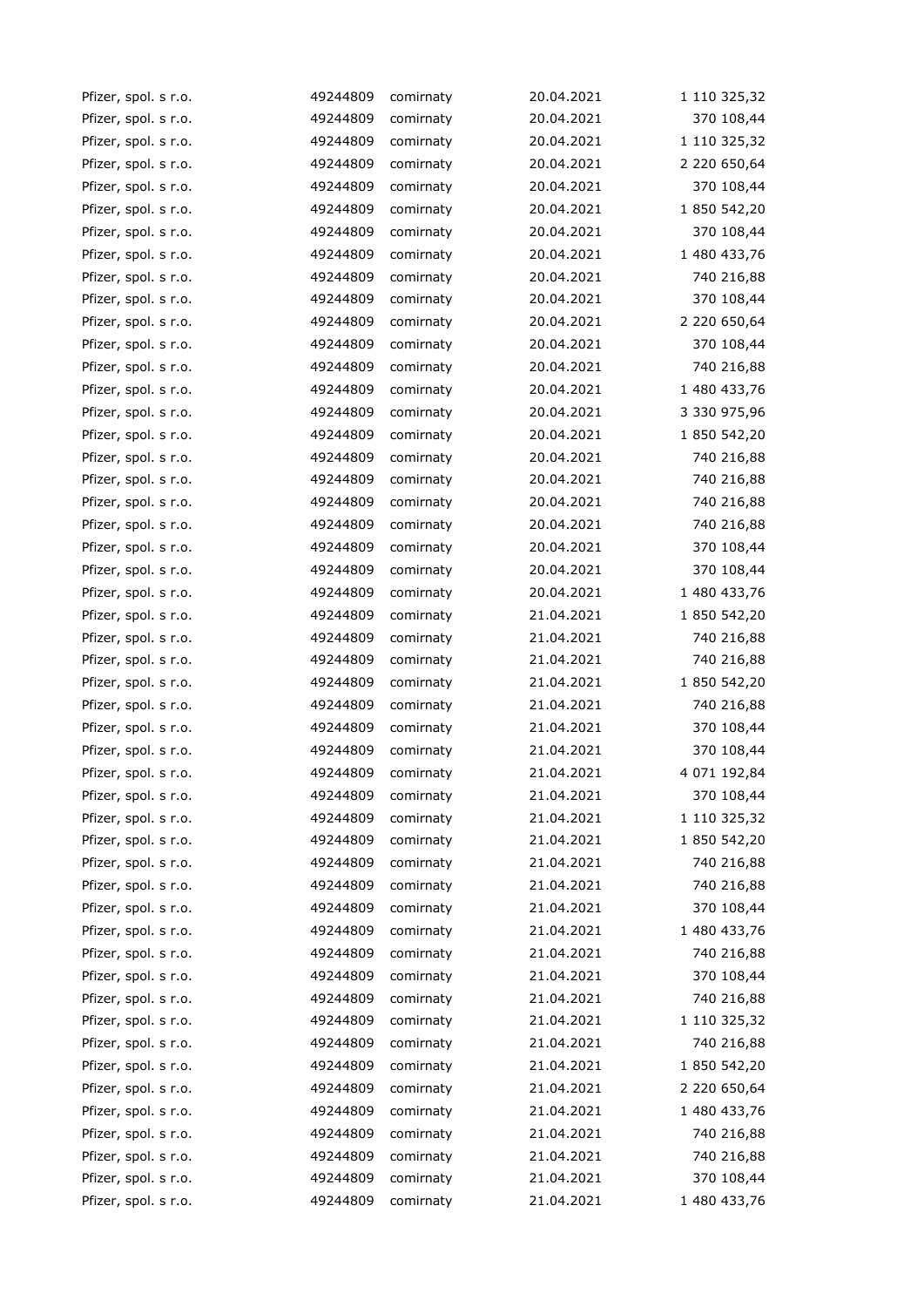| Pfizer, spol. s r.o. | 49244809 | comirnaty | 20.04.2021 | 1 110 325,32 |
|----------------------|----------|-----------|------------|--------------|
| Pfizer, spol. s r.o. | 49244809 | comirnaty | 20.04.2021 | 370 108,44   |
| Pfizer, spol. s r.o. | 49244809 | comirnaty | 20.04.2021 | 1 110 325,32 |
| Pfizer, spol. s r.o. | 49244809 | comirnaty | 20.04.2021 | 2 220 650,64 |
| Pfizer, spol. s r.o. | 49244809 | comirnaty | 20.04.2021 | 370 108,44   |
| Pfizer, spol. s r.o. | 49244809 | comirnaty | 20.04.2021 | 1 850 542,20 |
| Pfizer, spol. s r.o. | 49244809 | comirnaty | 20.04.2021 | 370 108,44   |
| Pfizer, spol. s r.o. | 49244809 | comirnaty | 20.04.2021 | 1 480 433,76 |
| Pfizer, spol. s r.o. | 49244809 | comirnaty | 20.04.2021 | 740 216,88   |
| Pfizer, spol. s r.o. | 49244809 | comirnaty | 20.04.2021 | 370 108,44   |
| Pfizer, spol. s r.o. | 49244809 | comirnaty | 20.04.2021 | 2 220 650,64 |
| Pfizer, spol. s r.o. | 49244809 | comirnaty | 20.04.2021 | 370 108,44   |
| Pfizer, spol. s r.o. | 49244809 | comirnaty | 20.04.2021 | 740 216,88   |
| Pfizer, spol. s r.o. | 49244809 | comirnaty | 20.04.2021 | 1 480 433,76 |
| Pfizer, spol. s r.o. | 49244809 | comirnaty | 20.04.2021 | 3 330 975,96 |
| Pfizer, spol. s r.o. | 49244809 | comirnaty | 20.04.2021 | 1 850 542,20 |
| Pfizer, spol. s r.o. | 49244809 | comirnaty | 20.04.2021 | 740 216,88   |
| Pfizer, spol. s r.o. | 49244809 | comirnaty | 20.04.2021 | 740 216,88   |
| Pfizer, spol. s r.o. | 49244809 | comirnaty | 20.04.2021 | 740 216,88   |
| Pfizer, spol. s r.o. | 49244809 | comirnaty | 20.04.2021 | 740 216,88   |
| Pfizer, spol. s r.o. | 49244809 | comirnaty | 20.04.2021 | 370 108,44   |
| Pfizer, spol. s r.o. | 49244809 | comirnaty | 20.04.2021 | 370 108,44   |
| Pfizer, spol. s r.o. | 49244809 | comirnaty | 20.04.2021 | 1 480 433,76 |
| Pfizer, spol. s r.o. | 49244809 | comirnaty | 21.04.2021 | 1 850 542,20 |
| Pfizer, spol. s r.o. | 49244809 | comirnaty | 21.04.2021 | 740 216,88   |
| Pfizer, spol. s r.o. | 49244809 | comirnaty | 21.04.2021 | 740 216,88   |
| Pfizer, spol. s r.o. | 49244809 | comirnaty | 21.04.2021 | 1 850 542,20 |
| Pfizer, spol. s r.o. | 49244809 | comirnaty | 21.04.2021 | 740 216,88   |
| Pfizer, spol. s r.o. | 49244809 | comirnaty | 21.04.2021 | 370 108,44   |
| Pfizer, spol. s r.o. | 49244809 | comirnaty | 21.04.2021 | 370 108,44   |
| Pfizer, spol. s r.o. | 49244809 | comirnaty | 21.04.2021 | 4 071 192,84 |
| Pfizer, spol. s r.o. | 49244809 | comirnaty | 21.04.2021 | 370 108,44   |
| Pfizer, spol. s r.o. | 49244809 | comirnaty | 21.04.2021 | 1 110 325,32 |
| Pfizer, spol. s r.o. | 49244809 | comirnaty | 21.04.2021 | 1 850 542,20 |
| Pfizer, spol. s r.o. | 49244809 | comirnaty | 21.04.2021 | 740 216,88   |
| Pfizer, spol. s r.o. | 49244809 | comirnaty | 21.04.2021 | 740 216,88   |
| Pfizer, spol. s r.o. | 49244809 | comirnaty | 21.04.2021 | 370 108,44   |
| Pfizer, spol. s r.o. | 49244809 | comirnaty | 21.04.2021 | 1 480 433,76 |
| Pfizer, spol. s r.o. | 49244809 | comirnaty | 21.04.2021 | 740 216,88   |
| Pfizer, spol. s r.o. | 49244809 | comirnaty | 21.04.2021 | 370 108,44   |
| Pfizer, spol. s r.o. | 49244809 | comirnaty | 21.04.2021 | 740 216,88   |
| Pfizer, spol. s r.o. | 49244809 | comirnaty | 21.04.2021 | 1 110 325,32 |
| Pfizer, spol. s r.o. | 49244809 | comirnaty | 21.04.2021 | 740 216,88   |
| Pfizer, spol. s r.o. | 49244809 | comirnaty | 21.04.2021 | 1 850 542,20 |
| Pfizer, spol. s r.o. | 49244809 | comirnaty | 21.04.2021 | 2 220 650,64 |
| Pfizer, spol. s r.o. | 49244809 | comirnaty | 21.04.2021 | 1 480 433,76 |
| Pfizer, spol. s r.o. | 49244809 | comirnaty | 21.04.2021 | 740 216,88   |
| Pfizer, spol. s r.o. | 49244809 | comirnaty | 21.04.2021 | 740 216,88   |
| Pfizer, spol. s r.o. | 49244809 | comirnaty | 21.04.2021 | 370 108,44   |
| Pfizer, spol. s r.o. | 49244809 | comirnaty | 21.04.2021 | 1 480 433,76 |
|                      |          |           |            |              |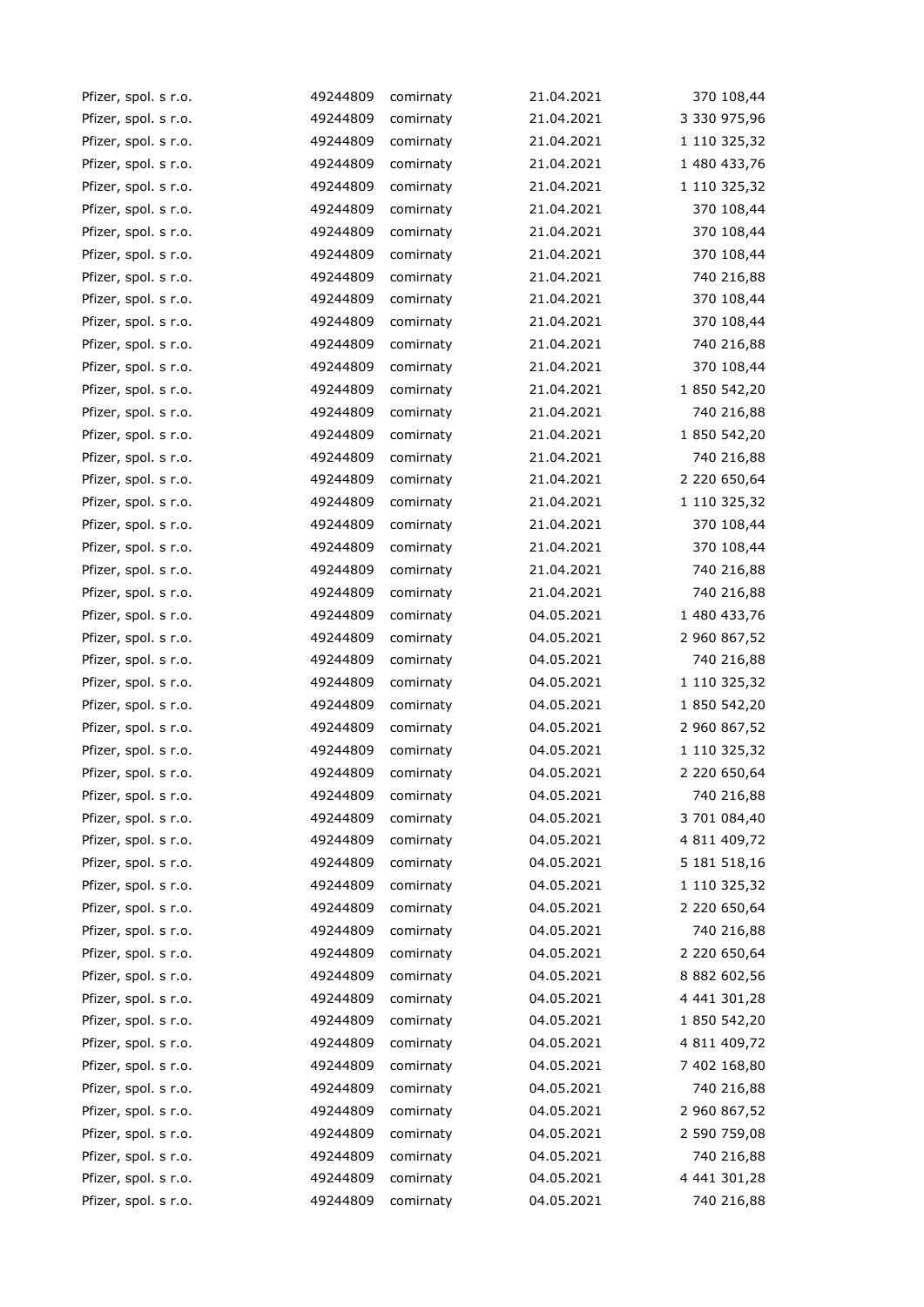| Pfizer, spol. s r.o. | 49244809 | comirnaty | 21.04.2021 | 370 108,44   |
|----------------------|----------|-----------|------------|--------------|
| Pfizer, spol. s r.o. | 49244809 | comirnaty | 21.04.2021 | 3 330 975,96 |
| Pfizer, spol. s r.o. | 49244809 | comirnaty | 21.04.2021 | 1 110 325,32 |
| Pfizer, spol. s r.o. | 49244809 | comirnaty | 21.04.2021 | 1 480 433,76 |
| Pfizer, spol. s r.o. | 49244809 | comirnaty | 21.04.2021 | 1 110 325,32 |
| Pfizer, spol. s r.o. | 49244809 | comirnaty | 21.04.2021 | 370 108,44   |
| Pfizer, spol. s r.o. | 49244809 | comirnaty | 21.04.2021 | 370 108,44   |
| Pfizer, spol. s r.o. | 49244809 | comirnaty | 21.04.2021 | 370 108,44   |
| Pfizer, spol. s r.o. | 49244809 | comirnaty | 21.04.2021 | 740 216,88   |
| Pfizer, spol. s r.o. | 49244809 | comirnaty | 21.04.2021 | 370 108,44   |
| Pfizer, spol. s r.o. | 49244809 | comirnaty | 21.04.2021 | 370 108,44   |
| Pfizer, spol. s r.o. | 49244809 | comirnaty | 21.04.2021 | 740 216,88   |
| Pfizer, spol. s r.o. | 49244809 | comirnaty | 21.04.2021 | 370 108,44   |
| Pfizer, spol. s r.o. | 49244809 | comirnaty | 21.04.2021 | 1 850 542,20 |
| Pfizer, spol. s r.o. | 49244809 | comirnaty | 21.04.2021 | 740 216,88   |
| Pfizer, spol. s r.o. | 49244809 | comirnaty | 21.04.2021 | 1 850 542,20 |
| Pfizer, spol. s r.o. | 49244809 | comirnaty | 21.04.2021 | 740 216,88   |
| Pfizer, spol. s r.o. | 49244809 | comirnaty | 21.04.2021 | 2 220 650,64 |
| Pfizer, spol. s r.o. | 49244809 | comirnaty | 21.04.2021 | 1 110 325,32 |
| Pfizer, spol. s r.o. | 49244809 | comirnaty | 21.04.2021 | 370 108,44   |
| Pfizer, spol. s r.o. | 49244809 | comirnaty | 21.04.2021 | 370 108,44   |
| Pfizer, spol. s r.o. | 49244809 | comirnaty | 21.04.2021 | 740 216,88   |
| Pfizer, spol. s r.o. | 49244809 | comirnaty | 21.04.2021 | 740 216,88   |
| Pfizer, spol. s r.o. | 49244809 | comirnaty | 04.05.2021 | 1 480 433,76 |
| Pfizer, spol. s r.o. | 49244809 | comirnaty | 04.05.2021 | 2 960 867,52 |
| Pfizer, spol. s r.o. | 49244809 | comirnaty | 04.05.2021 | 740 216,88   |
| Pfizer, spol. s r.o. | 49244809 | comirnaty | 04.05.2021 | 1 110 325,32 |
| Pfizer, spol. s r.o. | 49244809 | comirnaty | 04.05.2021 | 1 850 542,20 |
| Pfizer, spol. s r.o. | 49244809 | comirnaty | 04.05.2021 | 2 960 867,52 |
| Pfizer, spol. s r.o. | 49244809 | comirnaty | 04.05.2021 | 1 110 325,32 |
| Pfizer, spol. s r.o. | 49244809 | comirnaty | 04.05.2021 | 2 220 650,64 |
| Pfizer, spol. s r.o. | 49244809 | comirnaty | 04.05.2021 | 740 216,88   |
| Pfizer, spol. s r.o. | 49244809 | comirnaty | 04.05.2021 | 3 701 084,40 |
| Pfizer, spol. s r.o. | 49244809 | comirnaty | 04.05.2021 | 4 811 409,72 |
| Pfizer, spol. s r.o. | 49244809 | comirnaty | 04.05.2021 | 5 181 518,16 |
| Pfizer, spol. s r.o. | 49244809 | comirnaty | 04.05.2021 | 1 110 325,32 |
| Pfizer, spol. s r.o. | 49244809 | comirnaty | 04.05.2021 | 2 220 650,64 |
| Pfizer, spol. s r.o. | 49244809 | comirnaty | 04.05.2021 | 740 216,88   |
| Pfizer, spol. s r.o. | 49244809 | comirnaty | 04.05.2021 | 2 220 650,64 |
| Pfizer, spol. s r.o. | 49244809 | comirnaty | 04.05.2021 | 8 882 602,56 |
| Pfizer, spol. s r.o. | 49244809 | comirnaty | 04.05.2021 | 4 441 301,28 |
| Pfizer, spol. s r.o. | 49244809 | comirnaty | 04.05.2021 | 1 850 542,20 |
| Pfizer, spol. s r.o. | 49244809 | comirnaty | 04.05.2021 | 4 811 409,72 |
| Pfizer, spol. s r.o. | 49244809 | comirnaty | 04.05.2021 | 7 402 168,80 |
| Pfizer, spol. s r.o. | 49244809 | comirnaty | 04.05.2021 | 740 216,88   |
| Pfizer, spol. s r.o. | 49244809 | comirnaty | 04.05.2021 | 2 960 867,52 |
| Pfizer, spol. s r.o. | 49244809 | comirnaty | 04.05.2021 | 2 590 759,08 |
| Pfizer, spol. s r.o. | 49244809 | comirnaty | 04.05.2021 | 740 216,88   |
| Pfizer, spol. s r.o. | 49244809 | comirnaty | 04.05.2021 | 4 441 301,28 |
| Pfizer, spol. s r.o. | 49244809 | comirnaty | 04.05.2021 | 740 216,88   |
|                      |          |           |            |              |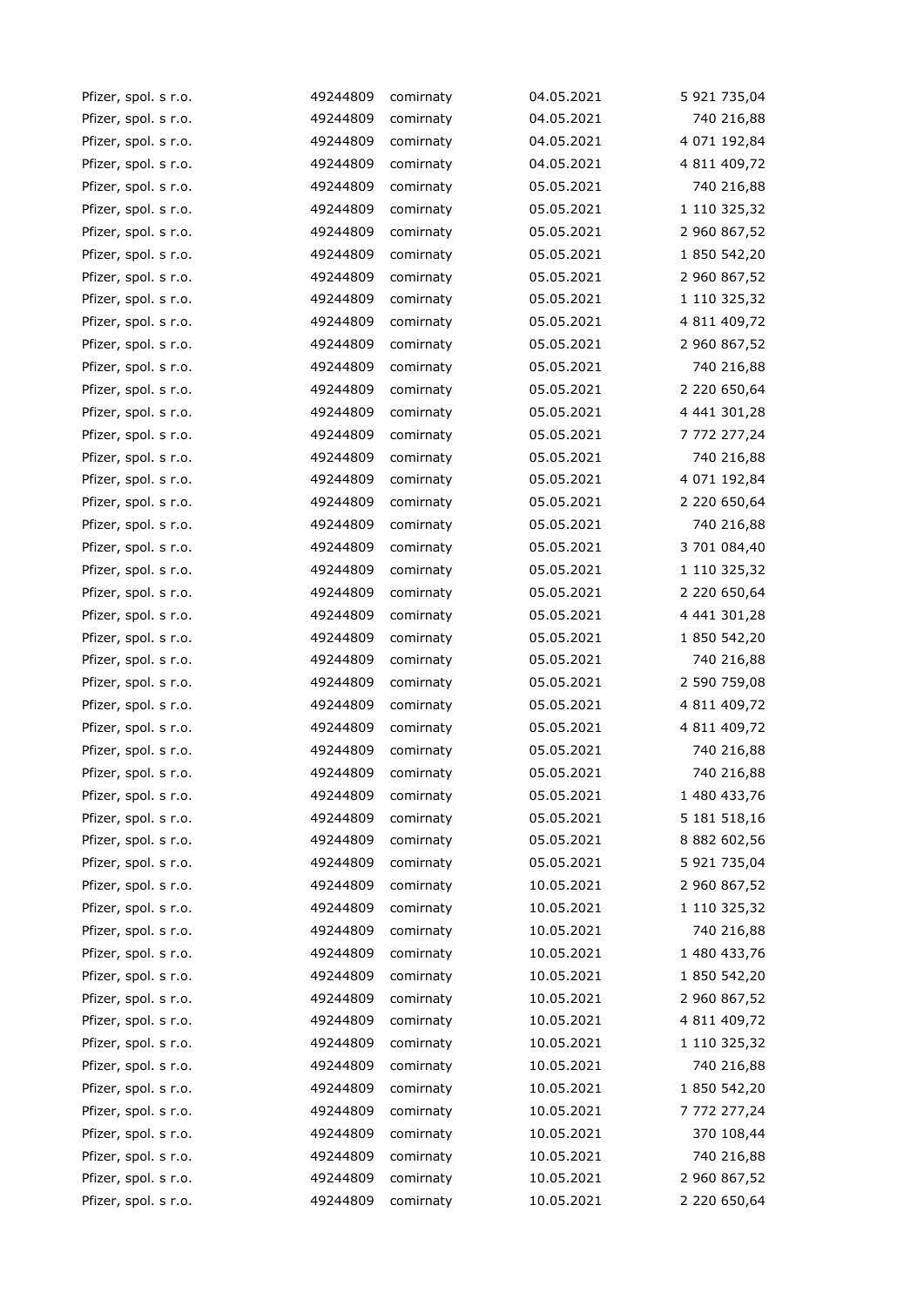| Pfizer, spol. s r.o. | 49244809 | comirnaty | 04.05.2021 | 5 921 735,04 |
|----------------------|----------|-----------|------------|--------------|
| Pfizer, spol. s r.o. | 49244809 | comirnaty | 04.05.2021 | 740 216,88   |
| Pfizer, spol. s r.o. | 49244809 | comirnaty | 04.05.2021 | 4 071 192,84 |
| Pfizer, spol. s r.o. | 49244809 | comirnaty | 04.05.2021 | 4 811 409,72 |
| Pfizer, spol. s r.o. | 49244809 | comirnaty | 05.05.2021 | 740 216,88   |
| Pfizer, spol. s r.o. | 49244809 | comirnaty | 05.05.2021 | 1 110 325,32 |
| Pfizer, spol. s r.o. | 49244809 | comirnaty | 05.05.2021 | 2 960 867,52 |
| Pfizer, spol. s r.o. | 49244809 | comirnaty | 05.05.2021 | 1 850 542,20 |
| Pfizer, spol. s r.o. | 49244809 | comirnaty | 05.05.2021 | 2 960 867,52 |
| Pfizer, spol. s r.o. | 49244809 | comirnaty | 05.05.2021 | 1 110 325,32 |
| Pfizer, spol. s r.o. | 49244809 | comirnaty | 05.05.2021 | 4 811 409,72 |
| Pfizer, spol. s r.o. | 49244809 | comirnaty | 05.05.2021 | 2 960 867,52 |
| Pfizer, spol. s r.o. | 49244809 | comirnaty | 05.05.2021 | 740 216,88   |
| Pfizer, spol. s r.o. | 49244809 | comirnaty | 05.05.2021 | 2 220 650,64 |
| Pfizer, spol. s r.o. | 49244809 | comirnaty | 05.05.2021 | 4 441 301,28 |
| Pfizer, spol. s r.o. | 49244809 | comirnaty | 05.05.2021 | 7 772 277,24 |
| Pfizer, spol. s r.o. | 49244809 | comirnaty | 05.05.2021 | 740 216,88   |
| Pfizer, spol. s r.o. | 49244809 | comirnaty | 05.05.2021 | 4 071 192,84 |
| Pfizer, spol. s r.o. | 49244809 | comirnaty | 05.05.2021 | 2 220 650,64 |
| Pfizer, spol. s r.o. | 49244809 | comirnaty | 05.05.2021 | 740 216,88   |
| Pfizer, spol. s r.o. | 49244809 | comirnaty | 05.05.2021 | 3 701 084,40 |
| Pfizer, spol. s r.o. | 49244809 | comirnaty | 05.05.2021 | 1 110 325,32 |
| Pfizer, spol. s r.o. | 49244809 | comirnaty | 05.05.2021 | 2 220 650,64 |
| Pfizer, spol. s r.o. | 49244809 | comirnaty | 05.05.2021 | 4 441 301,28 |
| Pfizer, spol. s r.o. | 49244809 | comirnaty | 05.05.2021 | 1 850 542,20 |
| Pfizer, spol. s r.o. | 49244809 | comirnaty | 05.05.2021 | 740 216,88   |
| Pfizer, spol. s r.o. | 49244809 | comirnaty | 05.05.2021 | 2 590 759,08 |
| Pfizer, spol. s r.o. | 49244809 | comirnaty | 05.05.2021 | 4 811 409,72 |
| Pfizer, spol. s r.o. | 49244809 | comirnaty | 05.05.2021 | 4 811 409,72 |
| Pfizer, spol. s r.o. | 49244809 | comirnaty | 05.05.2021 | 740 216,88   |
| Pfizer, spol. s r.o. | 49244809 | comirnaty | 05.05.2021 | 740 216,88   |
| Pfizer, spol. s r.o. | 49244809 | comirnaty | 05.05.2021 | 1 480 433,76 |
| Pfizer, spol. s r.o. | 49244809 | comirnaty | 05.05.2021 | 5 181 518,16 |
| Pfizer, spol. s r.o. | 49244809 | comirnaty | 05.05.2021 | 8 882 602,56 |
| Pfizer, spol. s r.o. | 49244809 | comirnaty | 05.05.2021 | 5 921 735,04 |
| Pfizer, spol. s r.o. | 49244809 | comirnaty | 10.05.2021 | 2 960 867,52 |
| Pfizer, spol. s r.o. | 49244809 | comirnaty | 10.05.2021 | 1 110 325,32 |
| Pfizer, spol. s r.o. | 49244809 | comirnaty | 10.05.2021 | 740 216,88   |
| Pfizer, spol. s r.o. | 49244809 | comirnaty | 10.05.2021 | 1 480 433,76 |
| Pfizer, spol. s r.o. | 49244809 | comirnaty | 10.05.2021 | 1 850 542,20 |
| Pfizer, spol. s r.o. | 49244809 | comirnaty | 10.05.2021 | 2 960 867,52 |
| Pfizer, spol. s r.o. | 49244809 | comirnaty | 10.05.2021 | 4 811 409,72 |
| Pfizer, spol. s r.o. | 49244809 | comirnaty | 10.05.2021 | 1 110 325,32 |
| Pfizer, spol. s r.o. | 49244809 | comirnaty | 10.05.2021 | 740 216,88   |
| Pfizer, spol. s r.o. | 49244809 | comirnaty | 10.05.2021 | 1 850 542,20 |
| Pfizer, spol. s r.o. | 49244809 | comirnaty | 10.05.2021 | 7 772 277,24 |
| Pfizer, spol. s r.o. | 49244809 | comirnaty | 10.05.2021 | 370 108,44   |
| Pfizer, spol. s r.o. | 49244809 | comirnaty | 10.05.2021 | 740 216,88   |
| Pfizer, spol. s r.o. | 49244809 | comirnaty | 10.05.2021 | 2 960 867,52 |
| Pfizer, spol. s r.o. | 49244809 | comirnaty | 10.05.2021 | 2 220 650,64 |
|                      |          |           |            |              |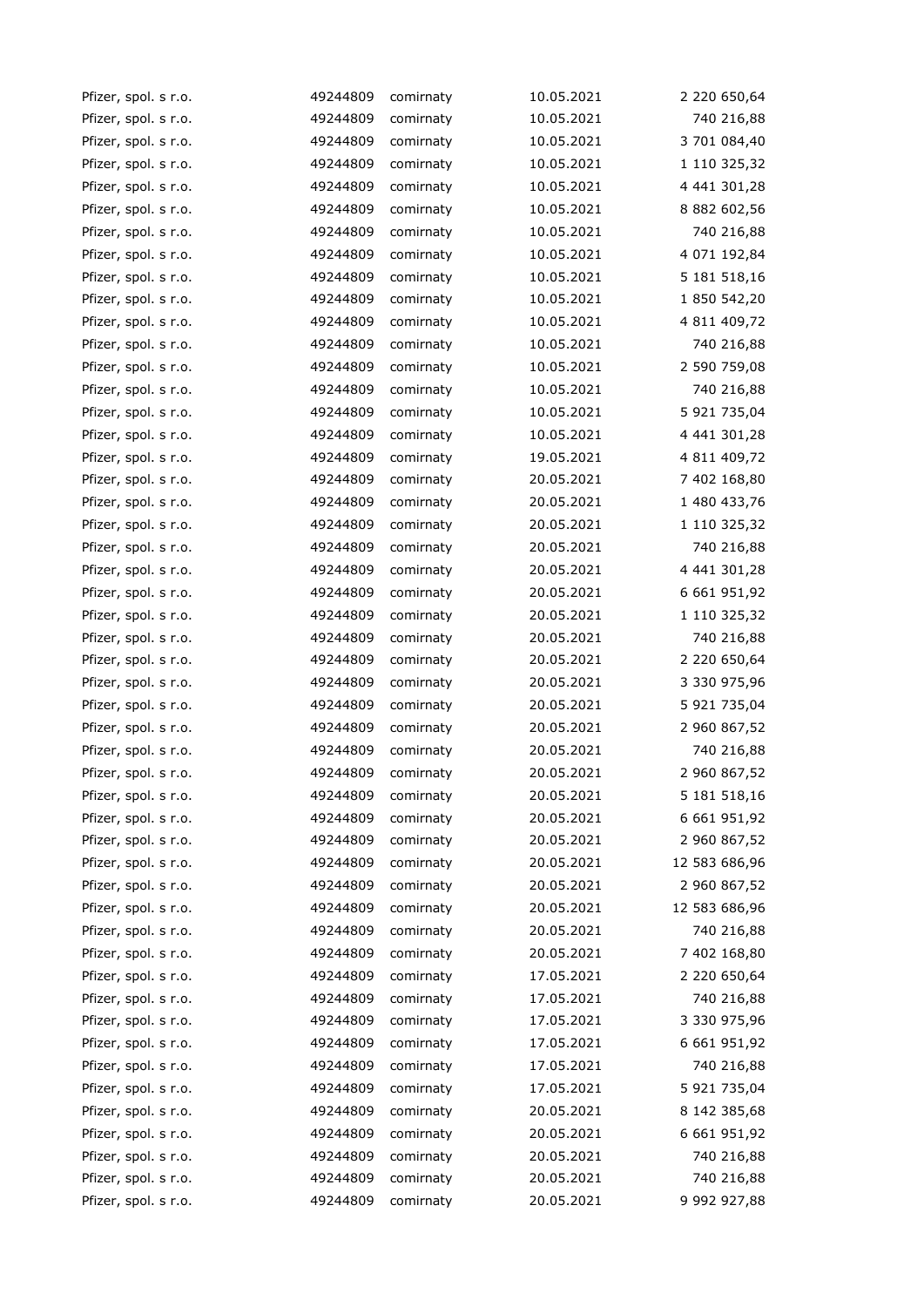| Pfizer, spol. s r.o. | 49244809 | comirnaty | 10.05.2021 | 2 220 650,64   |
|----------------------|----------|-----------|------------|----------------|
| Pfizer, spol. s r.o. | 49244809 | comirnaty | 10.05.2021 | 740 216,88     |
| Pfizer, spol. s r.o. | 49244809 | comirnaty | 10.05.2021 | 3 701 084,40   |
| Pfizer, spol. s r.o. | 49244809 | comirnaty | 10.05.2021 | 1 110 325,32   |
| Pfizer, spol. s r.o. | 49244809 | comirnaty | 10.05.2021 | 4 441 301,28   |
| Pfizer, spol. s r.o. | 49244809 | comirnaty | 10.05.2021 | 8 882 602,56   |
| Pfizer, spol. s r.o. | 49244809 | comirnaty | 10.05.2021 | 740 216,88     |
| Pfizer, spol. s r.o. | 49244809 | comirnaty | 10.05.2021 | 4 071 192,84   |
| Pfizer, spol. s r.o. | 49244809 | comirnaty | 10.05.2021 | 5 181 5 18, 16 |
| Pfizer, spol. s r.o. | 49244809 | comirnaty | 10.05.2021 | 1 850 542,20   |
| Pfizer, spol. s r.o. | 49244809 | comirnaty | 10.05.2021 | 4 811 409,72   |
| Pfizer, spol. s r.o. | 49244809 | comirnaty | 10.05.2021 | 740 216,88     |
| Pfizer, spol. s r.o. | 49244809 | comirnaty | 10.05.2021 | 2 590 759,08   |
| Pfizer, spol. s r.o. | 49244809 | comirnaty | 10.05.2021 | 740 216,88     |
| Pfizer, spol. s r.o. | 49244809 | comirnaty | 10.05.2021 | 5 921 735,04   |
| Pfizer, spol. s r.o. | 49244809 | comirnaty | 10.05.2021 | 4 441 301,28   |
| Pfizer, spol. s r.o. | 49244809 | comirnaty | 19.05.2021 | 4 811 409,72   |
| Pfizer, spol. s r.o. | 49244809 | comirnaty | 20.05.2021 | 7 402 168,80   |
| Pfizer, spol. s r.o. | 49244809 | comirnaty | 20.05.2021 | 1 480 433,76   |
| Pfizer, spol. s r.o. | 49244809 | comirnaty | 20.05.2021 | 1 110 325,32   |
| Pfizer, spol. s r.o. | 49244809 | comirnaty | 20.05.2021 | 740 216,88     |
| Pfizer, spol. s r.o. | 49244809 | comirnaty | 20.05.2021 | 4 441 301,28   |
| Pfizer, spol. s r.o. | 49244809 | comirnaty | 20.05.2021 | 6 661 951,92   |
| Pfizer, spol. s r.o. | 49244809 | comirnaty | 20.05.2021 | 1 110 325,32   |
| Pfizer, spol. s r.o. | 49244809 | comirnaty | 20.05.2021 | 740 216,88     |
| Pfizer, spol. s r.o. | 49244809 | comirnaty | 20.05.2021 | 2 220 650,64   |
| Pfizer, spol. s r.o. | 49244809 | comirnaty | 20.05.2021 | 3 330 975,96   |
| Pfizer, spol. s r.o. | 49244809 | comirnaty | 20.05.2021 | 5 921 735,04   |
| Pfizer, spol. s r.o. | 49244809 | comirnaty | 20.05.2021 | 2 960 867,52   |
| Pfizer, spol. s r.o. | 49244809 | comirnaty | 20.05.2021 | 740 216,88     |
| Pfizer, spol. s r.o. | 49244809 | comirnaty | 20.05.2021 | 2 960 867,52   |
| Pfizer, spol. s r.o. | 49244809 | comirnaty | 20.05.2021 | 5 181 518,16   |
| Pfizer, spol. s r.o. | 49244809 | comirnaty | 20.05.2021 | 6 661 951,92   |
| Pfizer, spol. s r.o. | 49244809 | comirnaty | 20.05.2021 | 2 960 867,52   |
| Pfizer, spol. s r.o. | 49244809 | comirnaty | 20.05.2021 | 12 583 686,96  |
| Pfizer, spol. s r.o. | 49244809 | comirnaty | 20.05.2021 | 2 960 867,52   |
| Pfizer, spol. s r.o. | 49244809 | comirnaty | 20.05.2021 | 12 583 686,96  |
| Pfizer, spol. s r.o. | 49244809 | comirnaty | 20.05.2021 | 740 216,88     |
| Pfizer, spol. s r.o. | 49244809 | comirnaty | 20.05.2021 | 7 402 168,80   |
| Pfizer, spol. s r.o. | 49244809 | comirnaty | 17.05.2021 | 2 220 650,64   |
| Pfizer, spol. s r.o. | 49244809 | comirnaty | 17.05.2021 | 740 216,88     |
| Pfizer, spol. s r.o. | 49244809 | comirnaty | 17.05.2021 | 3 330 975,96   |
| Pfizer, spol. s r.o. | 49244809 | comirnaty | 17.05.2021 | 6 661 951,92   |
| Pfizer, spol. s r.o. | 49244809 | comirnaty | 17.05.2021 | 740 216,88     |
| Pfizer, spol. s r.o. | 49244809 | comirnaty | 17.05.2021 | 5 921 735,04   |
| Pfizer, spol. s r.o. | 49244809 | comirnaty | 20.05.2021 | 8 142 385,68   |
| Pfizer, spol. s r.o. | 49244809 | comirnaty | 20.05.2021 | 6 661 951,92   |
| Pfizer, spol. s r.o. | 49244809 | comirnaty | 20.05.2021 | 740 216,88     |
| Pfizer, spol. s r.o. | 49244809 | comirnaty | 20.05.2021 | 740 216,88     |
| Pfizer, spol. s r.o. | 49244809 | comirnaty | 20.05.2021 | 9 992 927,88   |
|                      |          |           |            |                |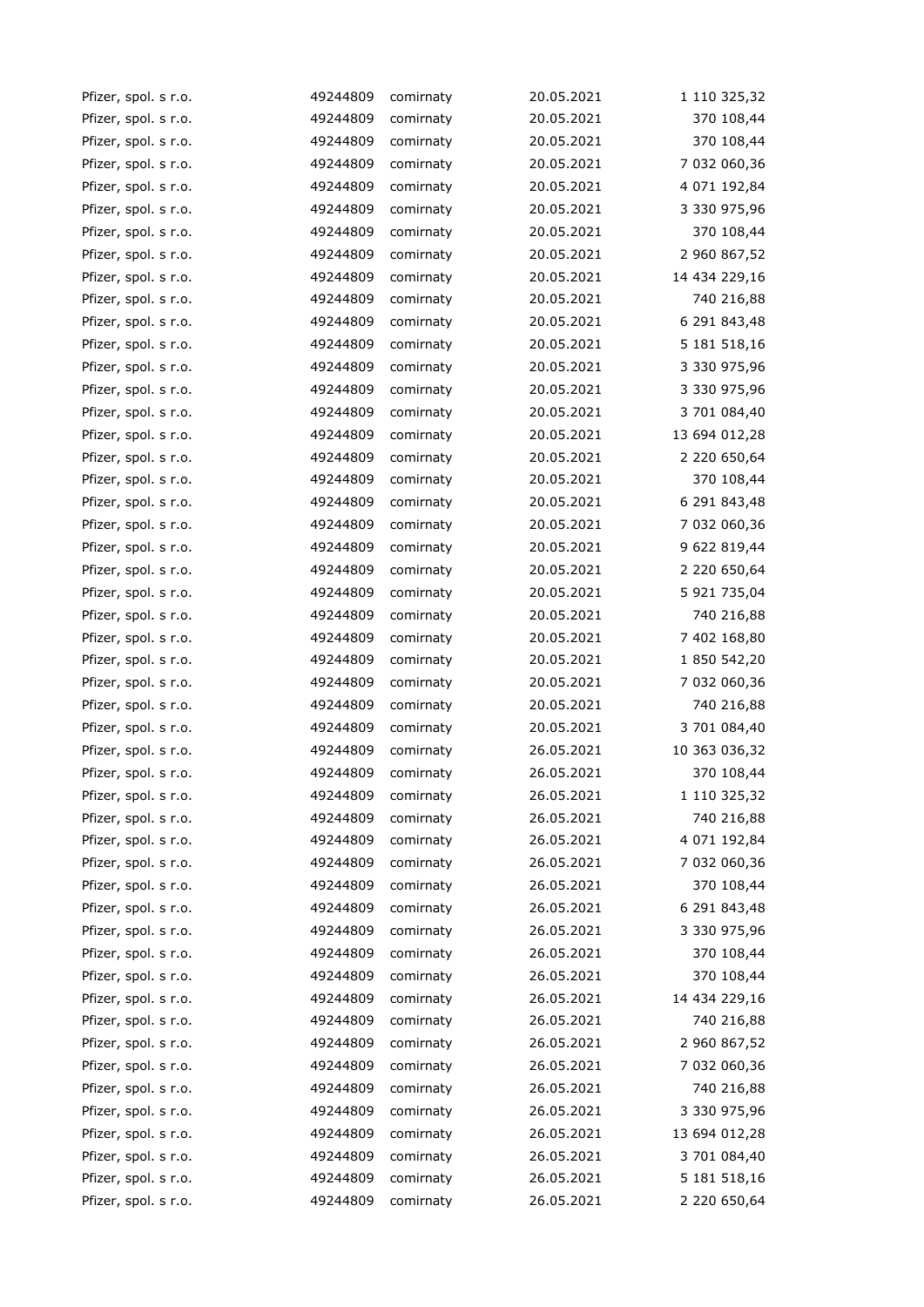| Pfizer, spol. s r.o. | 49244809 | comirnaty | 20.05.2021 | 1 110 325,32  |
|----------------------|----------|-----------|------------|---------------|
| Pfizer, spol. s r.o. | 49244809 | comirnaty | 20.05.2021 | 370 108,44    |
| Pfizer, spol. s r.o. | 49244809 | comirnaty | 20.05.2021 | 370 108,44    |
| Pfizer, spol. s r.o. | 49244809 | comirnaty | 20.05.2021 | 7 032 060,36  |
| Pfizer, spol. s r.o. | 49244809 | comirnaty | 20.05.2021 | 4 071 192,84  |
| Pfizer, spol. s r.o. | 49244809 | comirnaty | 20.05.2021 | 3 330 975,96  |
| Pfizer, spol. s r.o. | 49244809 | comirnaty | 20.05.2021 | 370 108,44    |
| Pfizer, spol. s r.o. | 49244809 | comirnaty | 20.05.2021 | 2 960 867,52  |
| Pfizer, spol. s r.o. | 49244809 | comirnaty | 20.05.2021 | 14 434 229,16 |
| Pfizer, spol. s r.o. | 49244809 | comirnaty | 20.05.2021 | 740 216,88    |
| Pfizer, spol. s r.o. | 49244809 | comirnaty | 20.05.2021 | 6 291 843,48  |
| Pfizer, spol. s r.o. | 49244809 | comirnaty | 20.05.2021 | 5 181 518,16  |
| Pfizer, spol. s r.o. | 49244809 | comirnaty | 20.05.2021 | 3 330 975,96  |
| Pfizer, spol. s r.o. | 49244809 | comirnaty | 20.05.2021 | 3 330 975,96  |
| Pfizer, spol. s r.o. | 49244809 | comirnaty | 20.05.2021 | 3 701 084,40  |
| Pfizer, spol. s r.o. | 49244809 | comirnaty | 20.05.2021 | 13 694 012,28 |
| Pfizer, spol. s r.o. | 49244809 | comirnaty | 20.05.2021 | 2 220 650,64  |
| Pfizer, spol. s r.o. | 49244809 | comirnaty | 20.05.2021 | 370 108,44    |
| Pfizer, spol. s r.o. | 49244809 | comirnaty | 20.05.2021 | 6 291 843,48  |
| Pfizer, spol. s r.o. | 49244809 | comirnaty | 20.05.2021 | 7 032 060,36  |
| Pfizer, spol. s r.o. | 49244809 | comirnaty | 20.05.2021 | 9 622 819,44  |
| Pfizer, spol. s r.o. | 49244809 | comirnaty | 20.05.2021 | 2 220 650,64  |
| Pfizer, spol. s r.o. | 49244809 | comirnaty | 20.05.2021 | 5 921 735,04  |
| Pfizer, spol. s r.o. | 49244809 | comirnaty | 20.05.2021 | 740 216,88    |
| Pfizer, spol. s r.o. | 49244809 | comirnaty | 20.05.2021 | 7 402 168,80  |
| Pfizer, spol. s r.o. | 49244809 | comirnaty | 20.05.2021 | 1 850 542,20  |
| Pfizer, spol. s r.o. | 49244809 | comirnaty | 20.05.2021 | 7 032 060,36  |
| Pfizer, spol. s r.o. | 49244809 | comirnaty | 20.05.2021 | 740 216,88    |
| Pfizer, spol. s r.o. | 49244809 | comirnaty | 20.05.2021 | 3 701 084,40  |
| Pfizer, spol. s r.o. | 49244809 | comirnaty | 26.05.2021 | 10 363 036,32 |
| Pfizer, spol. s r.o. | 49244809 | comirnaty | 26.05.2021 | 370 108,44    |
| Pfizer, spol. s r.o. | 49244809 | comirnaty | 26.05.2021 | 1 110 325,32  |
| Pfizer, spol. s r.o. | 49244809 | comirnaty | 26.05.2021 | 740 216,88    |
| Pfizer, spol. s r.o. | 49244809 | comirnaty | 26.05.2021 | 4 071 192,84  |
| Pfizer, spol. s r.o. | 49244809 | comirnaty | 26.05.2021 | 7 032 060,36  |
| Pfizer, spol. s r.o. | 49244809 | comirnaty | 26.05.2021 | 370 108,44    |
| Pfizer, spol. s r.o. | 49244809 | comirnaty | 26.05.2021 | 6 291 843,48  |
| Pfizer, spol. s r.o. | 49244809 | comirnaty | 26.05.2021 | 3 330 975,96  |
| Pfizer, spol. s r.o. | 49244809 | comirnaty | 26.05.2021 | 370 108,44    |
| Pfizer, spol. s r.o. | 49244809 | comirnaty | 26.05.2021 | 370 108,44    |
| Pfizer, spol. s r.o. | 49244809 | comirnaty | 26.05.2021 | 14 434 229,16 |
| Pfizer, spol. s r.o. | 49244809 | comirnaty | 26.05.2021 | 740 216,88    |
| Pfizer, spol. s r.o. | 49244809 | comirnaty | 26.05.2021 | 2 960 867,52  |
| Pfizer, spol. s r.o. | 49244809 | comirnaty | 26.05.2021 | 7 032 060,36  |
| Pfizer, spol. s r.o. | 49244809 | comirnaty | 26.05.2021 | 740 216,88    |
| Pfizer, spol. s r.o. | 49244809 | comirnaty | 26.05.2021 | 3 330 975,96  |
| Pfizer, spol. s r.o. | 49244809 | comirnaty | 26.05.2021 | 13 694 012,28 |
| Pfizer, spol. s r.o. | 49244809 | comirnaty | 26.05.2021 | 3 701 084,40  |
| Pfizer, spol. s r.o. | 49244809 | comirnaty | 26.05.2021 | 5 181 518,16  |
| Pfizer, spol. s r.o. | 49244809 | comirnaty | 26.05.2021 | 2 220 650,64  |
|                      |          |           |            |               |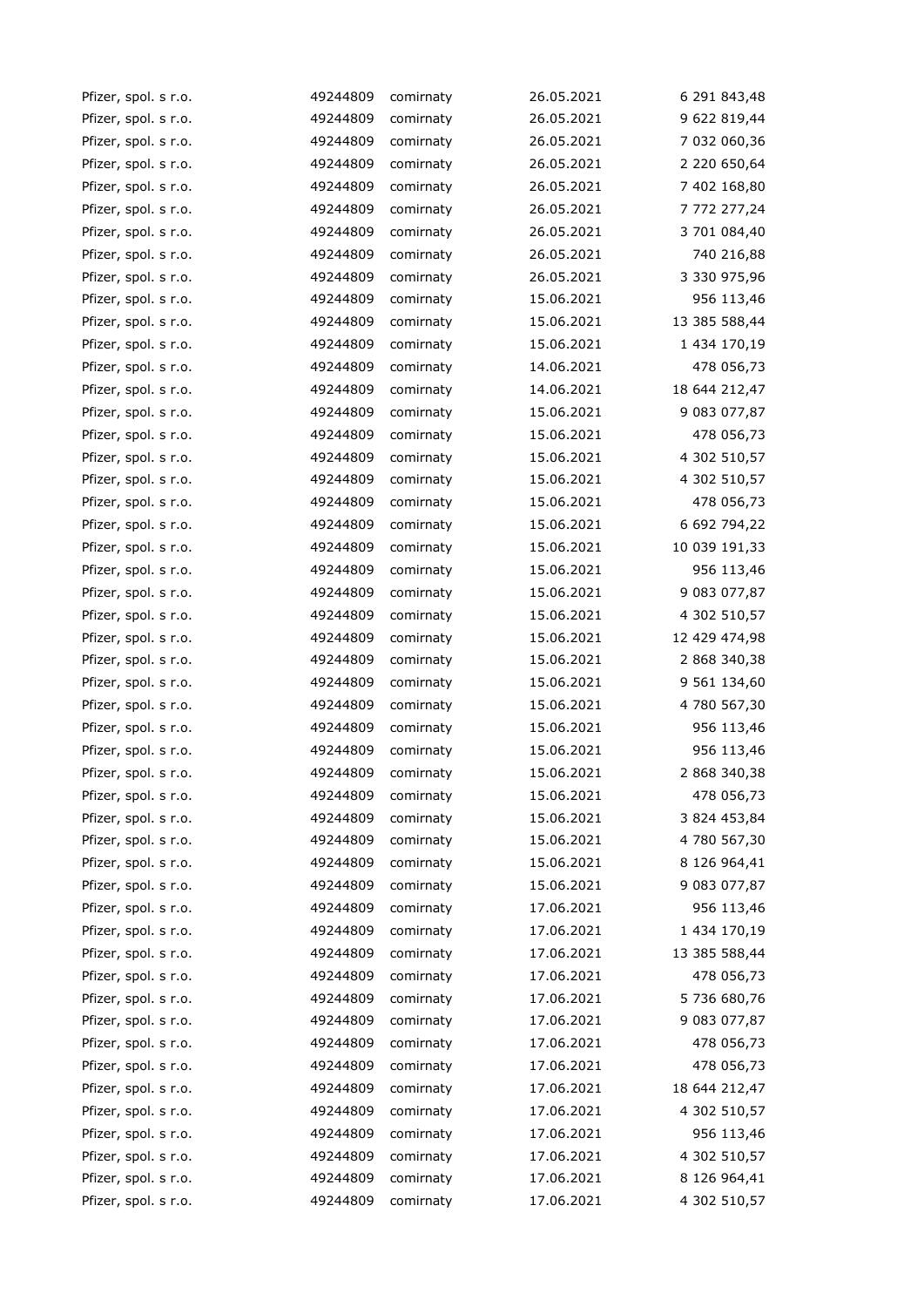| Pfizer, spol. s r.o. | 49244809 | comirnaty | 26.05.2021 | 6 291 843,48  |
|----------------------|----------|-----------|------------|---------------|
| Pfizer, spol. s r.o. | 49244809 | comirnaty | 26.05.2021 | 9 622 819,44  |
| Pfizer, spol. s r.o. | 49244809 | comirnaty | 26.05.2021 | 7 032 060,36  |
| Pfizer, spol. s r.o. | 49244809 | comirnaty | 26.05.2021 | 2 220 650,64  |
| Pfizer, spol. s r.o. | 49244809 | comirnaty | 26.05.2021 | 7 402 168,80  |
| Pfizer, spol. s r.o. | 49244809 | comirnaty | 26.05.2021 | 7 772 277,24  |
| Pfizer, spol. s r.o. | 49244809 | comirnaty | 26.05.2021 | 3 701 084,40  |
| Pfizer, spol. s r.o. | 49244809 | comirnaty | 26.05.2021 | 740 216,88    |
| Pfizer, spol. s r.o. | 49244809 | comirnaty | 26.05.2021 | 3 330 975,96  |
| Pfizer, spol. s r.o. | 49244809 | comirnaty | 15.06.2021 | 956 113,46    |
| Pfizer, spol. s r.o. | 49244809 | comirnaty | 15.06.2021 | 13 385 588,44 |
| Pfizer, spol. s r.o. | 49244809 | comirnaty | 15.06.2021 | 1 434 170,19  |
| Pfizer, spol. s r.o. | 49244809 | comirnaty | 14.06.2021 | 478 056,73    |
| Pfizer, spol. s r.o. | 49244809 | comirnaty | 14.06.2021 | 18 644 212,47 |
| Pfizer, spol. s r.o. | 49244809 | comirnaty | 15.06.2021 | 9 083 077,87  |
| Pfizer, spol. s r.o. | 49244809 | comirnaty | 15.06.2021 | 478 056,73    |
| Pfizer, spol. s r.o. | 49244809 | comirnaty | 15.06.2021 | 4 302 510,57  |
| Pfizer, spol. s r.o. | 49244809 | comirnaty | 15.06.2021 | 4 302 510,57  |
| Pfizer, spol. s r.o. | 49244809 | comirnaty | 15.06.2021 | 478 056,73    |
| Pfizer, spol. s r.o. | 49244809 | comirnaty | 15.06.2021 | 6 692 794,22  |
| Pfizer, spol. s r.o. | 49244809 | comirnaty | 15.06.2021 | 10 039 191,33 |
| Pfizer, spol. s r.o. | 49244809 | comirnaty | 15.06.2021 | 956 113,46    |
| Pfizer, spol. s r.o. | 49244809 | comirnaty | 15.06.2021 | 9 083 077,87  |
| Pfizer, spol. s r.o. | 49244809 | comirnaty | 15.06.2021 | 4 302 510,57  |
| Pfizer, spol. s r.o. | 49244809 | comirnaty | 15.06.2021 | 12 429 474,98 |
| Pfizer, spol. s r.o. | 49244809 | comirnaty | 15.06.2021 | 2 868 340,38  |
| Pfizer, spol. s r.o. | 49244809 | comirnaty | 15.06.2021 | 9 561 134,60  |
| Pfizer, spol. s r.o. | 49244809 | comirnaty | 15.06.2021 | 4 780 567,30  |
| Pfizer, spol. s r.o. | 49244809 | comirnaty | 15.06.2021 | 956 113,46    |
| Pfizer, spol. s r.o. | 49244809 | comirnaty | 15.06.2021 | 956 113,46    |
| Pfizer, spol. s r.o. | 49244809 | comirnaty | 15.06.2021 | 2 868 340,38  |
| Pfizer, spol. s r.o. | 49244809 | comirnaty | 15.06.2021 | 478 056,73    |
| Pfizer, spol. s r.o. | 49244809 | comirnaty | 15.06.2021 | 3 824 453,84  |
| Pfizer, spol. s r.o. | 49244809 | comirnaty | 15.06.2021 | 4 780 567,30  |
| Pfizer, spol. s r.o. | 49244809 | comirnaty | 15.06.2021 | 8 126 964,41  |
| Pfizer, spol. s r.o. | 49244809 | comirnaty | 15.06.2021 | 9 083 077,87  |
| Pfizer, spol. s r.o. | 49244809 | comirnaty | 17.06.2021 | 956 113,46    |
| Pfizer, spol. s r.o. | 49244809 | comirnaty | 17.06.2021 | 1 434 170,19  |
| Pfizer, spol. s r.o. | 49244809 | comirnaty | 17.06.2021 | 13 385 588,44 |
| Pfizer, spol. s r.o. | 49244809 | comirnaty | 17.06.2021 | 478 056,73    |
| Pfizer, spol. s r.o. | 49244809 | comirnaty | 17.06.2021 | 5 736 680,76  |
| Pfizer, spol. s r.o. | 49244809 | comirnaty | 17.06.2021 | 9 083 077,87  |
| Pfizer, spol. s r.o. | 49244809 | comirnaty | 17.06.2021 | 478 056,73    |
| Pfizer, spol. s r.o. | 49244809 | comirnaty | 17.06.2021 | 478 056,73    |
| Pfizer, spol. s r.o. | 49244809 | comirnaty | 17.06.2021 | 18 644 212,47 |
| Pfizer, spol. s r.o. | 49244809 | comirnaty | 17.06.2021 | 4 302 510,57  |
| Pfizer, spol. s r.o. | 49244809 | comirnaty | 17.06.2021 | 956 113,46    |
| Pfizer, spol. s r.o. | 49244809 | comirnaty | 17.06.2021 | 4 302 510,57  |
| Pfizer, spol. s r.o. | 49244809 | comirnaty | 17.06.2021 | 8 126 964,41  |
| Pfizer, spol. s r.o. | 49244809 | comirnaty | 17.06.2021 | 4 302 510,57  |
|                      |          |           |            |               |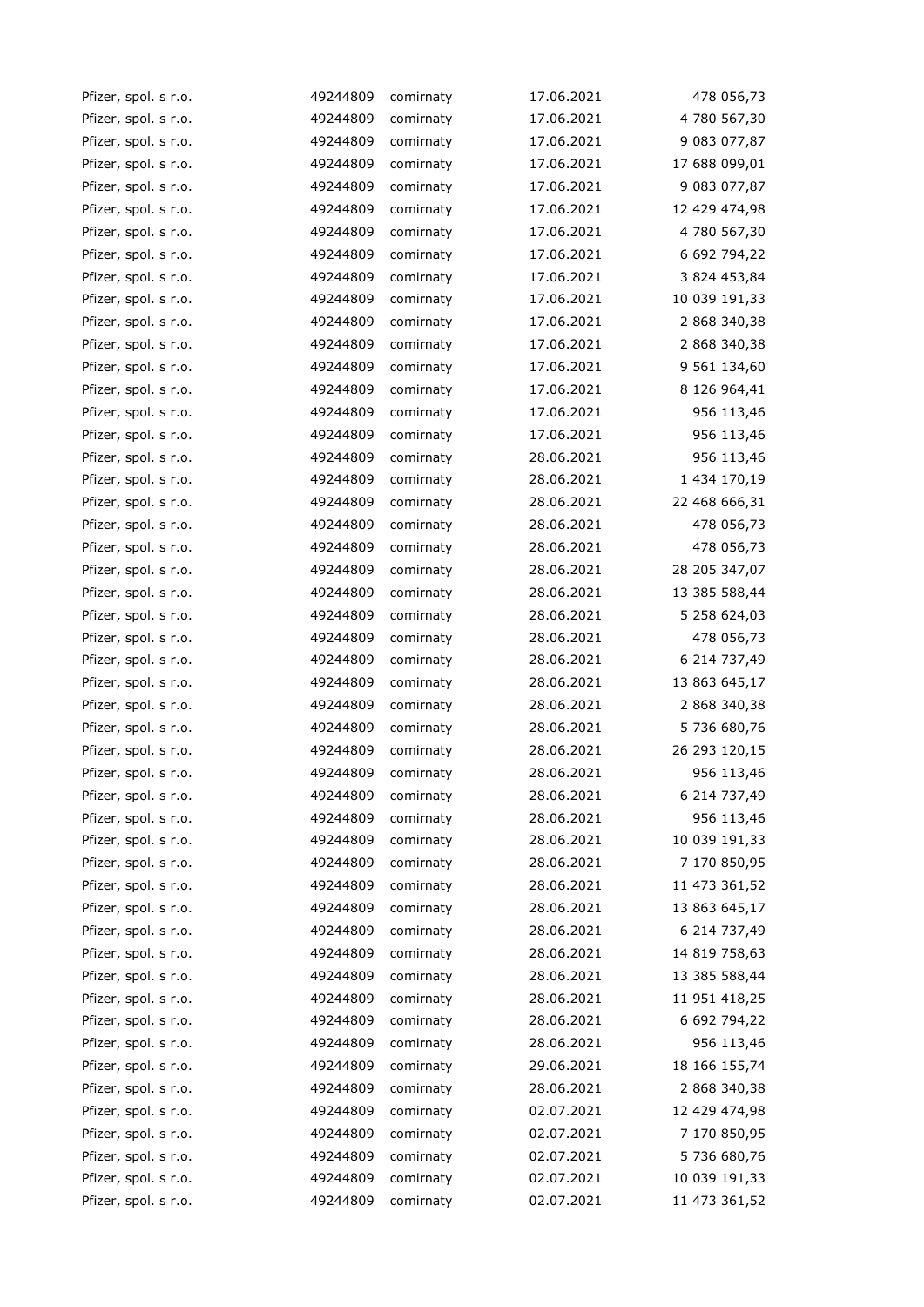| Pfizer, spol. s r.o. | 49244809 | comirnaty | 17.06.2021 | 478 056,73    |
|----------------------|----------|-----------|------------|---------------|
| Pfizer, spol. s r.o. | 49244809 | comirnaty | 17.06.2021 | 4 780 567,30  |
| Pfizer, spol. s r.o. | 49244809 | comirnaty | 17.06.2021 | 9 083 077,87  |
| Pfizer, spol. s r.o. | 49244809 | comirnaty | 17.06.2021 | 17 688 099,01 |
| Pfizer, spol. s r.o. | 49244809 | comirnaty | 17.06.2021 | 9 083 077,87  |
| Pfizer, spol. s r.o. | 49244809 | comirnaty | 17.06.2021 | 12 429 474,98 |
| Pfizer, spol. s r.o. | 49244809 | comirnaty | 17.06.2021 | 4 780 567,30  |
| Pfizer, spol. s r.o. | 49244809 | comirnaty | 17.06.2021 | 6 692 794,22  |
| Pfizer, spol. s r.o. | 49244809 | comirnaty | 17.06.2021 | 3 824 453,84  |
| Pfizer, spol. s r.o. | 49244809 | comirnaty | 17.06.2021 | 10 039 191,33 |
| Pfizer, spol. s r.o. | 49244809 | comirnaty | 17.06.2021 | 2 868 340,38  |
| Pfizer, spol. s r.o. | 49244809 | comirnaty | 17.06.2021 | 2 868 340,38  |
| Pfizer, spol. s r.o. | 49244809 | comirnaty | 17.06.2021 | 9 561 134,60  |
| Pfizer, spol. s r.o. | 49244809 | comirnaty | 17.06.2021 | 8 126 964,41  |
| Pfizer, spol. s r.o. | 49244809 | comirnaty | 17.06.2021 | 956 113,46    |
| Pfizer, spol. s r.o. | 49244809 | comirnaty | 17.06.2021 | 956 113,46    |
| Pfizer, spol. s r.o. | 49244809 | comirnaty | 28.06.2021 | 956 113,46    |
| Pfizer, spol. s r.o. | 49244809 | comirnaty | 28.06.2021 | 1 434 170,19  |
| Pfizer, spol. s r.o. | 49244809 | comirnaty | 28.06.2021 | 22 468 666,31 |
| Pfizer, spol. s r.o. | 49244809 | comirnaty | 28.06.2021 | 478 056,73    |
| Pfizer, spol. s r.o. | 49244809 | comirnaty | 28.06.2021 | 478 056,73    |
| Pfizer, spol. s r.o. | 49244809 | comirnaty | 28.06.2021 | 28 205 347,07 |
| Pfizer, spol. s r.o. | 49244809 | comirnaty | 28.06.2021 | 13 385 588,44 |
| Pfizer, spol. s r.o. | 49244809 | comirnaty | 28.06.2021 | 5 258 624,03  |
| Pfizer, spol. s r.o. | 49244809 | comirnaty | 28.06.2021 | 478 056,73    |
| Pfizer, spol. s r.o. | 49244809 | comirnaty | 28.06.2021 | 6 214 737,49  |
| Pfizer, spol. s r.o. | 49244809 | comirnaty | 28.06.2021 | 13 863 645,17 |
| Pfizer, spol. s r.o. | 49244809 | comirnaty | 28.06.2021 | 2 868 340,38  |
| Pfizer, spol. s r.o. | 49244809 | comirnaty | 28.06.2021 | 5 736 680,76  |
| Pfizer, spol. s r.o. | 49244809 | comirnaty | 28.06.2021 | 26 293 120,15 |
| Pfizer, spol. s r.o. | 49244809 | comirnaty | 28.06.2021 | 956 113,46    |
| Pfizer, spol. s r.o. | 49244809 | comirnaty | 28.06.2021 | 6 214 737,49  |
| Pfizer, spol. s r.o. | 49244809 | comirnaty | 28.06.2021 | 956 113,46    |
| Pfizer, spol. s r.o. | 49244809 | comirnaty | 28.06.2021 | 10 039 191,33 |
| Pfizer, spol. s r.o. | 49244809 | comirnaty | 28.06.2021 | 7 170 850,95  |
| Pfizer, spol. s r.o. | 49244809 | comirnaty | 28.06.2021 | 11 473 361,52 |
| Pfizer, spol. s r.o. | 49244809 | comirnaty | 28.06.2021 | 13 863 645,17 |
| Pfizer, spol. s r.o. | 49244809 | comirnaty | 28.06.2021 | 6 214 737,49  |
| Pfizer, spol. s r.o. | 49244809 | comirnaty | 28.06.2021 | 14 819 758,63 |
| Pfizer, spol. s r.o. | 49244809 | comirnaty | 28.06.2021 | 13 385 588,44 |
| Pfizer, spol. s r.o. | 49244809 | comirnaty | 28.06.2021 | 11 951 418,25 |
| Pfizer, spol. s r.o. | 49244809 | comirnaty | 28.06.2021 | 6 692 794,22  |
| Pfizer, spol. s r.o. | 49244809 | comirnaty | 28.06.2021 | 956 113,46    |
| Pfizer, spol. s r.o. | 49244809 | comirnaty | 29.06.2021 | 18 166 155,74 |
| Pfizer, spol. s r.o. | 49244809 | comirnaty | 28.06.2021 | 2 868 340,38  |
| Pfizer, spol. s r.o. | 49244809 | comirnaty | 02.07.2021 | 12 429 474,98 |
| Pfizer, spol. s r.o. | 49244809 | comirnaty | 02.07.2021 | 7 170 850,95  |
| Pfizer, spol. s r.o. | 49244809 | comirnaty | 02.07.2021 | 5 736 680,76  |
| Pfizer, spol. s r.o. | 49244809 | comirnaty | 02.07.2021 | 10 039 191,33 |
| Pfizer, spol. s r.o. | 49244809 | comirnaty | 02.07.2021 | 11 473 361,52 |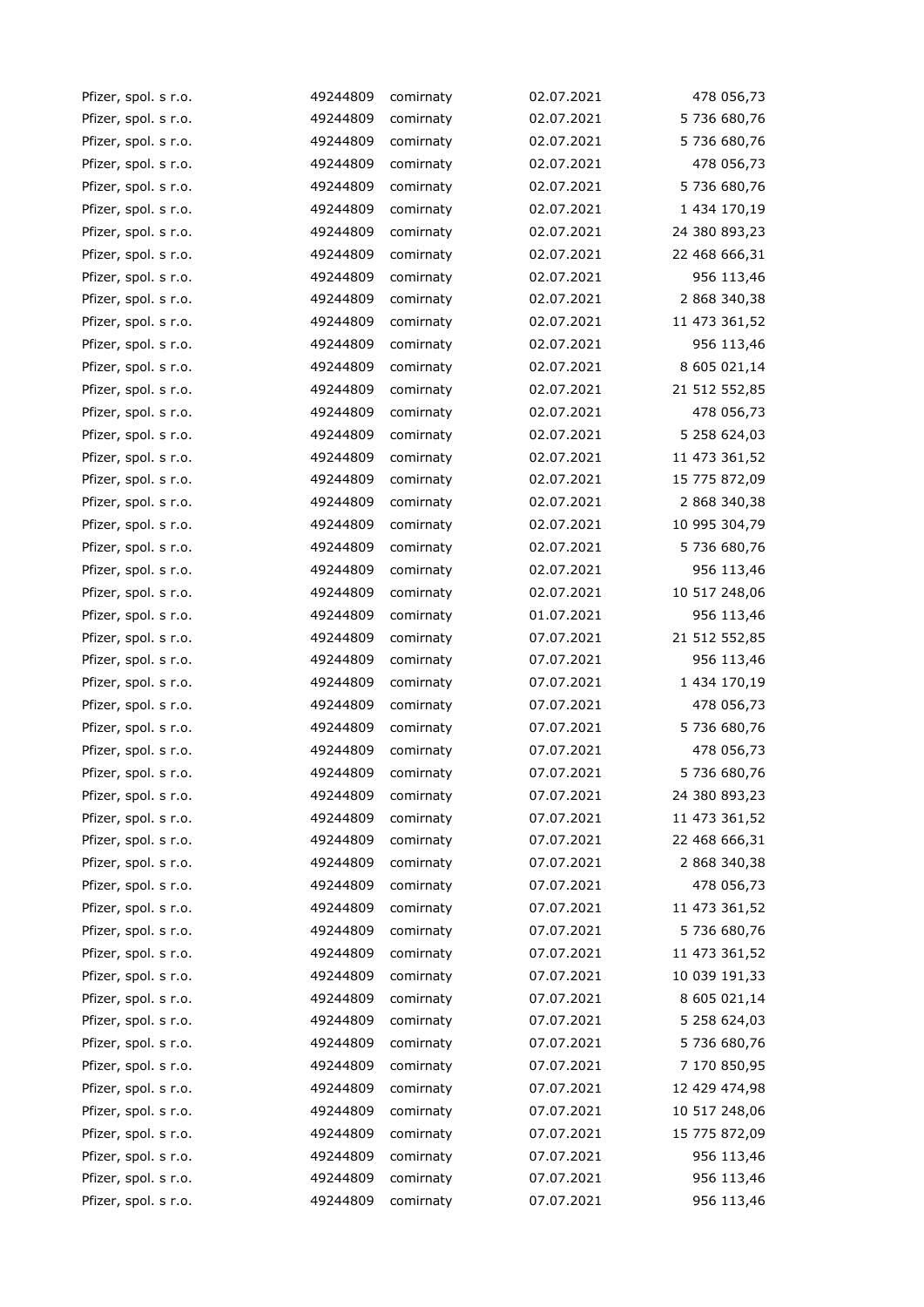| Pfizer, spol. s r.o. | 49244809 | comirnaty | 02.07.2021 | 478 056,73    |
|----------------------|----------|-----------|------------|---------------|
| Pfizer, spol. s r.o. | 49244809 | comirnaty | 02.07.2021 | 5 736 680,76  |
| Pfizer, spol. s r.o. | 49244809 | comirnaty | 02.07.2021 | 5 736 680,76  |
| Pfizer, spol. s r.o. | 49244809 | comirnaty | 02.07.2021 | 478 056,73    |
| Pfizer, spol. s r.o. | 49244809 | comirnaty | 02.07.2021 | 5 736 680,76  |
| Pfizer, spol. s r.o. | 49244809 | comirnaty | 02.07.2021 | 1 434 170,19  |
| Pfizer, spol. s r.o. | 49244809 | comirnaty | 02.07.2021 | 24 380 893,23 |
| Pfizer, spol. s r.o. | 49244809 | comirnaty | 02.07.2021 | 22 468 666,31 |
| Pfizer, spol. s r.o. | 49244809 | comirnaty | 02.07.2021 | 956 113,46    |
| Pfizer, spol. s r.o. | 49244809 | comirnaty | 02.07.2021 | 2 868 340,38  |
| Pfizer, spol. s r.o. | 49244809 | comirnaty | 02.07.2021 | 11 473 361,52 |
| Pfizer, spol. s r.o. | 49244809 | comirnaty | 02.07.2021 | 956 113,46    |
| Pfizer, spol. s r.o. | 49244809 | comirnaty | 02.07.2021 | 8 605 021,14  |
| Pfizer, spol. s r.o. | 49244809 | comirnaty | 02.07.2021 | 21 512 552,85 |
| Pfizer, spol. s r.o. | 49244809 | comirnaty | 02.07.2021 | 478 056,73    |
| Pfizer, spol. s r.o. | 49244809 | comirnaty | 02.07.2021 | 5 258 624,03  |
| Pfizer, spol. s r.o. | 49244809 | comirnaty | 02.07.2021 | 11 473 361,52 |
| Pfizer, spol. s r.o. | 49244809 | comirnaty | 02.07.2021 | 15 775 872,09 |
| Pfizer, spol. s r.o. | 49244809 | comirnaty | 02.07.2021 | 2 868 340,38  |
| Pfizer, spol. s r.o. | 49244809 | comirnaty | 02.07.2021 | 10 995 304,79 |
| Pfizer, spol. s r.o. | 49244809 | comirnaty | 02.07.2021 | 5 736 680,76  |
| Pfizer, spol. s r.o. | 49244809 | comirnaty | 02.07.2021 | 956 113,46    |
| Pfizer, spol. s r.o. | 49244809 | comirnaty | 02.07.2021 | 10 517 248,06 |
| Pfizer, spol. s r.o. | 49244809 | comirnaty | 01.07.2021 | 956 113,46    |
| Pfizer, spol. s r.o. | 49244809 | comirnaty | 07.07.2021 | 21 512 552,85 |
| Pfizer, spol. s r.o. | 49244809 | comirnaty | 07.07.2021 | 956 113,46    |
| Pfizer, spol. s r.o. | 49244809 | comirnaty | 07.07.2021 | 1 434 170,19  |
| Pfizer, spol. s r.o. | 49244809 | comirnaty | 07.07.2021 | 478 056,73    |
| Pfizer, spol. s r.o. | 49244809 | comirnaty | 07.07.2021 | 5 736 680,76  |
| Pfizer, spol. s r.o. | 49244809 | comirnaty | 07.07.2021 | 478 056,73    |
| Pfizer, spol. s r.o. | 49244809 | comirnaty | 07.07.2021 | 5 736 680,76  |
| Pfizer, spol. s r.o. | 49244809 | comirnaty | 07.07.2021 | 24 380 893,23 |
| Pfizer, spol. s r.o. | 49244809 | comirnaty | 07.07.2021 | 11 473 361,52 |
| Pfizer, spol. s r.o. | 49244809 | comirnaty | 07.07.2021 | 22 468 666,31 |
| Pfizer, spol. s r.o. | 49244809 | comirnaty | 07.07.2021 | 2 868 340,38  |
| Pfizer, spol. s r.o. | 49244809 | comirnaty | 07.07.2021 | 478 056,73    |
| Pfizer, spol. s r.o. | 49244809 | comirnaty | 07.07.2021 | 11 473 361,52 |
| Pfizer, spol. s r.o. | 49244809 | comirnaty | 07.07.2021 | 5 736 680,76  |
| Pfizer, spol. s r.o. | 49244809 | comirnaty | 07.07.2021 | 11 473 361,52 |
| Pfizer, spol. s r.o. | 49244809 | comirnaty | 07.07.2021 | 10 039 191,33 |
| Pfizer, spol. s r.o. | 49244809 | comirnaty | 07.07.2021 | 8 605 021,14  |
| Pfizer, spol. s r.o. | 49244809 | comirnaty | 07.07.2021 | 5 258 624,03  |
| Pfizer, spol. s r.o. | 49244809 | comirnaty | 07.07.2021 | 5 736 680,76  |
| Pfizer, spol. s r.o. | 49244809 | comirnaty | 07.07.2021 | 7 170 850,95  |
| Pfizer, spol. s r.o. | 49244809 | comirnaty | 07.07.2021 | 12 429 474,98 |
| Pfizer, spol. s r.o. | 49244809 | comirnaty | 07.07.2021 | 10 517 248,06 |
| Pfizer, spol. s r.o. | 49244809 | comirnaty | 07.07.2021 | 15 775 872,09 |
| Pfizer, spol. s r.o. | 49244809 | comirnaty | 07.07.2021 | 956 113,46    |
| Pfizer, spol. s r.o. | 49244809 | comirnaty | 07.07.2021 | 956 113,46    |
| Pfizer, spol. s r.o. | 49244809 | comirnaty | 07.07.2021 | 956 113,46    |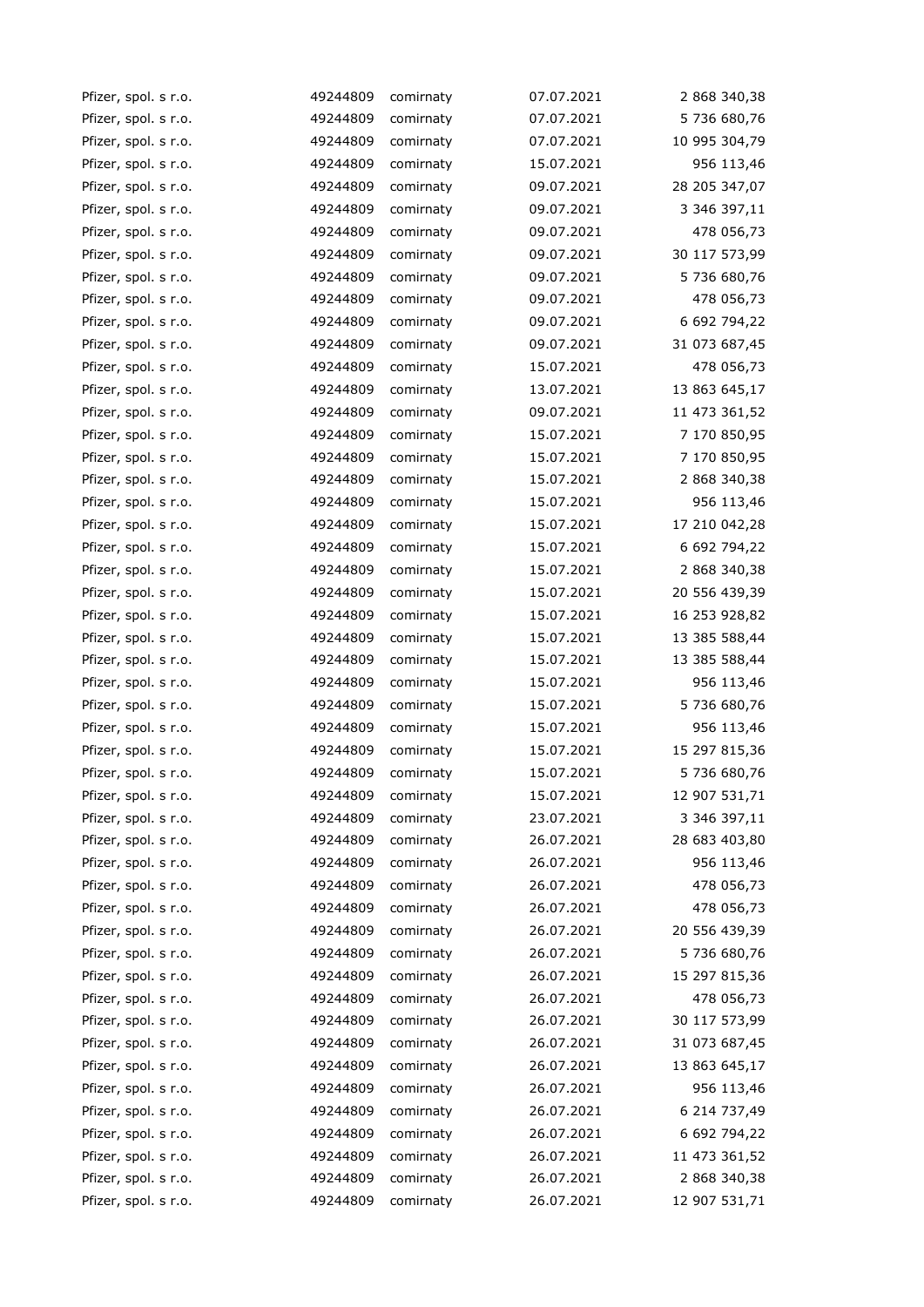| Pfizer, spol. s r.o. | 49244809 | comirnaty | 07.07.2021 | 2 868 340,38  |
|----------------------|----------|-----------|------------|---------------|
| Pfizer, spol. s r.o. | 49244809 | comirnaty | 07.07.2021 | 5 736 680,76  |
| Pfizer, spol. s r.o. | 49244809 | comirnaty | 07.07.2021 | 10 995 304,79 |
| Pfizer, spol. s r.o. | 49244809 | comirnaty | 15.07.2021 | 956 113,46    |
| Pfizer, spol. s r.o. | 49244809 | comirnaty | 09.07.2021 | 28 205 347,07 |
| Pfizer, spol. s r.o. | 49244809 | comirnaty | 09.07.2021 | 3 346 397,11  |
| Pfizer, spol. s r.o. | 49244809 | comirnaty | 09.07.2021 | 478 056,73    |
| Pfizer, spol. s r.o. | 49244809 | comirnaty | 09.07.2021 | 30 117 573,99 |
| Pfizer, spol. s r.o. | 49244809 | comirnaty | 09.07.2021 | 5 736 680,76  |
| Pfizer, spol. s r.o. | 49244809 | comirnaty | 09.07.2021 | 478 056,73    |
| Pfizer, spol. s r.o. | 49244809 | comirnaty | 09.07.2021 | 6 692 794,22  |
| Pfizer, spol. s r.o. | 49244809 | comirnaty | 09.07.2021 | 31 073 687,45 |
| Pfizer, spol. s r.o. | 49244809 | comirnaty | 15.07.2021 | 478 056,73    |
| Pfizer, spol. s r.o. | 49244809 | comirnaty | 13.07.2021 | 13 863 645,17 |
| Pfizer, spol. s r.o. | 49244809 | comirnaty | 09.07.2021 | 11 473 361,52 |
| Pfizer, spol. s r.o. | 49244809 | comirnaty | 15.07.2021 | 7 170 850,95  |
| Pfizer, spol. s r.o. | 49244809 | comirnaty | 15.07.2021 | 7 170 850,95  |
| Pfizer, spol. s r.o. | 49244809 | comirnaty | 15.07.2021 | 2 868 340,38  |
| Pfizer, spol. s r.o. | 49244809 | comirnaty | 15.07.2021 | 956 113,46    |
| Pfizer, spol. s r.o. | 49244809 | comirnaty | 15.07.2021 | 17 210 042,28 |
| Pfizer, spol. s r.o. | 49244809 | comirnaty | 15.07.2021 | 6 692 794,22  |
| Pfizer, spol. s r.o. | 49244809 | comirnaty | 15.07.2021 | 2 868 340,38  |
| Pfizer, spol. s r.o. | 49244809 | comirnaty | 15.07.2021 | 20 556 439,39 |
| Pfizer, spol. s r.o. | 49244809 | comirnaty | 15.07.2021 | 16 253 928,82 |
| Pfizer, spol. s r.o. | 49244809 | comirnaty | 15.07.2021 | 13 385 588,44 |
| Pfizer, spol. s r.o. | 49244809 | comirnaty | 15.07.2021 | 13 385 588,44 |
| Pfizer, spol. s r.o. | 49244809 | comirnaty | 15.07.2021 | 956 113,46    |
| Pfizer, spol. s r.o. | 49244809 | comirnaty | 15.07.2021 | 5 736 680,76  |
| Pfizer, spol. s r.o. | 49244809 | comirnaty | 15.07.2021 | 956 113,46    |
| Pfizer, spol. s r.o. | 49244809 | comirnaty | 15.07.2021 | 15 297 815,36 |
| Pfizer, spol. s r.o. | 49244809 | comirnaty | 15.07.2021 | 5 736 680,76  |
| Pfizer, spol. s r.o. | 49244809 | comirnaty | 15.07.2021 | 12 907 531,71 |
| Pfizer, spol. s r.o. | 49244809 | comirnaty | 23.07.2021 | 3 346 397,11  |
| Pfizer, spol. s r.o. | 49244809 | comirnaty | 26.07.2021 | 28 683 403,80 |
| Pfizer, spol. s r.o. | 49244809 | comirnaty | 26.07.2021 | 956 113,46    |
| Pfizer, spol. s r.o. | 49244809 | comirnaty | 26.07.2021 | 478 056,73    |
| Pfizer, spol. s r.o. | 49244809 | comirnaty | 26.07.2021 | 478 056,73    |
| Pfizer, spol. s r.o. | 49244809 | comirnaty | 26.07.2021 | 20 556 439,39 |
| Pfizer, spol. s r.o. | 49244809 | comirnaty | 26.07.2021 | 5 736 680,76  |
| Pfizer, spol. s r.o. | 49244809 | comirnaty | 26.07.2021 | 15 297 815,36 |
| Pfizer, spol. s r.o. | 49244809 | comirnaty | 26.07.2021 | 478 056,73    |
| Pfizer, spol. s r.o. | 49244809 | comirnaty | 26.07.2021 | 30 117 573,99 |
| Pfizer, spol. s r.o. | 49244809 | comirnaty | 26.07.2021 | 31 073 687,45 |
| Pfizer, spol. s r.o. | 49244809 | comirnaty | 26.07.2021 | 13 863 645,17 |
| Pfizer, spol. s r.o. | 49244809 | comirnaty | 26.07.2021 | 956 113,46    |
| Pfizer, spol. s r.o. | 49244809 | comirnaty | 26.07.2021 | 6 214 737,49  |
| Pfizer, spol. s r.o. | 49244809 | comirnaty | 26.07.2021 | 6 692 794,22  |
| Pfizer, spol. s r.o. | 49244809 | comirnaty | 26.07.2021 | 11 473 361,52 |
| Pfizer, spol. s r.o. | 49244809 | comirnaty | 26.07.2021 | 2 868 340,38  |
| Pfizer, spol. s r.o. | 49244809 | comirnaty | 26.07.2021 | 12 907 531,71 |
|                      |          |           |            |               |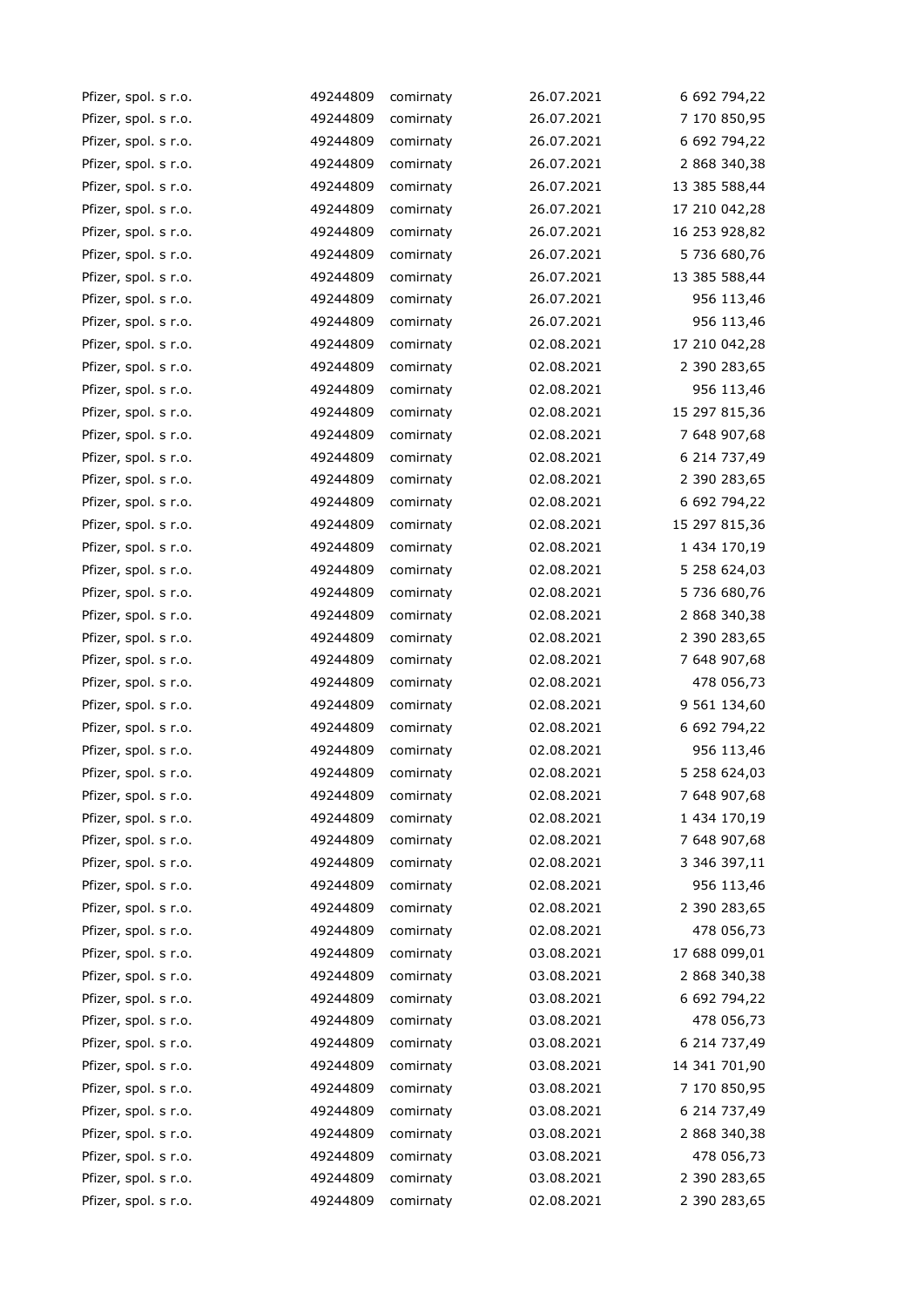| Pfizer, spol. s r.o. | 49244809 | comirnaty | 26.07.2021 | 6 692 794,22  |
|----------------------|----------|-----------|------------|---------------|
| Pfizer, spol. s r.o. | 49244809 | comirnaty | 26.07.2021 | 7 170 850,95  |
| Pfizer, spol. s r.o. | 49244809 | comirnaty | 26.07.2021 | 6 692 794,22  |
| Pfizer, spol. s r.o. | 49244809 | comirnaty | 26.07.2021 | 2 868 340,38  |
| Pfizer, spol. s r.o. | 49244809 | comirnaty | 26.07.2021 | 13 385 588,44 |
| Pfizer, spol. s r.o. | 49244809 | comirnaty | 26.07.2021 | 17 210 042,28 |
| Pfizer, spol. s r.o. | 49244809 | comirnaty | 26.07.2021 | 16 253 928,82 |
| Pfizer, spol. s r.o. | 49244809 | comirnaty | 26.07.2021 | 5 736 680,76  |
| Pfizer, spol. s r.o. | 49244809 | comirnaty | 26.07.2021 | 13 385 588,44 |
| Pfizer, spol. s r.o. | 49244809 | comirnaty | 26.07.2021 | 956 113,46    |
| Pfizer, spol. s r.o. | 49244809 | comirnaty | 26.07.2021 | 956 113,46    |
| Pfizer, spol. s r.o. | 49244809 | comirnaty | 02.08.2021 | 17 210 042,28 |
| Pfizer, spol. s r.o. | 49244809 | comirnaty | 02.08.2021 | 2 390 283,65  |
| Pfizer, spol. s r.o. | 49244809 | comirnaty | 02.08.2021 | 956 113,46    |
| Pfizer, spol. s r.o. | 49244809 | comirnaty | 02.08.2021 | 15 297 815,36 |
| Pfizer, spol. s r.o. | 49244809 | comirnaty | 02.08.2021 | 7 648 907,68  |
| Pfizer, spol. s r.o. | 49244809 | comirnaty | 02.08.2021 | 6 214 737,49  |
| Pfizer, spol. s r.o. | 49244809 | comirnaty | 02.08.2021 | 2 390 283,65  |
| Pfizer, spol. s r.o. | 49244809 | comirnaty | 02.08.2021 | 6 692 794,22  |
| Pfizer, spol. s r.o. | 49244809 | comirnaty | 02.08.2021 | 15 297 815,36 |
| Pfizer, spol. s r.o. | 49244809 | comirnaty | 02.08.2021 | 1 434 170,19  |
| Pfizer, spol. s r.o. | 49244809 | comirnaty | 02.08.2021 | 5 258 624,03  |
| Pfizer, spol. s r.o. | 49244809 | comirnaty | 02.08.2021 | 5 736 680,76  |
| Pfizer, spol. s r.o. | 49244809 | comirnaty | 02.08.2021 | 2 868 340,38  |
| Pfizer, spol. s r.o. | 49244809 | comirnaty | 02.08.2021 | 2 390 283,65  |
| Pfizer, spol. s r.o. | 49244809 | comirnaty | 02.08.2021 | 7 648 907,68  |
| Pfizer, spol. s r.o. | 49244809 | comirnaty | 02.08.2021 | 478 056,73    |
| Pfizer, spol. s r.o. | 49244809 | comirnaty | 02.08.2021 | 9 561 134,60  |
| Pfizer, spol. s r.o. | 49244809 | comirnaty | 02.08.2021 | 6 692 794,22  |
| Pfizer, spol. s r.o. | 49244809 | comirnaty | 02.08.2021 | 956 113,46    |
| Pfizer, spol. s r.o. | 49244809 | comirnaty | 02.08.2021 | 5 258 624,03  |
| Pfizer, spol. s r.o. | 49244809 | comirnaty | 02.08.2021 | 7 648 907,68  |
| Pfizer, spol. s r.o. | 49244809 | comirnaty | 02.08.2021 | 1 434 170,19  |
| Pfizer, spol. s r.o. | 49244809 | comirnaty | 02.08.2021 | 7 648 907,68  |
| Pfizer, spol. s r.o. | 49244809 | comirnaty | 02.08.2021 | 3 346 397,11  |
| Pfizer, spol. s r.o. | 49244809 | comirnaty | 02.08.2021 | 956 113,46    |
| Pfizer, spol. s r.o. | 49244809 | comirnaty | 02.08.2021 | 2 390 283,65  |
| Pfizer, spol. s r.o. | 49244809 | comirnaty | 02.08.2021 | 478 056,73    |
| Pfizer, spol. s r.o. | 49244809 | comirnaty | 03.08.2021 | 17 688 099,01 |
| Pfizer, spol. s r.o. | 49244809 | comirnaty | 03.08.2021 | 2 868 340,38  |
| Pfizer, spol. s r.o. | 49244809 | comirnaty | 03.08.2021 | 6 692 794,22  |
| Pfizer, spol. s r.o. | 49244809 | comirnaty | 03.08.2021 | 478 056,73    |
| Pfizer, spol. s r.o. | 49244809 | comirnaty | 03.08.2021 | 6 214 737,49  |
| Pfizer, spol. s r.o. | 49244809 | comirnaty | 03.08.2021 | 14 341 701,90 |
| Pfizer, spol. s r.o. | 49244809 | comirnaty | 03.08.2021 | 7 170 850,95  |
| Pfizer, spol. s r.o. | 49244809 | comirnaty | 03.08.2021 | 6 214 737,49  |
| Pfizer, spol. s r.o. | 49244809 | comirnaty | 03.08.2021 | 2 868 340,38  |
| Pfizer, spol. s r.o. | 49244809 | comirnaty | 03.08.2021 | 478 056,73    |
| Pfizer, spol. s r.o. | 49244809 | comirnaty | 03.08.2021 | 2 390 283,65  |
| Pfizer, spol. s r.o. | 49244809 | comirnaty | 02.08.2021 | 2 390 283,65  |
|                      |          |           |            |               |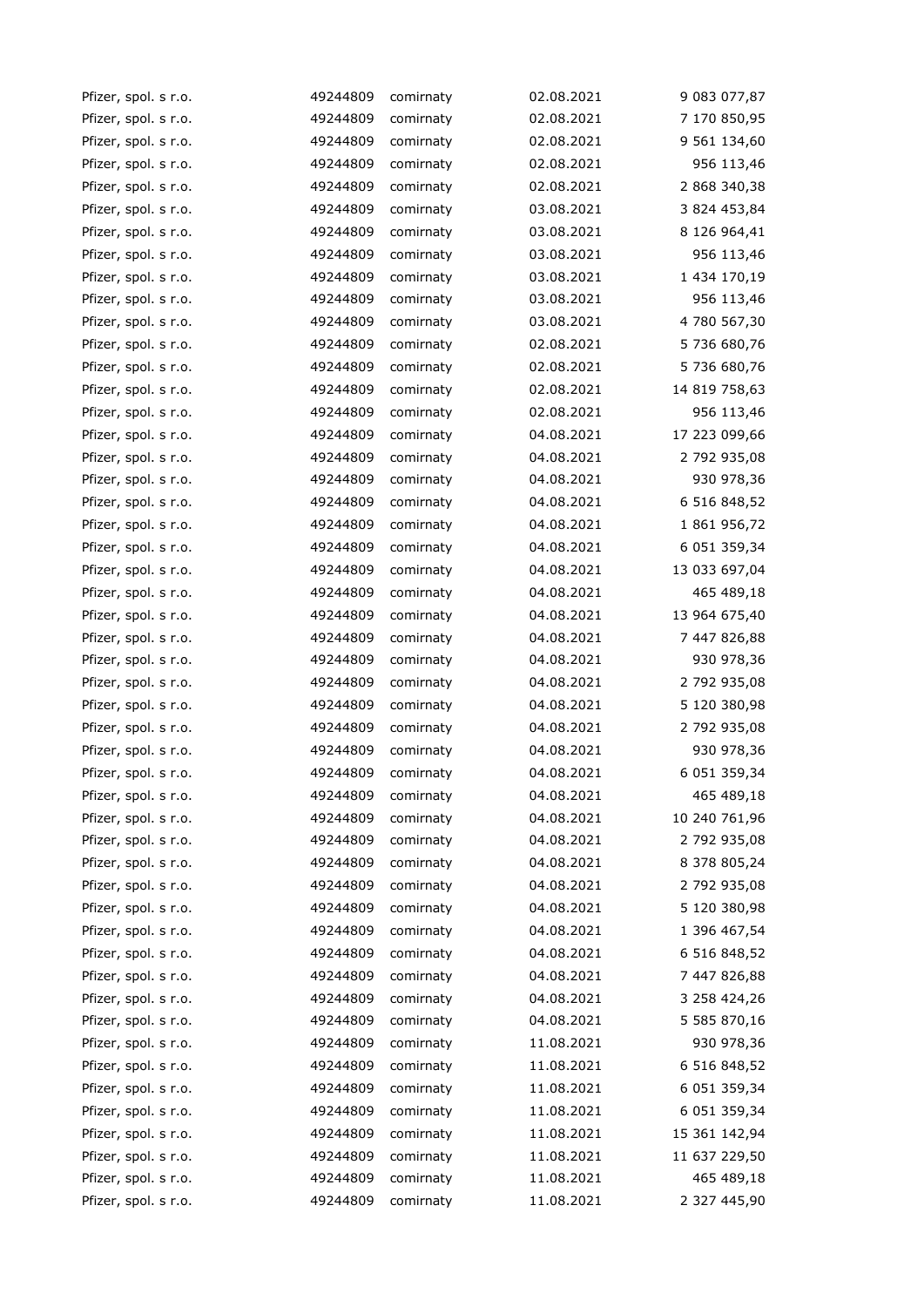| Pfizer, spol. s r.o. | 49244809 | comirnaty | 02.08.2021 | 9 083 077,87  |
|----------------------|----------|-----------|------------|---------------|
| Pfizer, spol. s r.o. | 49244809 | comirnaty | 02.08.2021 | 7 170 850,95  |
| Pfizer, spol. s r.o. | 49244809 | comirnaty | 02.08.2021 | 9 561 134,60  |
| Pfizer, spol. s r.o. | 49244809 | comirnaty | 02.08.2021 | 956 113,46    |
| Pfizer, spol. s r.o. | 49244809 | comirnaty | 02.08.2021 | 2 868 340,38  |
| Pfizer, spol. s r.o. | 49244809 | comirnaty | 03.08.2021 | 3 824 453,84  |
| Pfizer, spol. s r.o. | 49244809 | comirnaty | 03.08.2021 | 8 126 964,41  |
| Pfizer, spol. s r.o. | 49244809 | comirnaty | 03.08.2021 | 956 113,46    |
| Pfizer, spol. s r.o. | 49244809 | comirnaty | 03.08.2021 | 1 434 170,19  |
| Pfizer, spol. s r.o. | 49244809 | comirnaty | 03.08.2021 | 956 113,46    |
| Pfizer, spol. s r.o. | 49244809 | comirnaty | 03.08.2021 | 4 780 567,30  |
| Pfizer, spol. s r.o. | 49244809 | comirnaty | 02.08.2021 | 5 736 680,76  |
| Pfizer, spol. s r.o. | 49244809 | comirnaty | 02.08.2021 | 5 736 680,76  |
| Pfizer, spol. s r.o. | 49244809 | comirnaty | 02.08.2021 | 14 819 758,63 |
| Pfizer, spol. s r.o. | 49244809 | comirnaty | 02.08.2021 | 956 113,46    |
| Pfizer, spol. s r.o. | 49244809 | comirnaty | 04.08.2021 | 17 223 099,66 |
| Pfizer, spol. s r.o. | 49244809 | comirnaty | 04.08.2021 | 2 792 935,08  |
| Pfizer, spol. s r.o. | 49244809 | comirnaty | 04.08.2021 | 930 978,36    |
| Pfizer, spol. s r.o. | 49244809 | comirnaty | 04.08.2021 | 6 516 848,52  |
| Pfizer, spol. s r.o. | 49244809 | comirnaty | 04.08.2021 | 1 861 956,72  |
| Pfizer, spol. s r.o. | 49244809 | comirnaty | 04.08.2021 | 6 051 359,34  |
| Pfizer, spol. s r.o. | 49244809 | comirnaty | 04.08.2021 | 13 033 697,04 |
| Pfizer, spol. s r.o. | 49244809 | comirnaty | 04.08.2021 | 465 489,18    |
| Pfizer, spol. s r.o. | 49244809 | comirnaty | 04.08.2021 | 13 964 675,40 |
| Pfizer, spol. s r.o. | 49244809 | comirnaty | 04.08.2021 | 7 447 826,88  |
| Pfizer, spol. s r.o. | 49244809 | comirnaty | 04.08.2021 | 930 978,36    |
| Pfizer, spol. s r.o. | 49244809 | comirnaty | 04.08.2021 | 2 792 935,08  |
| Pfizer, spol. s r.o. | 49244809 | comirnaty | 04.08.2021 | 5 120 380,98  |
| Pfizer, spol. s r.o. | 49244809 | comirnaty | 04.08.2021 | 2 792 935,08  |
| Pfizer, spol. s r.o. | 49244809 | comirnaty | 04.08.2021 | 930 978,36    |
| Pfizer, spol. s r.o. | 49244809 | comirnaty | 04.08.2021 | 6 051 359,34  |
| Pfizer, spol. s r.o. | 49244809 | comirnaty | 04.08.2021 | 465 489,18    |
| Pfizer, spol. s r.o. | 49244809 | comirnaty | 04.08.2021 | 10 240 761,96 |
| Pfizer, spol. s r.o. | 49244809 | comirnaty | 04.08.2021 | 2 792 935,08  |
| Pfizer, spol. s r.o. | 49244809 | comirnaty | 04.08.2021 | 8 378 805,24  |
| Pfizer, spol. s r.o. | 49244809 | comirnaty | 04.08.2021 | 2 792 935,08  |
| Pfizer, spol. s r.o. | 49244809 | comirnaty | 04.08.2021 | 5 120 380,98  |
| Pfizer, spol. s r.o. | 49244809 | comirnaty | 04.08.2021 | 1 396 467,54  |
| Pfizer, spol. s r.o. | 49244809 | comirnaty | 04.08.2021 | 6 516 848,52  |
| Pfizer, spol. s r.o. | 49244809 | comirnaty | 04.08.2021 | 7 447 826,88  |
| Pfizer, spol. s r.o. | 49244809 | comirnaty | 04.08.2021 | 3 258 424,26  |
| Pfizer, spol. s r.o. | 49244809 | comirnaty | 04.08.2021 | 5 585 870,16  |
| Pfizer, spol. s r.o. | 49244809 | comirnaty | 11.08.2021 | 930 978,36    |
| Pfizer, spol. s r.o. | 49244809 | comirnaty | 11.08.2021 | 6 516 848,52  |
| Pfizer, spol. s r.o. | 49244809 | comirnaty | 11.08.2021 | 6 051 359,34  |
| Pfizer, spol. s r.o. | 49244809 | comirnaty | 11.08.2021 | 6 051 359,34  |
| Pfizer, spol. s r.o. | 49244809 | comirnaty | 11.08.2021 | 15 361 142,94 |
| Pfizer, spol. s r.o. | 49244809 | comirnaty | 11.08.2021 | 11 637 229,50 |
| Pfizer, spol. s r.o. | 49244809 | comirnaty | 11.08.2021 | 465 489,18    |
| Pfizer, spol. s r.o. | 49244809 | comirnaty | 11.08.2021 | 2 327 445,90  |
|                      |          |           |            |               |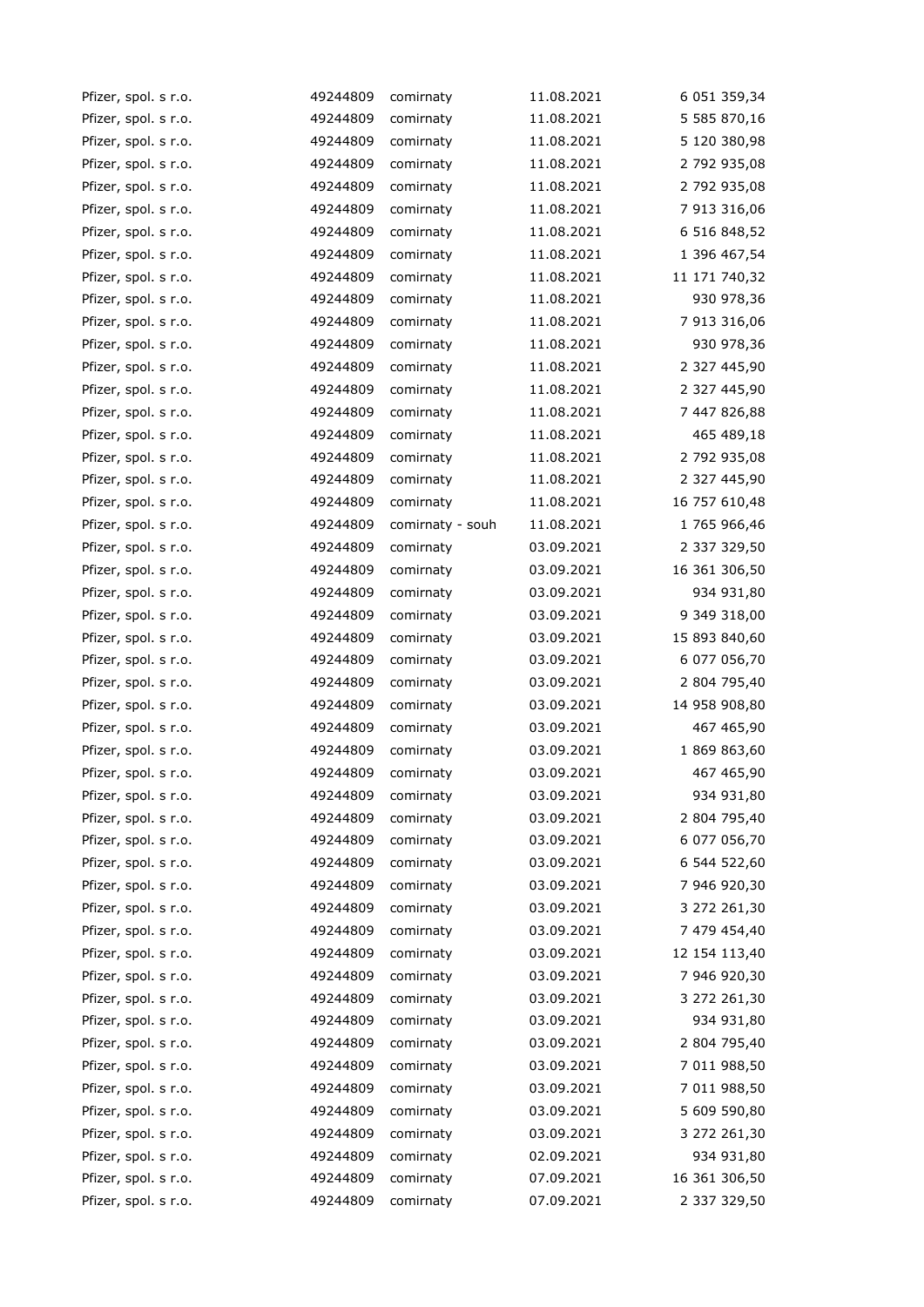| Pfizer, spol. s r.o. | 49244809 | comirnaty        | 11.08.2021 | 6 051 359,34  |
|----------------------|----------|------------------|------------|---------------|
| Pfizer, spol. s r.o. | 49244809 | comirnaty        | 11.08.2021 | 5 585 870,16  |
| Pfizer, spol. s r.o. | 49244809 | comirnaty        | 11.08.2021 | 5 120 380,98  |
| Pfizer, spol. s r.o. | 49244809 | comirnaty        | 11.08.2021 | 2 792 935,08  |
| Pfizer, spol. s r.o. | 49244809 | comirnaty        | 11.08.2021 | 2 792 935,08  |
| Pfizer, spol. s r.o. | 49244809 | comirnaty        | 11.08.2021 | 7 913 316,06  |
| Pfizer, spol. s r.o. | 49244809 | comirnaty        | 11.08.2021 | 6 516 848,52  |
| Pfizer, spol. s r.o. | 49244809 | comirnaty        | 11.08.2021 | 1 396 467,54  |
| Pfizer, spol. s r.o. | 49244809 | comirnaty        | 11.08.2021 | 11 171 740,32 |
| Pfizer, spol. s r.o. | 49244809 | comirnaty        | 11.08.2021 | 930 978,36    |
| Pfizer, spol. s r.o. | 49244809 | comirnaty        | 11.08.2021 | 7 913 316,06  |
| Pfizer, spol. s r.o. | 49244809 | comirnaty        | 11.08.2021 | 930 978,36    |
| Pfizer, spol. s r.o. | 49244809 | comirnaty        | 11.08.2021 | 2 327 445,90  |
| Pfizer, spol. s r.o. | 49244809 | comirnaty        | 11.08.2021 | 2 327 445,90  |
| Pfizer, spol. s r.o. | 49244809 | comirnaty        | 11.08.2021 | 7 447 826,88  |
| Pfizer, spol. s r.o. | 49244809 | comirnaty        | 11.08.2021 | 465 489,18    |
| Pfizer, spol. s r.o. | 49244809 | comirnaty        | 11.08.2021 | 2 792 935,08  |
| Pfizer, spol. s r.o. | 49244809 | comirnaty        | 11.08.2021 | 2 327 445,90  |
| Pfizer, spol. s r.o. | 49244809 | comirnaty        | 11.08.2021 | 16 757 610,48 |
| Pfizer, spol. s r.o. | 49244809 | comirnaty - souh | 11.08.2021 | 1 765 966,46  |
| Pfizer, spol. s r.o. | 49244809 | comirnaty        | 03.09.2021 | 2 337 329,50  |
| Pfizer, spol. s r.o. | 49244809 | comirnaty        | 03.09.2021 | 16 361 306,50 |
| Pfizer, spol. s r.o. | 49244809 | comirnaty        | 03.09.2021 | 934 931,80    |
| Pfizer, spol. s r.o. | 49244809 | comirnaty        | 03.09.2021 | 9 349 318,00  |
| Pfizer, spol. s r.o. | 49244809 | comirnaty        | 03.09.2021 | 15 893 840,60 |
| Pfizer, spol. s r.o. | 49244809 | comirnaty        | 03.09.2021 | 6 077 056,70  |
| Pfizer, spol. s r.o. | 49244809 | comirnaty        | 03.09.2021 | 2 804 795,40  |
| Pfizer, spol. s r.o. | 49244809 | comirnaty        | 03.09.2021 | 14 958 908,80 |
| Pfizer, spol. s r.o. | 49244809 | comirnaty        | 03.09.2021 | 467 465,90    |
| Pfizer, spol. s r.o. | 49244809 | comirnaty        | 03.09.2021 | 1 869 863,60  |
| Pfizer, spol. s r.o. | 49244809 | comirnaty        | 03.09.2021 | 467 465,90    |
| Pfizer, spol. s r.o. | 49244809 | comirnaty        | 03.09.2021 | 934 931,80    |
| Pfizer, spol. s r.o. | 49244809 | comirnaty        | 03.09.2021 | 2 804 795,40  |
| Pfizer, spol. s r.o. | 49244809 | comirnaty        | 03.09.2021 | 6 077 056,70  |
| Pfizer, spol. s r.o. | 49244809 | comirnaty        | 03.09.2021 | 6 544 522,60  |
| Pfizer, spol. s r.o. | 49244809 | comirnaty        | 03.09.2021 | 7 946 920,30  |
| Pfizer, spol. s r.o. | 49244809 | comirnaty        | 03.09.2021 | 3 272 261,30  |
| Pfizer, spol. s r.o. | 49244809 | comirnaty        | 03.09.2021 | 7 479 454,40  |
| Pfizer, spol. s r.o. | 49244809 | comirnaty        | 03.09.2021 | 12 154 113,40 |
| Pfizer, spol. s r.o. | 49244809 | comirnaty        | 03.09.2021 | 7 946 920,30  |
| Pfizer, spol. s r.o. | 49244809 | comirnaty        | 03.09.2021 | 3 272 261,30  |
| Pfizer, spol. s r.o. | 49244809 | comirnaty        | 03.09.2021 | 934 931,80    |
| Pfizer, spol. s r.o. | 49244809 | comirnaty        | 03.09.2021 | 2 804 795,40  |
| Pfizer, spol. s r.o. | 49244809 | comirnaty        | 03.09.2021 | 7 011 988,50  |
| Pfizer, spol. s r.o. | 49244809 | comirnaty        | 03.09.2021 | 7 011 988,50  |
| Pfizer, spol. s r.o. | 49244809 | comirnaty        | 03.09.2021 | 5 609 590,80  |
| Pfizer, spol. s r.o. | 49244809 | comirnaty        | 03.09.2021 | 3 272 261,30  |
| Pfizer, spol. s r.o. | 49244809 | comirnaty        | 02.09.2021 | 934 931,80    |
| Pfizer, spol. s r.o. | 49244809 | comirnaty        | 07.09.2021 | 16 361 306,50 |
| Pfizer, spol. s r.o. | 49244809 | comirnaty        | 07.09.2021 | 2 337 329,50  |
|                      |          |                  |            |               |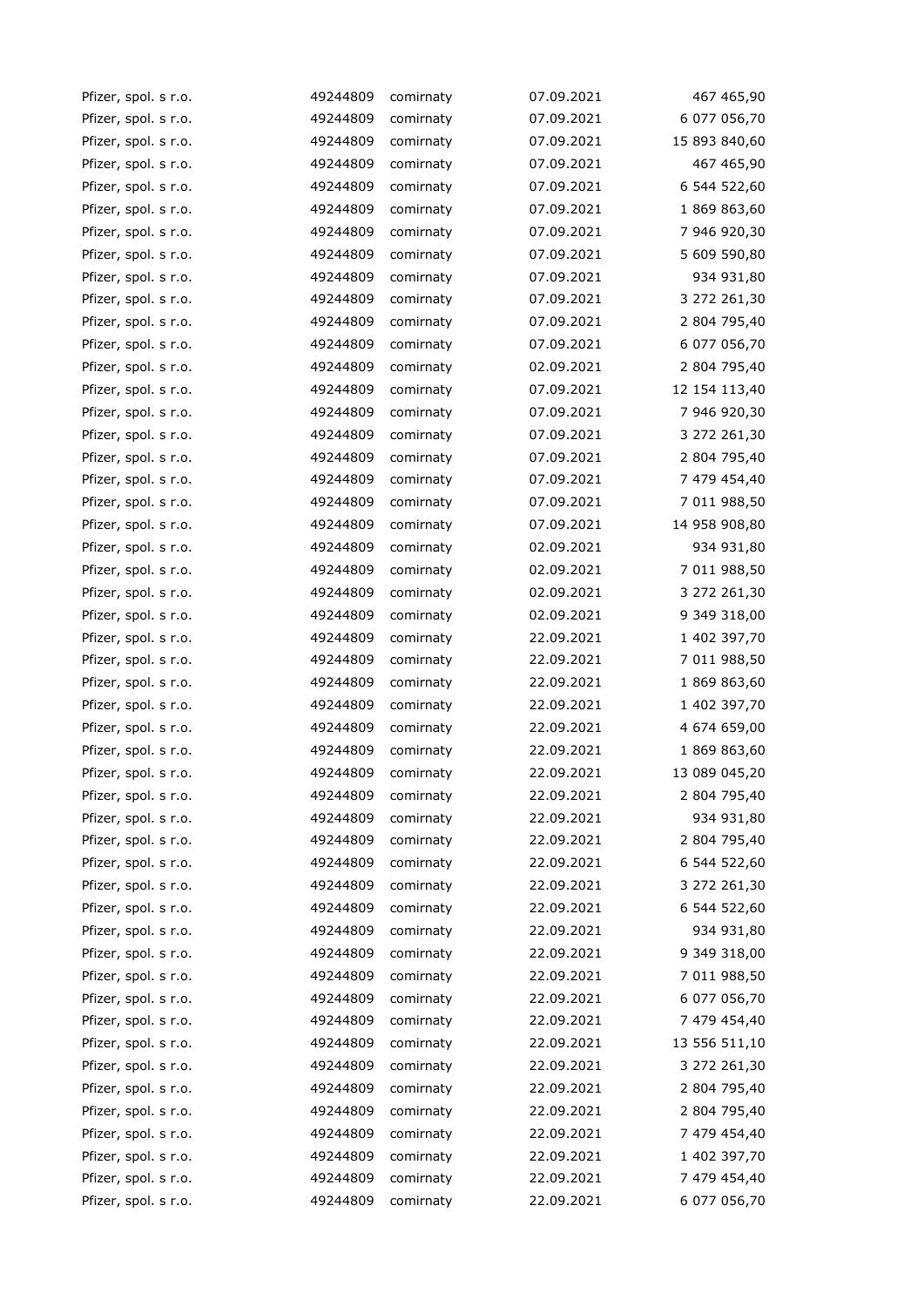| Pfizer, spol. s r.o. | 49244809 | comirnaty | 07.09.2021 | 467 465,90    |
|----------------------|----------|-----------|------------|---------------|
| Pfizer, spol. s r.o. | 49244809 | comirnaty | 07.09.2021 | 6 077 056,70  |
| Pfizer, spol. s r.o. | 49244809 | comirnaty | 07.09.2021 | 15 893 840,60 |
| Pfizer, spol. s r.o. | 49244809 | comirnaty | 07.09.2021 | 467 465,90    |
| Pfizer, spol. s r.o. | 49244809 | comirnaty | 07.09.2021 | 6 544 522,60  |
| Pfizer, spol. s r.o. | 49244809 | comirnaty | 07.09.2021 | 1 869 863,60  |
| Pfizer, spol. s r.o. | 49244809 | comirnaty | 07.09.2021 | 7 946 920,30  |
| Pfizer, spol. s r.o. | 49244809 | comirnaty | 07.09.2021 | 5 609 590,80  |
| Pfizer, spol. s r.o. | 49244809 | comirnaty | 07.09.2021 | 934 931,80    |
| Pfizer, spol. s r.o. | 49244809 | comirnaty | 07.09.2021 | 3 272 261,30  |
| Pfizer, spol. s r.o. | 49244809 | comirnaty | 07.09.2021 | 2 804 795,40  |
| Pfizer, spol. s r.o. | 49244809 | comirnaty | 07.09.2021 | 6 077 056,70  |
| Pfizer, spol. s r.o. | 49244809 | comirnaty | 02.09.2021 | 2 804 795,40  |
| Pfizer, spol. s r.o. | 49244809 | comirnaty | 07.09.2021 | 12 154 113,40 |
| Pfizer, spol. s r.o. | 49244809 | comirnaty | 07.09.2021 | 7 946 920,30  |
| Pfizer, spol. s r.o. | 49244809 | comirnaty | 07.09.2021 | 3 272 261,30  |
| Pfizer, spol. s r.o. | 49244809 | comirnaty | 07.09.2021 | 2 804 795,40  |
| Pfizer, spol. s r.o. | 49244809 | comirnaty | 07.09.2021 | 7 479 454,40  |
| Pfizer, spol. s r.o. | 49244809 | comirnaty | 07.09.2021 | 7 011 988,50  |
| Pfizer, spol. s r.o. | 49244809 | comirnaty | 07.09.2021 | 14 958 908,80 |
| Pfizer, spol. s r.o. | 49244809 | comirnaty | 02.09.2021 | 934 931,80    |
| Pfizer, spol. s r.o. | 49244809 | comirnaty | 02.09.2021 | 7 011 988,50  |
| Pfizer, spol. s r.o. | 49244809 | comirnaty | 02.09.2021 | 3 272 261,30  |
| Pfizer, spol. s r.o. | 49244809 | comirnaty | 02.09.2021 | 9 349 318,00  |
| Pfizer, spol. s r.o. | 49244809 | comirnaty | 22.09.2021 | 1 402 397,70  |
| Pfizer, spol. s r.o. | 49244809 | comirnaty | 22.09.2021 | 7 011 988,50  |
| Pfizer, spol. s r.o. | 49244809 | comirnaty | 22.09.2021 | 1 869 863,60  |
| Pfizer, spol. s r.o. | 49244809 | comirnaty | 22.09.2021 | 1 402 397,70  |
| Pfizer, spol. s r.o. | 49244809 | comirnaty | 22.09.2021 | 4 674 659,00  |
| Pfizer, spol. s r.o. | 49244809 | comirnaty | 22.09.2021 | 1 869 863,60  |
| Pfizer, spol. s r.o. | 49244809 | comirnaty | 22.09.2021 | 13 089 045,20 |
| Pfizer, spol. s r.o. | 49244809 | comirnaty | 22.09.2021 | 2 804 795,40  |
| Pfizer, spol. s r.o. | 49244809 | comirnaty | 22.09.2021 | 934 931,80    |
| Pfizer, spol. s r.o. | 49244809 | comirnaty | 22.09.2021 | 2 804 795,40  |
| Pfizer, spol. s r.o. | 49244809 | comirnaty | 22.09.2021 | 6 544 522,60  |
| Pfizer, spol. s r.o. | 49244809 | comirnaty | 22.09.2021 | 3 272 261,30  |
| Pfizer, spol. s r.o. | 49244809 | comirnaty | 22.09.2021 | 6 544 522,60  |
| Pfizer, spol. s r.o. | 49244809 | comirnaty | 22.09.2021 | 934 931,80    |
| Pfizer, spol. s r.o. | 49244809 | comirnaty | 22.09.2021 | 9 349 318,00  |
| Pfizer, spol. s r.o. | 49244809 | comirnaty | 22.09.2021 | 7 011 988,50  |
| Pfizer, spol. s r.o. | 49244809 | comirnaty | 22.09.2021 | 6 077 056,70  |
| Pfizer, spol. s r.o. | 49244809 | comirnaty | 22.09.2021 | 7 479 454,40  |
| Pfizer, spol. s r.o. | 49244809 | comirnaty | 22.09.2021 | 13 556 511,10 |
| Pfizer, spol. s r.o. | 49244809 | comirnaty | 22.09.2021 | 3 272 261,30  |
| Pfizer, spol. s r.o. | 49244809 | comirnaty | 22.09.2021 | 2 804 795,40  |
| Pfizer, spol. s r.o. | 49244809 | comirnaty | 22.09.2021 | 2 804 795,40  |
| Pfizer, spol. s r.o. | 49244809 | comirnaty | 22.09.2021 | 7 479 454,40  |
| Pfizer, spol. s r.o. | 49244809 | comirnaty | 22.09.2021 | 1 402 397,70  |
| Pfizer, spol. s r.o. | 49244809 | comirnaty | 22.09.2021 | 7 479 454,40  |
| Pfizer, spol. s r.o. | 49244809 | comirnaty | 22.09.2021 | 6 077 056,70  |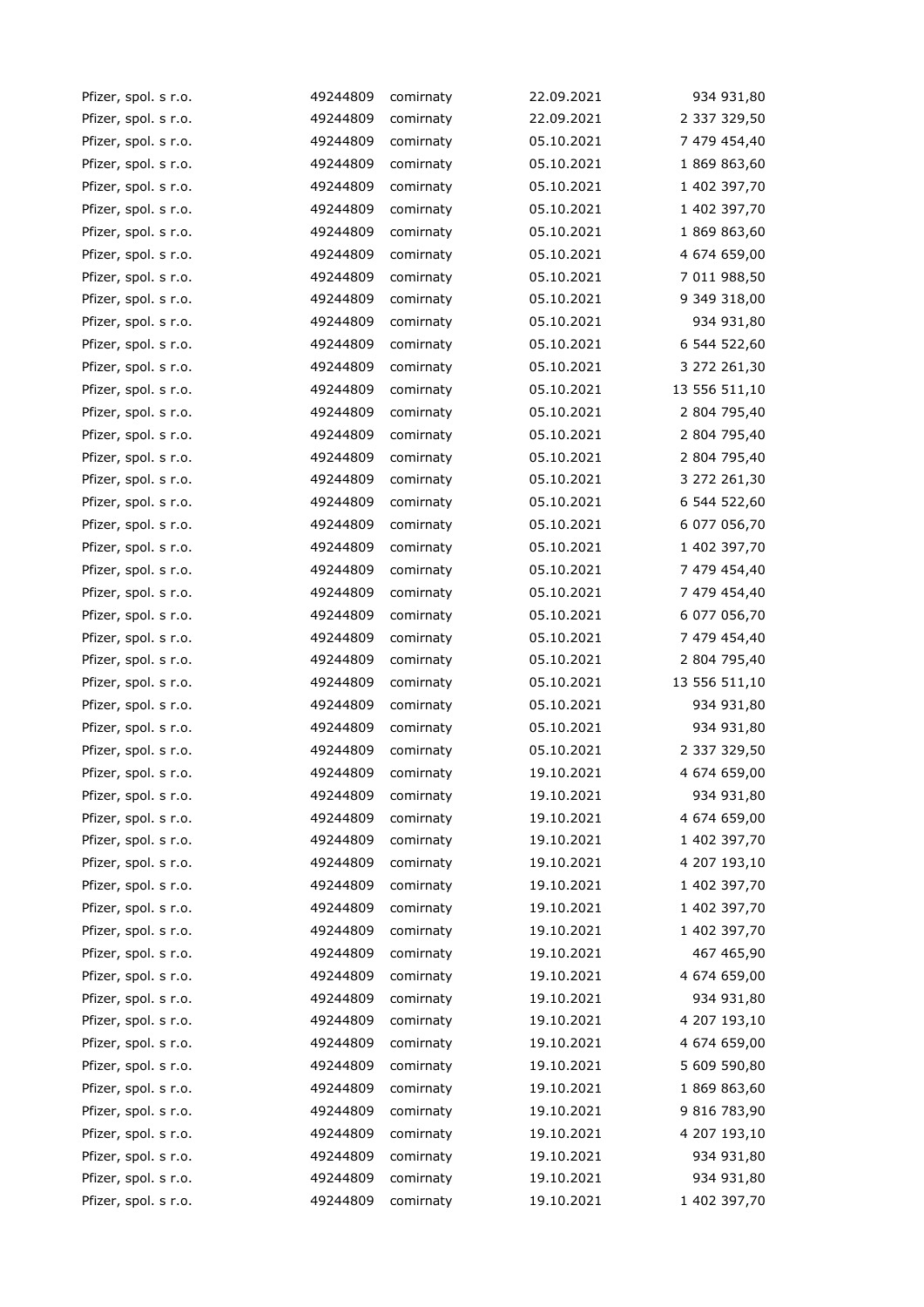| Pfizer, spol. s r.o. | 49244809 | comirnaty | 22.09.2021 | 934 931,80    |
|----------------------|----------|-----------|------------|---------------|
| Pfizer, spol. s r.o. | 49244809 | comirnaty | 22.09.2021 | 2 337 329,50  |
| Pfizer, spol. s r.o. | 49244809 | comirnaty | 05.10.2021 | 7 479 454,40  |
| Pfizer, spol. s r.o. | 49244809 | comirnaty | 05.10.2021 | 1 869 863,60  |
| Pfizer, spol. s r.o. | 49244809 | comirnaty | 05.10.2021 | 1 402 397,70  |
| Pfizer, spol. s r.o. | 49244809 | comirnaty | 05.10.2021 | 1 402 397,70  |
| Pfizer, spol. s r.o. | 49244809 | comirnaty | 05.10.2021 | 1 869 863,60  |
| Pfizer, spol. s r.o. | 49244809 | comirnaty | 05.10.2021 | 4 674 659,00  |
| Pfizer, spol. s r.o. | 49244809 | comirnaty | 05.10.2021 | 7 011 988,50  |
| Pfizer, spol. s r.o. | 49244809 | comirnaty | 05.10.2021 | 9 349 318,00  |
| Pfizer, spol. s r.o. | 49244809 | comirnaty | 05.10.2021 | 934 931,80    |
| Pfizer, spol. s r.o. | 49244809 | comirnaty | 05.10.2021 | 6 544 522,60  |
| Pfizer, spol. s r.o. | 49244809 | comirnaty | 05.10.2021 | 3 272 261,30  |
| Pfizer, spol. s r.o. | 49244809 | comirnaty | 05.10.2021 | 13 556 511,10 |
| Pfizer, spol. s r.o. | 49244809 | comirnaty | 05.10.2021 | 2 804 795,40  |
| Pfizer, spol. s r.o. | 49244809 | comirnaty | 05.10.2021 | 2 804 795,40  |
| Pfizer, spol. s r.o. | 49244809 | comirnaty | 05.10.2021 | 2 804 795,40  |
| Pfizer, spol. s r.o. | 49244809 | comirnaty | 05.10.2021 | 3 272 261,30  |
| Pfizer, spol. s r.o. | 49244809 | comirnaty | 05.10.2021 | 6 544 522,60  |
| Pfizer, spol. s r.o. | 49244809 | comirnaty | 05.10.2021 | 6 077 056,70  |
| Pfizer, spol. s r.o. | 49244809 | comirnaty | 05.10.2021 | 1 402 397,70  |
| Pfizer, spol. s r.o. | 49244809 | comirnaty | 05.10.2021 | 7 479 454,40  |
| Pfizer, spol. s r.o. | 49244809 | comirnaty | 05.10.2021 | 7 479 454,40  |
| Pfizer, spol. s r.o. | 49244809 | comirnaty | 05.10.2021 | 6 077 056,70  |
| Pfizer, spol. s r.o. | 49244809 | comirnaty | 05.10.2021 | 7 479 454,40  |
| Pfizer, spol. s r.o. | 49244809 | comirnaty | 05.10.2021 | 2 804 795,40  |
| Pfizer, spol. s r.o. | 49244809 | comirnaty | 05.10.2021 | 13 556 511,10 |
| Pfizer, spol. s r.o. | 49244809 | comirnaty | 05.10.2021 | 934 931,80    |
| Pfizer, spol. s r.o. | 49244809 | comirnaty | 05.10.2021 | 934 931,80    |
| Pfizer, spol. s r.o. | 49244809 | comirnaty | 05.10.2021 | 2 337 329,50  |
| Pfizer, spol. s r.o. | 49244809 | comirnaty | 19.10.2021 | 4 674 659,00  |
| Pfizer, spol. s r.o. | 49244809 | comirnaty | 19.10.2021 | 934 931,80    |
| Pfizer, spol. s r.o. | 49244809 | comirnaty | 19.10.2021 | 4 674 659,00  |
| Pfizer, spol. s r.o. | 49244809 | comirnaty | 19.10.2021 | 1 402 397,70  |
| Pfizer, spol. s r.o. | 49244809 | comirnaty | 19.10.2021 | 4 207 193,10  |
| Pfizer, spol. s r.o. | 49244809 | comirnaty | 19.10.2021 | 1 402 397,70  |
| Pfizer, spol. s r.o. | 49244809 | comirnaty | 19.10.2021 | 1 402 397,70  |
| Pfizer, spol. s r.o. | 49244809 | comirnaty | 19.10.2021 | 1 402 397,70  |
| Pfizer, spol. s r.o. | 49244809 | comirnaty | 19.10.2021 | 467 465,90    |
| Pfizer, spol. s r.o. | 49244809 | comirnaty | 19.10.2021 | 4 674 659,00  |
| Pfizer, spol. s r.o. | 49244809 | comirnaty | 19.10.2021 | 934 931,80    |
| Pfizer, spol. s r.o. | 49244809 | comirnaty | 19.10.2021 | 4 207 193,10  |
| Pfizer, spol. s r.o. | 49244809 | comirnaty | 19.10.2021 | 4 674 659,00  |
| Pfizer, spol. s r.o. | 49244809 | comirnaty | 19.10.2021 | 5 609 590,80  |
| Pfizer, spol. s r.o. | 49244809 | comirnaty | 19.10.2021 | 1 869 863,60  |
| Pfizer, spol. s r.o. | 49244809 | comirnaty | 19.10.2021 | 9 816 783,90  |
| Pfizer, spol. s r.o. | 49244809 | comirnaty | 19.10.2021 | 4 207 193,10  |
| Pfizer, spol. s r.o. | 49244809 | comirnaty | 19.10.2021 | 934 931,80    |
| Pfizer, spol. s r.o. | 49244809 | comirnaty | 19.10.2021 | 934 931,80    |
| Pfizer, spol. s r.o. | 49244809 | comirnaty | 19.10.2021 | 1 402 397,70  |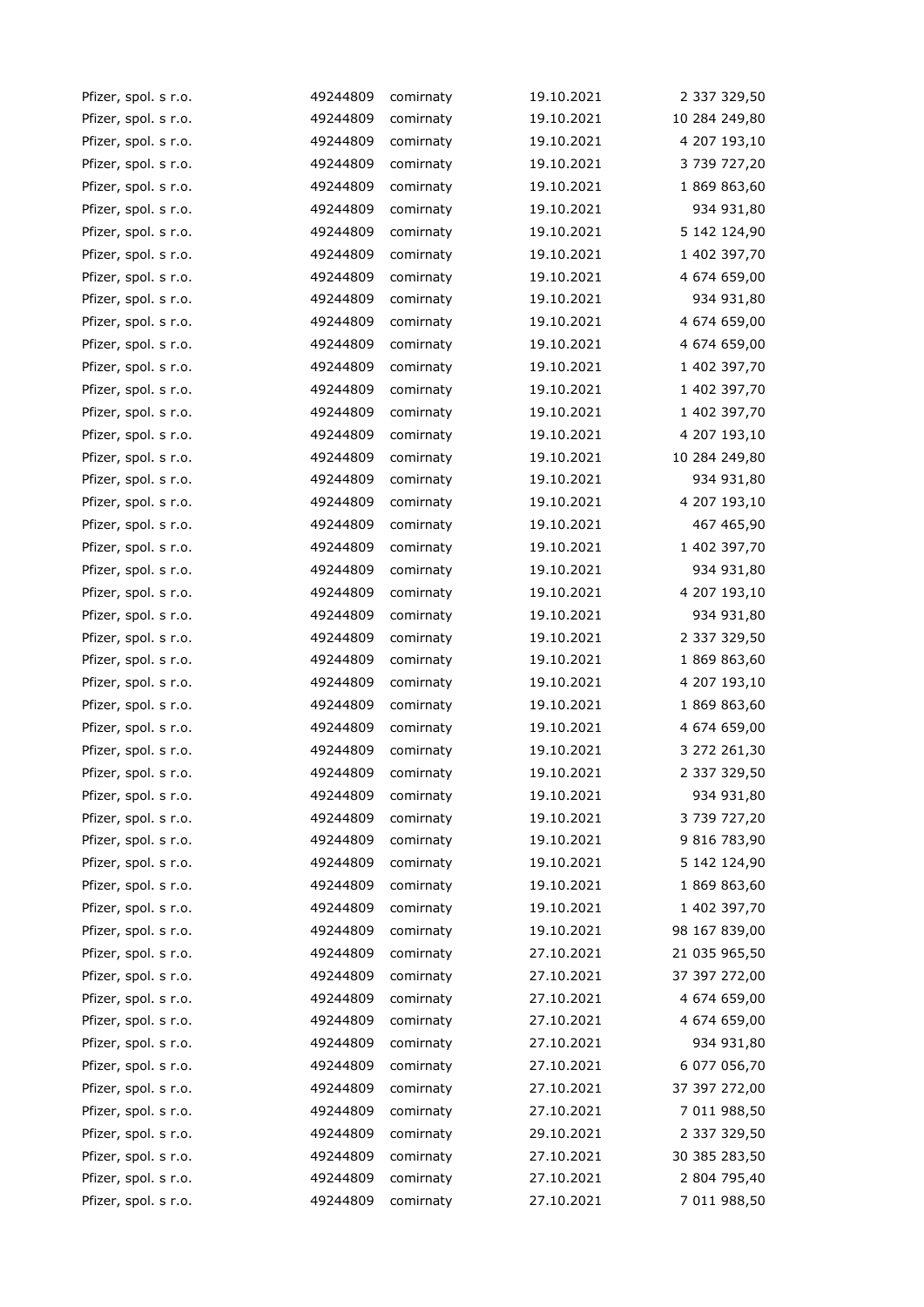| Pfizer, spol. s r.o. | 49244809 | comirnaty | 19.10.2021 | 2 337 329,50  |
|----------------------|----------|-----------|------------|---------------|
| Pfizer, spol. s r.o. | 49244809 | comirnaty | 19.10.2021 | 10 284 249,80 |
| Pfizer, spol. s r.o. | 49244809 | comirnaty | 19.10.2021 | 4 207 193,10  |
| Pfizer, spol. s r.o. | 49244809 | comirnaty | 19.10.2021 | 3 739 727,20  |
| Pfizer, spol. s r.o. | 49244809 | comirnaty | 19.10.2021 | 1 869 863,60  |
| Pfizer, spol. s r.o. | 49244809 | comirnaty | 19.10.2021 | 934 931,80    |
| Pfizer, spol. s r.o. | 49244809 | comirnaty | 19.10.2021 | 5 142 124,90  |
| Pfizer, spol. s r.o. | 49244809 | comirnaty | 19.10.2021 | 1 402 397,70  |
| Pfizer, spol. s r.o. | 49244809 | comirnaty | 19.10.2021 | 4 674 659,00  |
| Pfizer, spol. s r.o. | 49244809 | comirnaty | 19.10.2021 | 934 931,80    |
| Pfizer, spol. s r.o. | 49244809 | comirnaty | 19.10.2021 | 4 674 659,00  |
| Pfizer, spol. s r.o. | 49244809 | comirnaty | 19.10.2021 | 4 674 659,00  |
| Pfizer, spol. s r.o. | 49244809 | comirnaty | 19.10.2021 | 1 402 397,70  |
| Pfizer, spol. s r.o. | 49244809 | comirnaty | 19.10.2021 | 1 402 397,70  |
| Pfizer, spol. s r.o. | 49244809 | comirnaty | 19.10.2021 | 1 402 397,70  |
| Pfizer, spol. s r.o. | 49244809 | comirnaty | 19.10.2021 | 4 207 193,10  |
| Pfizer, spol. s r.o. | 49244809 | comirnaty | 19.10.2021 | 10 284 249,80 |
| Pfizer, spol. s r.o. | 49244809 | comirnaty | 19.10.2021 | 934 931,80    |
| Pfizer, spol. s r.o. | 49244809 | comirnaty | 19.10.2021 | 4 207 193,10  |
| Pfizer, spol. s r.o. | 49244809 | comirnaty | 19.10.2021 | 467 465,90    |
| Pfizer, spol. s r.o. | 49244809 | comirnaty | 19.10.2021 | 1 402 397,70  |
| Pfizer, spol. s r.o. | 49244809 | comirnaty | 19.10.2021 | 934 931,80    |
| Pfizer, spol. s r.o. | 49244809 | comirnaty | 19.10.2021 | 4 207 193,10  |
| Pfizer, spol. s r.o. | 49244809 | comirnaty | 19.10.2021 | 934 931,80    |
| Pfizer, spol. s r.o. | 49244809 | comirnaty | 19.10.2021 | 2 337 329,50  |
| Pfizer, spol. s r.o. | 49244809 | comirnaty | 19.10.2021 | 1 869 863,60  |
| Pfizer, spol. s r.o. | 49244809 | comirnaty | 19.10.2021 | 4 207 193,10  |
| Pfizer, spol. s r.o. | 49244809 | comirnaty | 19.10.2021 | 1 869 863,60  |
| Pfizer, spol. s r.o. | 49244809 | comirnaty | 19.10.2021 | 4 674 659,00  |
| Pfizer, spol. s r.o. | 49244809 | comirnaty | 19.10.2021 | 3 272 261,30  |
| Pfizer, spol. s r.o. | 49244809 | comirnaty | 19.10.2021 | 2 337 329,50  |
| Pfizer, spol. s r.o. | 49244809 | comirnaty | 19.10.2021 | 934 931,80    |
| Pfizer, spol. s r.o. | 49244809 | comirnaty | 19.10.2021 | 3 739 727,20  |
| Pfizer, spol. s r.o. | 49244809 | comirnaty | 19.10.2021 | 9 816 783,90  |
| Pfizer, spol. s r.o. | 49244809 | comirnaty | 19.10.2021 | 5 142 124,90  |
| Pfizer, spol. s r.o. | 49244809 | comirnaty | 19.10.2021 | 1 869 863,60  |
| Pfizer, spol. s r.o. | 49244809 | comirnaty | 19.10.2021 | 1 402 397,70  |
| Pfizer, spol. s r.o. | 49244809 | comirnaty | 19.10.2021 | 98 167 839,00 |
| Pfizer, spol. s r.o. | 49244809 | comirnaty | 27.10.2021 | 21 035 965,50 |
| Pfizer, spol. s r.o. | 49244809 | comirnaty | 27.10.2021 | 37 397 272,00 |
| Pfizer, spol. s r.o. | 49244809 | comirnaty | 27.10.2021 | 4 674 659,00  |
| Pfizer, spol. s r.o. | 49244809 | comirnaty | 27.10.2021 | 4 674 659,00  |
| Pfizer, spol. s r.o. | 49244809 | comirnaty | 27.10.2021 | 934 931,80    |
| Pfizer, spol. s r.o. | 49244809 | comirnaty | 27.10.2021 | 6 077 056,70  |
| Pfizer, spol. s r.o. | 49244809 | comirnaty | 27.10.2021 | 37 397 272,00 |
| Pfizer, spol. s r.o. | 49244809 | comirnaty | 27.10.2021 | 7 011 988,50  |
| Pfizer, spol. s r.o. | 49244809 | comirnaty | 29.10.2021 | 2 337 329,50  |
| Pfizer, spol. s r.o. | 49244809 | comirnaty | 27.10.2021 | 30 385 283,50 |
| Pfizer, spol. s r.o. | 49244809 | comirnaty | 27.10.2021 | 2 804 795,40  |
| Pfizer, spol. s r.o. | 49244809 | comirnaty | 27.10.2021 | 7 011 988,50  |
|                      |          |           |            |               |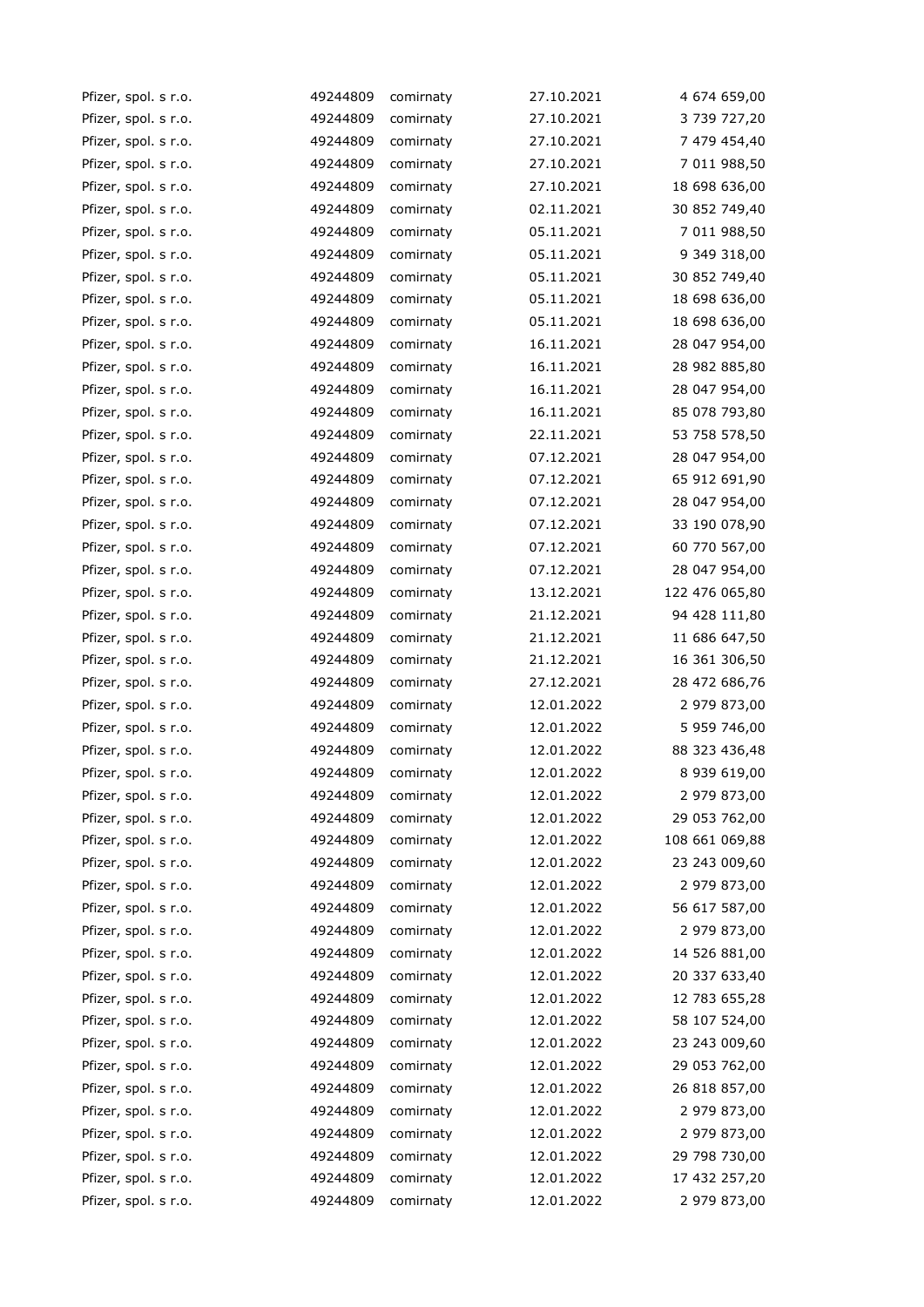| Pfizer, spol. s r.o. | 49244809 | comirnaty | 27.10.2021 | 4 674 659,00   |
|----------------------|----------|-----------|------------|----------------|
| Pfizer, spol. s r.o. | 49244809 | comirnaty | 27.10.2021 | 3 739 727,20   |
| Pfizer, spol. s r.o. | 49244809 | comirnaty | 27.10.2021 | 7 479 454,40   |
| Pfizer, spol. s r.o. | 49244809 | comirnaty | 27.10.2021 | 7 011 988,50   |
| Pfizer, spol. s r.o. | 49244809 | comirnaty | 27.10.2021 | 18 698 636,00  |
| Pfizer, spol. s r.o. | 49244809 | comirnaty | 02.11.2021 | 30 852 749,40  |
| Pfizer, spol. s r.o. | 49244809 | comirnaty | 05.11.2021 | 7 011 988,50   |
| Pfizer, spol. s r.o. | 49244809 | comirnaty | 05.11.2021 | 9 349 318,00   |
| Pfizer, spol. s r.o. | 49244809 | comirnaty | 05.11.2021 | 30 852 749,40  |
| Pfizer, spol. s r.o. | 49244809 | comirnaty | 05.11.2021 | 18 698 636,00  |
| Pfizer, spol. s r.o. | 49244809 | comirnaty | 05.11.2021 | 18 698 636,00  |
| Pfizer, spol. s r.o. | 49244809 | comirnaty | 16.11.2021 | 28 047 954,00  |
| Pfizer, spol. s r.o. | 49244809 | comirnaty | 16.11.2021 | 28 982 885,80  |
| Pfizer, spol. s r.o. | 49244809 | comirnaty | 16.11.2021 | 28 047 954,00  |
| Pfizer, spol. s r.o. | 49244809 | comirnaty | 16.11.2021 | 85 078 793,80  |
| Pfizer, spol. s r.o. | 49244809 | comirnaty | 22.11.2021 | 53 758 578,50  |
| Pfizer, spol. s r.o. | 49244809 | comirnaty | 07.12.2021 | 28 047 954,00  |
| Pfizer, spol. s r.o. | 49244809 | comirnaty | 07.12.2021 | 65 912 691,90  |
| Pfizer, spol. s r.o. | 49244809 | comirnaty | 07.12.2021 | 28 047 954,00  |
| Pfizer, spol. s r.o. | 49244809 | comirnaty | 07.12.2021 | 33 190 078,90  |
| Pfizer, spol. s r.o. | 49244809 | comirnaty | 07.12.2021 | 60 770 567,00  |
| Pfizer, spol. s r.o. | 49244809 | comirnaty | 07.12.2021 | 28 047 954,00  |
| Pfizer, spol. s r.o. | 49244809 | comirnaty | 13.12.2021 | 122 476 065,80 |
| Pfizer, spol. s r.o. | 49244809 | comirnaty | 21.12.2021 | 94 428 111,80  |
| Pfizer, spol. s r.o. | 49244809 | comirnaty | 21.12.2021 | 11 686 647,50  |
| Pfizer, spol. s r.o. | 49244809 | comirnaty | 21.12.2021 | 16 361 306,50  |
| Pfizer, spol. s r.o. | 49244809 | comirnaty | 27.12.2021 | 28 472 686,76  |
| Pfizer, spol. s r.o. | 49244809 | comirnaty | 12.01.2022 | 2 979 873,00   |
| Pfizer, spol. s r.o. | 49244809 | comirnaty | 12.01.2022 | 5 959 746,00   |
| Pfizer, spol. s r.o. | 49244809 | comirnaty | 12.01.2022 | 88 323 436,48  |
| Pfizer, spol. s r.o. | 49244809 | comirnaty | 12.01.2022 | 8 939 619,00   |
| Pfizer, spol. s r.o. | 49244809 | comirnaty | 12.01.2022 | 2 979 873,00   |
| Pfizer, spol. s r.o. | 49244809 | comirnaty | 12.01.2022 | 29 053 762,00  |
| Pfizer, spol. s r.o. | 49244809 | comirnaty | 12.01.2022 | 108 661 069,88 |
| Pfizer, spol. s r.o. | 49244809 | comirnaty | 12.01.2022 | 23 243 009,60  |
| Pfizer, spol. s r.o. | 49244809 | comirnaty | 12.01.2022 | 2 979 873,00   |
| Pfizer, spol. s r.o. | 49244809 | comirnaty | 12.01.2022 | 56 617 587,00  |
| Pfizer, spol. s r.o. | 49244809 | comirnaty | 12.01.2022 | 2 979 873,00   |
| Pfizer, spol. s r.o. | 49244809 | comirnaty | 12.01.2022 | 14 526 881,00  |
| Pfizer, spol. s r.o. | 49244809 | comirnaty | 12.01.2022 | 20 337 633,40  |
| Pfizer, spol. s r.o. | 49244809 | comirnaty | 12.01.2022 | 12 783 655,28  |
| Pfizer, spol. s r.o. | 49244809 | comirnaty | 12.01.2022 | 58 107 524,00  |
| Pfizer, spol. s r.o. | 49244809 | comirnaty | 12.01.2022 | 23 243 009,60  |
| Pfizer, spol. s r.o. | 49244809 | comirnaty | 12.01.2022 | 29 053 762,00  |
| Pfizer, spol. s r.o. | 49244809 | comirnaty | 12.01.2022 | 26 818 857,00  |
| Pfizer, spol. s r.o. | 49244809 | comirnaty | 12.01.2022 | 2 979 873,00   |
| Pfizer, spol. s r.o. | 49244809 | comirnaty | 12.01.2022 | 2 979 873,00   |
| Pfizer, spol. s r.o. | 49244809 | comirnaty | 12.01.2022 | 29 798 730,00  |
| Pfizer, spol. s r.o. | 49244809 | comirnaty | 12.01.2022 | 17 432 257,20  |
| Pfizer, spol. s r.o. | 49244809 | comirnaty | 12.01.2022 | 2 979 873,00   |
|                      |          |           |            |                |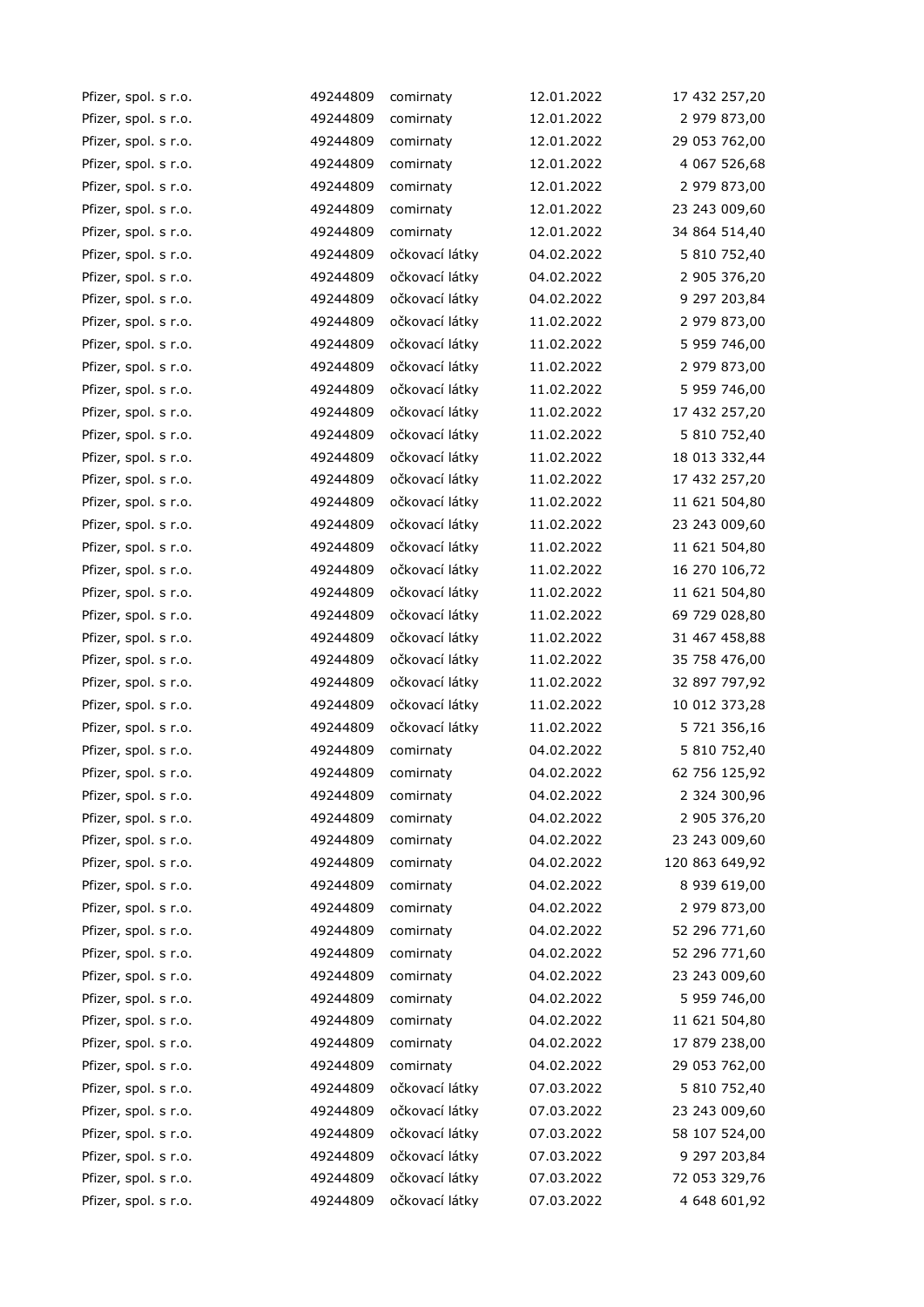| Pfizer, spol. s r.o. | 49244809 | comirnaty      | 12.01.2022 | 17 432 257,20  |
|----------------------|----------|----------------|------------|----------------|
| Pfizer, spol. s r.o. | 49244809 | comirnaty      | 12.01.2022 | 2 979 873,00   |
| Pfizer, spol. s r.o. | 49244809 | comirnaty      | 12.01.2022 | 29 053 762,00  |
| Pfizer, spol. s r.o. | 49244809 | comirnaty      | 12.01.2022 | 4 067 526,68   |
| Pfizer, spol. s r.o. | 49244809 | comirnaty      | 12.01.2022 | 2 979 873,00   |
| Pfizer, spol. s r.o. | 49244809 | comirnaty      | 12.01.2022 | 23 243 009,60  |
| Pfizer, spol. s r.o. | 49244809 | comirnaty      | 12.01.2022 | 34 864 514,40  |
| Pfizer, spol. s r.o. | 49244809 | očkovací látky | 04.02.2022 | 5 810 752,40   |
| Pfizer, spol. s r.o. | 49244809 | očkovací látky | 04.02.2022 | 2 905 376,20   |
| Pfizer, spol. s r.o. | 49244809 | očkovací látky | 04.02.2022 | 9 297 203,84   |
| Pfizer, spol. s r.o. | 49244809 | očkovací látky | 11.02.2022 | 2 979 873,00   |
| Pfizer, spol. s r.o. | 49244809 | očkovací látky | 11.02.2022 | 5 959 746,00   |
| Pfizer, spol. s r.o. | 49244809 | očkovací látky | 11.02.2022 | 2 979 873,00   |
| Pfizer, spol. s r.o. | 49244809 | očkovací látky | 11.02.2022 | 5 959 746,00   |
| Pfizer, spol. s r.o. | 49244809 | očkovací látky | 11.02.2022 | 17 432 257,20  |
| Pfizer, spol. s r.o. | 49244809 | očkovací látky | 11.02.2022 | 5 810 752,40   |
| Pfizer, spol. s r.o. | 49244809 | očkovací látky | 11.02.2022 | 18 013 332,44  |
| Pfizer, spol. s r.o. | 49244809 | očkovací látky | 11.02.2022 | 17 432 257,20  |
| Pfizer, spol. s r.o. | 49244809 | očkovací látky | 11.02.2022 | 11 621 504,80  |
| Pfizer, spol. s r.o. | 49244809 | očkovací látky | 11.02.2022 | 23 243 009,60  |
| Pfizer, spol. s r.o. | 49244809 | očkovací látky | 11.02.2022 | 11 621 504,80  |
| Pfizer, spol. s r.o. | 49244809 | očkovací látky | 11.02.2022 | 16 270 106,72  |
| Pfizer, spol. s r.o. | 49244809 | očkovací látky | 11.02.2022 | 11 621 504,80  |
| Pfizer, spol. s r.o. | 49244809 | očkovací látky | 11.02.2022 | 69 729 028,80  |
| Pfizer, spol. s r.o. | 49244809 | očkovací látky | 11.02.2022 | 31 467 458,88  |
| Pfizer, spol. s r.o. | 49244809 | očkovací látky | 11.02.2022 | 35 758 476,00  |
| Pfizer, spol. s r.o. | 49244809 | očkovací látky | 11.02.2022 | 32 897 797,92  |
| Pfizer, spol. s r.o. | 49244809 | očkovací látky | 11.02.2022 | 10 012 373,28  |
| Pfizer, spol. s r.o. | 49244809 | očkovací látky | 11.02.2022 | 5 721 356,16   |
| Pfizer, spol. s r.o. | 49244809 | comirnaty      | 04.02.2022 | 5 810 752,40   |
| Pfizer, spol. s r.o. | 49244809 | comirnaty      | 04.02.2022 | 62 756 125,92  |
| Pfizer, spol. s r.o. | 49244809 | comirnaty      | 04.02.2022 | 2 324 300,96   |
| Pfizer, spol. s r.o. | 49244809 | comirnaty      | 04.02.2022 | 2 905 376,20   |
| Pfizer, spol. s r.o. | 49244809 | comirnaty      | 04.02.2022 | 23 243 009,60  |
| Pfizer, spol. s r.o. | 49244809 | comirnaty      | 04.02.2022 | 120 863 649,92 |
| Pfizer, spol. s r.o. | 49244809 | comirnaty      | 04.02.2022 | 8 939 619,00   |
| Pfizer, spol. s r.o. | 49244809 | comirnaty      | 04.02.2022 | 2 979 873,00   |
| Pfizer, spol. s r.o. | 49244809 | comirnaty      | 04.02.2022 | 52 296 771,60  |
| Pfizer, spol. s r.o. | 49244809 | comirnaty      | 04.02.2022 | 52 296 771,60  |
| Pfizer, spol. s r.o. | 49244809 | comirnaty      | 04.02.2022 | 23 243 009,60  |
| Pfizer, spol. s r.o. | 49244809 | comirnaty      | 04.02.2022 | 5 959 746,00   |
| Pfizer, spol. s r.o. | 49244809 | comirnaty      | 04.02.2022 | 11 621 504,80  |
| Pfizer, spol. s r.o. | 49244809 | comirnaty      | 04.02.2022 | 17 879 238,00  |
| Pfizer, spol. s r.o. | 49244809 | comirnaty      | 04.02.2022 | 29 053 762,00  |
| Pfizer, spol. s r.o. | 49244809 | očkovací látky | 07.03.2022 | 5 810 752,40   |
| Pfizer, spol. s r.o. | 49244809 | očkovací látky | 07.03.2022 | 23 243 009,60  |
| Pfizer, spol. s r.o. | 49244809 | očkovací látky | 07.03.2022 | 58 107 524,00  |
| Pfizer, spol. s r.o. | 49244809 | očkovací látky | 07.03.2022 | 9 297 203,84   |
| Pfizer, spol. s r.o. | 49244809 | očkovací látky | 07.03.2022 | 72 053 329,76  |
| Pfizer, spol. s r.o. | 49244809 | očkovací látky | 07.03.2022 | 4 648 601,92   |